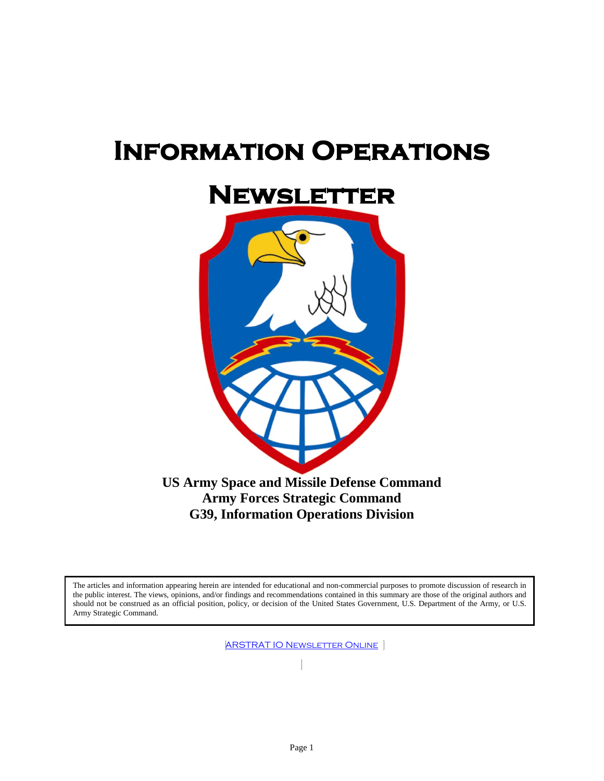# **Information Operations**

## **Newsletter**



**US Army Space and Missile Defense Command Army Forces Strategic Command G39, Information Operations Division** 

should not be construed as an official position, policy, or decision of the United States Government, U.S. Department of the Army, or U.S.<br>Army Strategic Command. The articles and information appearing herein are intended for educational and non-commercial purposes to promote discussion of research in the public interest. The views, opinions, and/or findings and recommendations contained in this summary are those of the original authors and Army Strategic Command.

> [ARSTRAT IO Newsletter Online](http://www.phibetaiota.net/category/journal/information-operations-io/io-newsletter/)  $\overline{\phantom{a}}$

> > Page 1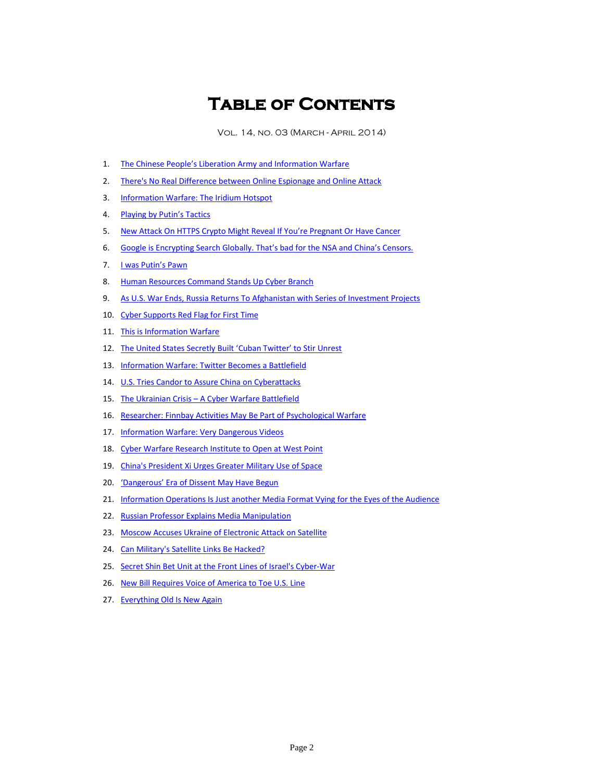## **Table of Contents**

Vol. 14, no. 03 (March - April 2014)

- <span id="page-1-0"></span>1. [The Chinese People's Liberation Army and Information Warfare](#page-2-0)
- 2. [There's No Real Difference between Online Espionage and Online Attack](#page-3-0)
- 3. [Information Warfare: The Iridium Hotspot](#page-4-0)
- 4. [Playing by Putin's Tactics](#page-4-1)
- 5. [New Attack On HTTPS Crypto Might Reveal If You're Pregnant](#page-6-0) Or Have Cancer
- 6. [Google is Encrypting Search Globally. That's bad for the NSA and China's Censors.](#page-7-0)
- 7. [I was Putin's Pawn](#page-9-0)
- 8. [Human Resources Command Stands Up Cyber Branch](#page-13-0)
- 9. [As U.S. War Ends, Russia Returns To Afghanistan with Series of Investment Projects](#page-14-0)
- 10. [Cyber Supports Red Flag for First Time](#page-16-0)
- 11. [This is Information Warfare](#page-17-0)
- 12. [The United States Secretly Built 'Cuban Twitter' to Stir Unrest](#page-18-0)
- 13. [Information Warfare: Twitter Becomes a Battlefield](#page-24-0)
- 14. [U.S. Tries Candor to Assure China on Cyberattacks](#page-25-0)
- 15. The Ukrainian Crisis A Cyber Warfare Battlefield
- 16. [Researcher: Finnbay Activities May Be Part of Psychological Warfare](#page-29-0)
- 17. [Information Warfare: Very Dangerous Videos](#page-30-0)
- 18. [Cyber Warfare Research Institute to Open at West Point](#page-31-0)
- 19. [China's President Xi Urges Greater Military Use of Space](#page-31-1)
- 20. ['Dangerous' Era of Dissent May Have Begun](#page-32-0)
- 21. [Information Operations Is Just another Media Format Vying for the Eyes of the Audience](#page-34-0)
- 22. [Russian Professor Explains Media Manipulation](#page-38-0)
- 23. [Moscow Accuses Ukraine of Electronic Attack on Satellite](#page-39-0)
- 24. [Can Military's Satellite Links Be Hacked?](#page-41-0)
- 25. [Secret Shin Bet Unit at the Front Lines of Israel's Cyber-War](#page-43-0)
- 26. [New Bill Requires Voice of America to Toe U.S. Line](#page-45-0)
- 27. [Everything Old Is New Again](#page-46-0)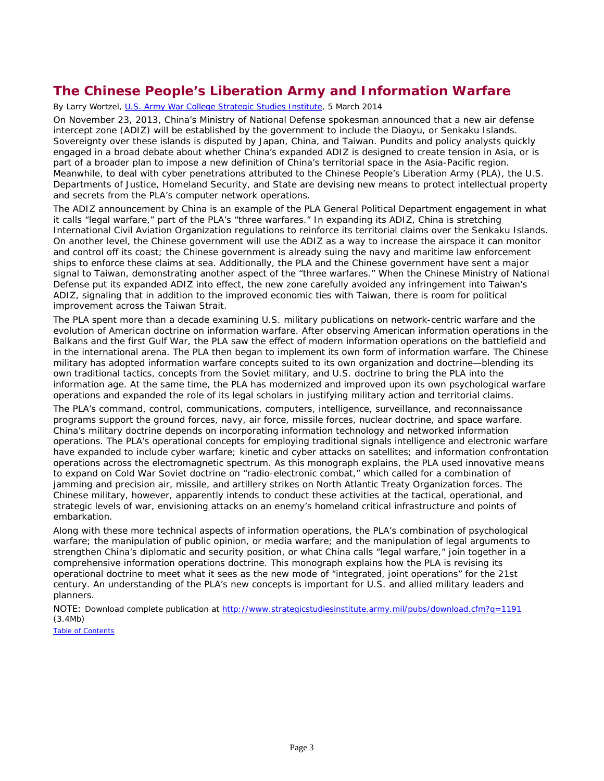### <span id="page-2-0"></span>**The Chinese People's Liberation Army and Information Warfare**

By Larry Wortzel, [U.S. Army War College Strategic Studies Institute,](http://www.strategicstudiesinstitute.army.mil/pubs/display.cfm?pubID=1191) 5 March 2014

On November 23, 2013, China's Ministry of National Defense spokesman announced that a new air defense intercept zone (ADIZ) will be established by the government to include the Diaoyu, or Senkaku Islands. Sovereignty over these islands is disputed by Japan, China, and Taiwan. Pundits and policy analysts quickly engaged in a broad debate about whether China's expanded ADIZ is designed to create tension in Asia, or is part of a broader plan to impose a new definition of China's territorial space in the Asia-Pacific region. Meanwhile, to deal with cyber penetrations attributed to the Chinese People's Liberation Army (PLA), the U.S. Departments of Justice, Homeland Security, and State are devising new means to protect intellectual property and secrets from the PLA's computer network operations.

The ADIZ announcement by China is an example of the PLA General Political Department engagement in what it calls "legal warfare," part of the PLA's "three warfares." In expanding its ADIZ, China is stretching International Civil Aviation Organization regulations to reinforce its territorial claims over the Senkaku Islands. On another level, the Chinese government will use the ADIZ as a way to increase the airspace it can monitor and control off its coast; the Chinese government is already suing the navy and maritime law enforcement ships to enforce these claims at sea. Additionally, the PLA and the Chinese government have sent a major signal to Taiwan, demonstrating another aspect of the "three warfares." When the Chinese Ministry of National Defense put its expanded ADIZ into effect, the new zone carefully avoided any infringement into Taiwan's ADIZ, signaling that in addition to the improved economic ties with Taiwan, there is room for political improvement across the Taiwan Strait.

The PLA spent more than a decade examining U.S. military publications on network-centric warfare and the evolution of American doctrine on information warfare. After observing American information operations in the Balkans and the first Gulf War, the PLA saw the effect of modern information operations on the battlefield and in the international arena. The PLA then began to implement its own form of information warfare. The Chinese military has adopted information warfare concepts suited to its own organization and doctrine—blending its own traditional tactics, concepts from the Soviet military, and U.S. doctrine to bring the PLA into the information age. At the same time, the PLA has modernized and improved upon its own psychological warfare operations and expanded the role of its legal scholars in justifying military action and territorial claims.

The PLA's command, control, communications, computers, intelligence, surveillance, and reconnaissance programs support the ground forces, navy, air force, missile forces, nuclear doctrine, and space warfare. China's military doctrine depends on incorporating information technology and networked information operations. The PLA's operational concepts for employing traditional signals intelligence and electronic warfare have expanded to include cyber warfare; kinetic and cyber attacks on satellites; and information confrontation operations across the electromagnetic spectrum. As this monograph explains, the PLA used innovative means to expand on Cold War Soviet doctrine on "radio-electronic combat," which called for a combination of jamming and precision air, missile, and artillery strikes on North Atlantic Treaty Organization forces. The Chinese military, however, apparently intends to conduct these activities at the tactical, operational, and strategic levels of war, envisioning attacks on an enemy's homeland critical infrastructure and points of embarkation.

Along with these more technical aspects of information operations, the PLA's combination of psychological warfare; the manipulation of public opinion, or media warfare; and the manipulation of legal arguments to strengthen China's diplomatic and security position, or what China calls "legal warfare," join together in a comprehensive information operations doctrine. This monograph explains how the PLA is revising its operational doctrine to meet what it sees as the new mode of "integrated, joint operations" for the 21st century. An understanding of the PLA's new concepts is important for U.S. and allied military leaders and planners.

NOTE: Download complete publication at<http://www.strategicstudiesinstitute.army.mil/pubs/download.cfm?q=1191> (3.4Mb)

[Table of Contents](#page-1-0)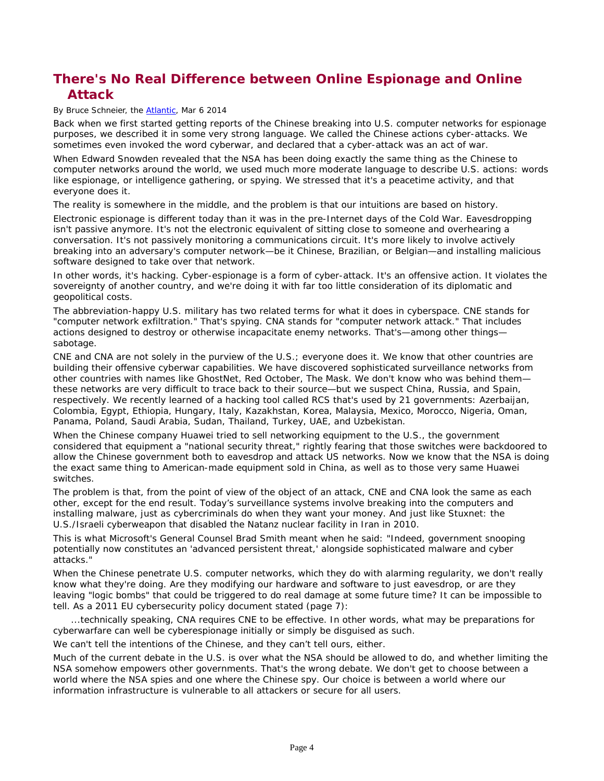### <span id="page-3-0"></span>**There's No Real Difference between Online Espionage and Online Attack**

#### By Bruce Schneier, the [Atlantic,](http://www.theatlantic.com/technology/archive/2014/03/theres-no-real-difference-between-online-espionage-and-online-attack/284233/) Mar 6 2014

Back when we first started getting reports of the Chinese breaking into U.S. computer networks for espionage purposes, we described it in some very strong language. We called the Chinese actions cyber-attacks. We sometimes even invoked the word cyberwar, and declared that a cyber-attack was an act of war.

When Edward Snowden revealed that the NSA has been doing exactly the same thing as the Chinese to computer networks around the world, we used much more moderate language to describe U.S. actions: words like espionage, or intelligence gathering, or spying. We stressed that it's a peacetime activity, and that everyone does it.

The reality is somewhere in the middle, and the problem is that our intuitions are based on history.

Electronic espionage is different today than it was in the pre-Internet days of the Cold War. Eavesdropping isn't passive anymore. It's not the electronic equivalent of sitting close to someone and overhearing a conversation. It's not passively monitoring a communications circuit. It's more likely to involve actively breaking into an adversary's computer network—be it Chinese, Brazilian, or Belgian—and installing malicious software designed to take over that network.

In other words, it's hacking. Cyber-espionage is a form of cyber-attack. It's an offensive action. It violates the sovereignty of another country, and we're doing it with far too little consideration of its diplomatic and geopolitical costs.

The abbreviation-happy U.S. military has two related terms for what it does in cyberspace. CNE stands for "computer network exfiltration." That's spying. CNA stands for "computer network attack." That includes actions designed to destroy or otherwise incapacitate enemy networks. That's—among other things sabotage.

CNE and CNA are not solely in the purview of the U.S.; everyone does it. We know that other countries are building their offensive cyberwar capabilities. We have discovered sophisticated surveillance networks from other countries with names like GhostNet, Red October, The Mask. We don't know who was behind them these networks are very difficult to trace back to their source—but we suspect China, Russia, and Spain, respectively. We recently learned of a hacking tool called RCS that's used by 21 governments: Azerbaijan, Colombia, Egypt, Ethiopia, Hungary, Italy, Kazakhstan, Korea, Malaysia, Mexico, Morocco, Nigeria, Oman, Panama, Poland, Saudi Arabia, Sudan, Thailand, Turkey, UAE, and Uzbekistan.

When the Chinese company Huawei tried to sell networking equipment to the U.S., the government considered that equipment a "national security threat," rightly fearing that those switches were backdoored to allow the Chinese government both to eavesdrop and attack US networks. Now we know that the NSA is doing the exact same thing to American-made equipment sold in China, as well as to those very same Huawei switches.

The problem is that, from the point of view of the object of an attack, CNE and CNA look the same as each other, except for the end result. Today's surveillance systems involve breaking into the computers and installing malware, just as cybercriminals do when they want your money. And just like Stuxnet: the U.S./Israeli cyberweapon that disabled the Natanz nuclear facility in Iran in 2010.

This is what Microsoft's General Counsel Brad Smith meant when he said: "Indeed, government snooping potentially now constitutes an 'advanced persistent threat,' alongside sophisticated malware and cyber attacks."

When the Chinese penetrate U.S. computer networks, which they do with alarming regularity, we don't really know what they're doing. Are they modifying our hardware and software to just eavesdrop, or are they leaving "logic bombs" that could be triggered to do real damage at some future time? It can be impossible to tell. As a 2011 EU cybersecurity policy document stated (page 7):

*...technically speaking, CNA requires CNE to be effective. In other words, what may be preparations for cyberwarfare can well be cyberespionage initially or simply be disguised as such.*

We can't tell the intentions of the Chinese, and they can't tell ours, either.

Much of the current debate in the U.S. is over what the NSA should be allowed to do, and whether limiting the NSA somehow empowers other governments. That's the wrong debate. We don't get to choose between a world where the NSA spies and one where the Chinese spy. Our choice is between a world where our information infrastructure is vulnerable to all attackers or secure for all users.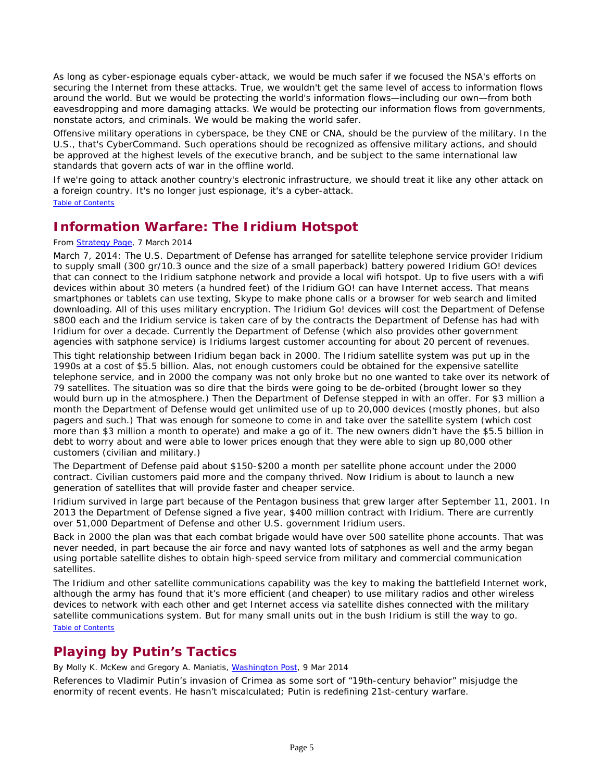As long as cyber-espionage equals cyber-attack, we would be much safer if we focused the NSA's efforts on securing the Internet from these attacks. True, we wouldn't get the same level of access to information flows around the world. But we would be protecting the world's information flows—including our own—from both eavesdropping and more damaging attacks. We would be protecting our information flows from governments, nonstate actors, and criminals. We would be making the world safer.

Offensive military operations in cyberspace, be they CNE or CNA, should be the purview of the military. In the U.S., that's CyberCommand. Such operations should be recognized as offensive military actions, and should be approved at the highest levels of the executive branch, and be subject to the same international law standards that govern acts of war in the offline world.

If we're going to attack another country's electronic infrastructure, we should treat it like any other attack on a foreign country. It's no longer just espionage, it's a cyber-attack.

[Table of Contents](#page-1-0)

### <span id="page-4-0"></span>**Information Warfare: The Iridium Hotspot**

#### From [Strategy Page,](http://www.strategypage.com/htmw/htiw/articles/20140307.aspx) 7 March 2014

March 7, 2014: The U.S. Department of Defense has arranged for satellite telephone service provider Iridium to supply small (300 gr/10.3 ounce and the size of a small paperback) battery powered Iridium GO! devices that can connect to the Iridium satphone network and provide a local wifi hotspot. Up to five users with a wifi devices within about 30 meters (a hundred feet) of the Iridium GO! can have Internet access. That means smartphones or tablets can use texting, Skype to make phone calls or a browser for web search and limited downloading. All of this uses military encryption. The Iridium Go! devices will cost the Department of Defense \$800 each and the Iridium service is taken care of by the contracts the Department of Defense has had with Iridium for over a decade. Currently the Department of Defense (which also provides other government agencies with satphone service) is Iridiums largest customer accounting for about 20 percent of revenues.

This tight relationship between Iridium began back in 2000. The Iridium satellite system was put up in the 1990s at a cost of \$5.5 billion. Alas, not enough customers could be obtained for the expensive satellite telephone service, and in 2000 the company was not only broke but no one wanted to take over its network of 79 satellites. The situation was so dire that the birds were going to be de-orbited (brought lower so they would burn up in the atmosphere.) Then the Department of Defense stepped in with an offer. For \$3 million a month the Department of Defense would get unlimited use of up to 20,000 devices (mostly phones, but also pagers and such.) That was enough for someone to come in and take over the satellite system (which cost more than \$3 million a month to operate) and make a go of it. The new owners didn't have the \$5.5 billion in debt to worry about and were able to lower prices enough that they were able to sign up 80,000 other customers (civilian and military.)

The Department of Defense paid about \$150-\$200 a month per satellite phone account under the 2000 contract. Civilian customers paid more and the company thrived. Now Iridium is about to launch a new generation of satellites that will provide faster and cheaper service.

Iridium survived in large part because of the Pentagon business that grew larger after September 11, 2001. In 2013 the Department of Defense signed a five year, \$400 million contract with Iridium. There are currently over 51,000 Department of Defense and other U.S. government Iridium users.

Back in 2000 the plan was that each combat brigade would have over 500 satellite phone accounts. That was never needed, in part because the air force and navy wanted lots of satphones as well and the army began using portable satellite dishes to obtain high-speed service from military and commercial communication satellites.

The Iridium and other satellite communications capability was the key to making the battlefield Internet work, although the army has found that it's more efficient (and cheaper) to use military radios and other wireless devices to network with each other and get Internet access via satellite dishes connected with the military satellite communications system. But for many small units out in the bush Iridium is still the way to go. [Table of Contents](#page-1-0)

### <span id="page-4-1"></span>**Playing by Putin's Tactics**

By Molly K. McKew and Gregory A. Maniatis, [Washington Post,](http://www.washingtonpost.com/opinions/playing-by-putins-tactics/2014/03/09/b5233b90-a558-11e3-a5fa-55f0c77bf39c_story.html) 9 Mar 2014

References to Vladimir Putin's invasion of Crimea as some sort of "19th-century behavior" misjudge the enormity of recent events. He hasn't miscalculated; Putin is redefining 21st-century warfare.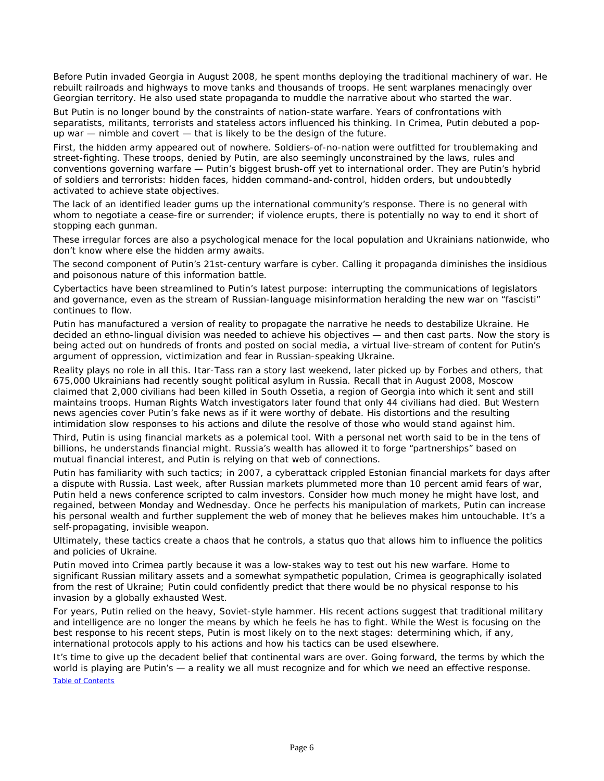Before Putin invaded Georgia in August 2008, he spent months deploying the traditional machinery of war. He rebuilt railroads and highways to move tanks and thousands of troops. He sent warplanes menacingly over Georgian territory. He also used state propaganda to muddle the narrative about who started the war.

But Putin is no longer bound by the constraints of nation-state warfare. Years of confrontations with separatists, militants, terrorists and stateless actors influenced his thinking. In Crimea, Putin debuted a popup war — nimble and covert — that is likely to be the design of the future.

First, the hidden army appeared out of nowhere. Soldiers-of-no-nation were outfitted for troublemaking and street-fighting. These troops, denied by Putin, are also seemingly unconstrained by the laws, rules and conventions governing warfare — Putin's biggest brush-off yet to international order. They are Putin's hybrid of soldiers and terrorists: hidden faces, hidden command-and-control, hidden orders, but undoubtedly activated to achieve state objectives.

The lack of an identified leader gums up the international community's response. There is no general with whom to negotiate a cease-fire or surrender; if violence erupts, there is potentially no way to end it short of stopping each gunman.

These irregular forces are also a psychological menace for the local population and Ukrainians nationwide, who don't know where else the hidden army awaits.

The second component of Putin's 21st-century warfare is cyber. Calling it propaganda diminishes the insidious and poisonous nature of this information battle.

Cybertactics have been streamlined to Putin's latest purpose: interrupting the communications of legislators and governance, even as the stream of Russian-language misinformation heralding the new war on "fascisti" continues to flow.

Putin has manufactured a version of reality to propagate the narrative he needs to destabilize Ukraine. He decided an ethno-lingual division was needed to achieve his objectives — and then cast parts. Now the story is being acted out on hundreds of fronts and posted on social media, a virtual live-stream of content for Putin's argument of oppression, victimization and fear in Russian-speaking Ukraine.

Reality plays no role in all this. Itar-Tass ran a story last weekend, later picked up by Forbes and others, that 675,000 Ukrainians had recently sought political asylum in Russia. Recall that in August 2008, Moscow claimed that 2,000 civilians had been killed in South Ossetia, a region of Georgia into which it sent and still maintains troops. Human Rights Watch investigators later found that only 44 civilians had died. But Western news agencies cover Putin's fake news as if it were worthy of debate. His distortions and the resulting intimidation slow responses to his actions and dilute the resolve of those who would stand against him.

Third, Putin is using financial markets as a polemical tool. With a personal net worth said to be in the tens of billions, he understands financial might. Russia's wealth has allowed it to forge "partnerships" based on mutual financial interest, and Putin is relying on that web of connections.

Putin has familiarity with such tactics; in 2007, a cyberattack crippled Estonian financial markets for days after a dispute with Russia. Last week, after Russian markets plummeted more than 10 percent amid fears of war, Putin held a news conference scripted to calm investors. Consider how much money he might have lost, and regained, between Monday and Wednesday. Once he perfects his manipulation of markets, Putin can increase his personal wealth and further supplement the web of money that he believes makes him untouchable. It's a self-propagating, invisible weapon.

Ultimately, these tactics create a chaos that he controls, a status quo that allows him to influence the politics and policies of Ukraine.

Putin moved into Crimea partly because it was a low-stakes way to test out his new warfare. Home to significant Russian military assets and a somewhat sympathetic population, Crimea is geographically isolated from the rest of Ukraine; Putin could confidently predict that there would be no physical response to his invasion by a globally exhausted West.

For years, Putin relied on the heavy, Soviet-style hammer. His recent actions suggest that traditional military and intelligence are no longer the means by which he feels he has to fight. While the West is focusing on the best response to his recent steps, Putin is most likely on to the next stages: determining which, if any, international protocols apply to his actions and how his tactics can be used elsewhere.

It's time to give up the decadent belief that continental wars are over. Going forward, the terms by which the world is playing are Putin's — a reality we all must recognize and for which we need an effective response. [Table of Contents](#page-1-0)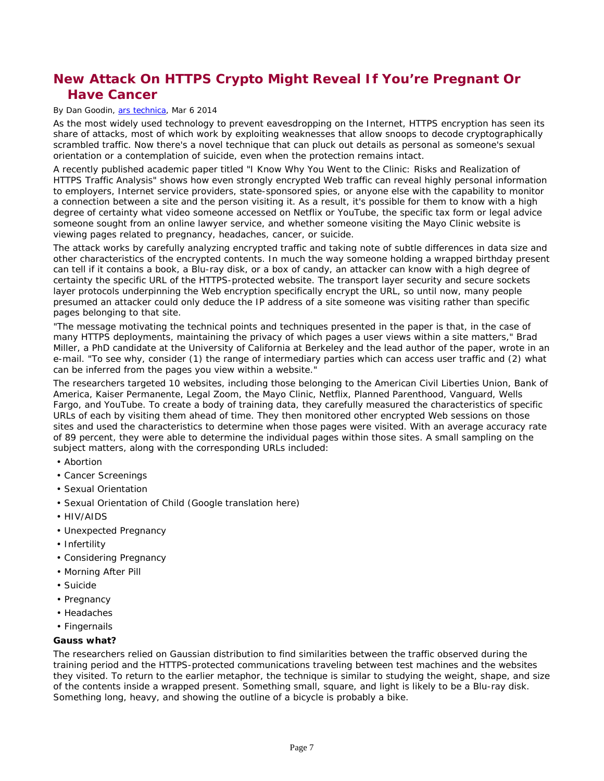### <span id="page-6-0"></span>**New Attack On HTTPS Crypto Might Reveal If You're Pregnant Or Have Cancer**

#### By Dan Goodin, [ars technica,](http://arstechnica.com/security/2014/03/new-attack-on-https-crypto-might-know-if-youre-pregnant-or-have-cancer/) Mar 6 2014

As the most widely used technology to prevent eavesdropping on the Internet, HTTPS encryption has seen its share of attacks, most of which work by exploiting weaknesses that allow snoops to decode cryptographically scrambled traffic. Now there's a novel technique that can pluck out details as personal as someone's sexual orientation or a contemplation of suicide, even when the protection remains intact.

A recently published academic paper titled "I Know Why You Went to the Clinic: Risks and Realization of HTTPS Traffic Analysis" shows how even strongly encrypted Web traffic can reveal highly personal information to employers, Internet service providers, state-sponsored spies, or anyone else with the capability to monitor a connection between a site and the person visiting it. As a result, it's possible for them to know with a high degree of certainty what video someone accessed on Netflix or YouTube, the specific tax form or legal advice someone sought from an online lawyer service, and whether someone visiting the Mayo Clinic website is viewing pages related to pregnancy, headaches, cancer, or suicide.

The attack works by carefully analyzing encrypted traffic and taking note of subtle differences in data size and other characteristics of the encrypted contents. In much the way someone holding a wrapped birthday present can tell if it contains a book, a Blu-ray disk, or a box of candy, an attacker can know with a high degree of certainty the specific URL of the HTTPS-protected website. The transport layer security and secure sockets layer protocols underpinning the Web encryption specifically encrypt the URL, so until now, many people presumed an attacker could only deduce the IP address of a site someone was visiting rather than specific pages belonging to that site.

"The message motivating the technical points and techniques presented in the paper is that, in the case of many HTTPS deployments, maintaining the privacy of which pages a user views within a site matters," Brad Miller, a PhD candidate at the University of California at Berkeley and the lead author of the paper, wrote in an e-mail. "To see why, consider (1) the range of intermediary parties which can access user traffic and (2) what can be inferred from the pages you view within a website."

The researchers targeted 10 websites, including those belonging to the American Civil Liberties Union, Bank of America, Kaiser Permanente, Legal Zoom, the Mayo Clinic, Netflix, Planned Parenthood, Vanguard, Wells Fargo, and YouTube. To create a body of training data, they carefully measured the characteristics of specific URLs of each by visiting them ahead of time. They then monitored other encrypted Web sessions on those sites and used the characteristics to determine when those pages were visited. With an average accuracy rate of 89 percent, they were able to determine the individual pages within those sites. A small sampling on the subject matters, along with the corresponding URLs included:

- Abortion
- Cancer Screenings
- Sexual Orientation
- Sexual Orientation of Child (Google translation here)
- HIV/AIDS
- Unexpected Pregnancy
- Infertility
- Considering Pregnancy
- Morning After Pill
- Suicide
- Pregnancy
- Headaches
- Fingernails

#### **Gauss what?**

The researchers relied on Gaussian distribution to find similarities between the traffic observed during the training period and the HTTPS-protected communications traveling between test machines and the websites they visited. To return to the earlier metaphor, the technique is similar to studying the weight, shape, and size of the contents inside a wrapped present. Something small, square, and light is likely to be a Blu-ray disk. Something long, heavy, and showing the outline of a bicycle is probably a bike.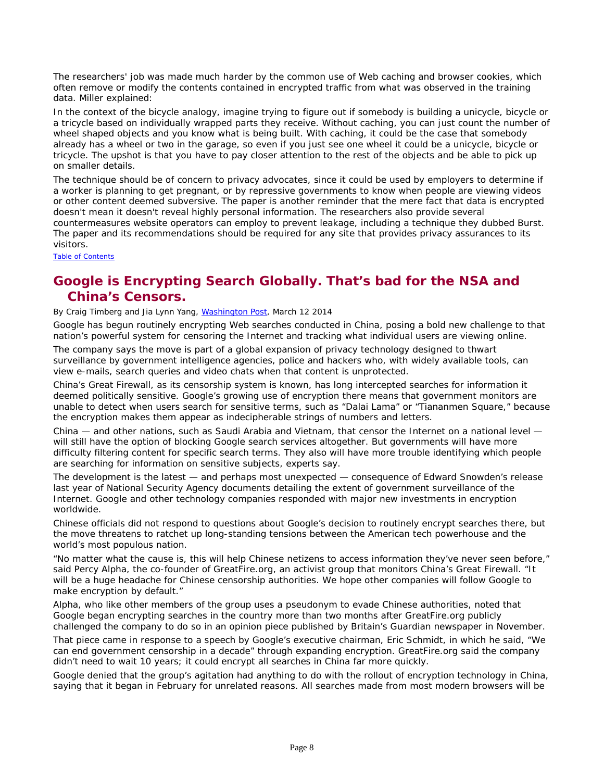The researchers' job was made much harder by the common use of Web caching and browser cookies, which often remove or modify the contents contained in encrypted traffic from what was observed in the training data. Miller explained:

In the context of the bicycle analogy, imagine trying to figure out if somebody is building a unicycle, bicycle or *a tricycle based on individually wrapped parts they receive. Without caching, you can just count the number of wheel shaped objects and you know what is being built. With caching, it could be the case that somebody already has a wheel or two in the garage, so even if you just see one wheel it could be a unicycle, bicycle or tricycle. The upshot is that you have to pay closer attention to the rest of the objects and be able to pick up on smaller details.*

The technique should be of concern to privacy advocates, since it could be used by employers to determine if a worker is planning to get pregnant, or by repressive governments to know when people are viewing videos or other content deemed subversive. The paper is another reminder that the mere fact that data is encrypted doesn't mean it doesn't reveal highly personal information. The researchers also provide several countermeasures website operators can employ to prevent leakage, including a technique they dubbed Burst. The paper and its recommendations should be required for any site that provides privacy assurances to its visitors.

[Table of Contents](#page-1-0)

### <span id="page-7-0"></span>**Google is Encrypting Search Globally. That's bad for the NSA and China's Censors.**

By Craig Timberg and Jia Lynn Yang, [Washington Post,](http://www.washingtonpost.com/blogs/the-switch/wp/2014/03/12/google-is-encrypting-search-worldwide-thats-bad-for-the-nsa-and-china/?tid=ts_carousel) March 12 2014

Google has begun routinely encrypting Web searches conducted in China, posing a bold new challenge to that nation's powerful system for censoring the Internet and tracking what individual users are viewing online.

The company says the move is part of a global expansion of privacy technology designed to thwart surveillance by government intelligence agencies, police and hackers who, with widely available tools, can view e-mails, search queries and video chats when that content is unprotected.

China's Great Firewall, as its censorship system is known, has long intercepted searches for information it deemed politically sensitive. Google's growing use of encryption there means that government monitors are unable to detect when users search for sensitive terms, such as "Dalai Lama" or "Tiananmen Square," because the encryption makes them appear as indecipherable strings of numbers and letters.

China — and other nations, such as Saudi Arabia and Vietnam, that censor the Internet on a national level will still have the option of blocking Google search services altogether. But governments will have more difficulty filtering content for specific search terms. They also will have more trouble identifying which people are searching for information on sensitive subjects, experts say.

The development is the latest — and perhaps most unexpected — consequence of Edward Snowden's release last year of National Security Agency documents detailing the extent of government surveillance of the Internet. Google and other technology companies responded with major new investments in encryption worldwide.

Chinese officials did not respond to questions about Google's decision to routinely encrypt searches there, but the move threatens to ratchet up long-standing tensions between the American tech powerhouse and the world's most populous nation.

"No matter what the cause is, this will help Chinese netizens to access information they've never seen before," said Percy Alpha, the co-founder of GreatFire.org, an activist group that monitors China's Great Firewall. "It will be a huge headache for Chinese censorship authorities. We hope other companies will follow Google to make encryption by default."

Alpha, who like other members of the group uses a pseudonym to evade Chinese authorities, noted that Google began encrypting searches in the country more than two months after GreatFire.org publicly challenged the company to do so in an opinion piece published by Britain's Guardian newspaper in November.

That piece came in response to a speech by Google's executive chairman, Eric Schmidt, in which he said, "We can end government censorship in a decade" through expanding encryption. GreatFire.org said the company didn't need to wait 10 years; it could encrypt all searches in China far more quickly.

Google denied that the group's agitation had anything to do with the rollout of encryption technology in China, saying that it began in February for unrelated reasons. All searches made from most modern browsers will be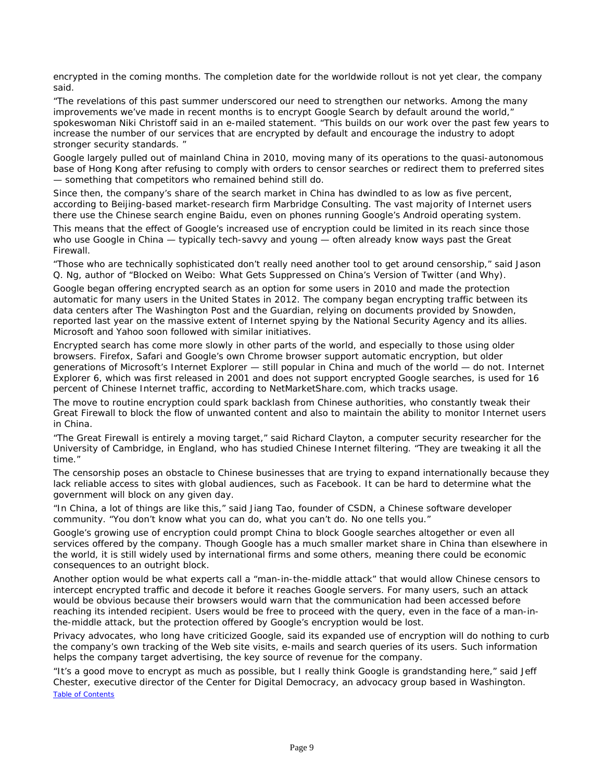encrypted in the coming months. The completion date for the worldwide rollout is not yet clear, the company said.

"The revelations of this past summer underscored our need to strengthen our networks. Among the many improvements we've made in recent months is to encrypt Google Search by default around the world," spokeswoman Niki Christoff said in an e-mailed statement. "This builds on our work over the past few years to increase the number of our services that are encrypted by default and encourage the industry to adopt stronger security standards. "

Google largely pulled out of mainland China in 2010, moving many of its operations to the quasi-autonomous base of Hong Kong after refusing to comply with orders to censor searches or redirect them to preferred sites — something that competitors who remained behind still do.

Since then, the company's share of the search market in China has dwindled to as low as five percent, according to Beijing-based market-research firm Marbridge Consulting. The vast majority of Internet users there use the Chinese search engine Baidu, even on phones running Google's Android operating system.

This means that the effect of Google's increased use of encryption could be limited in its reach since those who use Google in China — typically tech-savvy and young — often already know ways past the Great Firewall.

"Those who are technically sophisticated don't really need another tool to get around censorship," said Jason Q. Ng, author of "Blocked on Weibo: What Gets Suppressed on China's Version of Twitter (and Why).

Google began offering encrypted search as an option for some users in 2010 and made the protection automatic for many users in the United States in 2012. The company began encrypting traffic between its data centers after The Washington Post and the Guardian, relying on documents provided by Snowden, reported last year on the massive extent of Internet spying by the National Security Agency and its allies. Microsoft and Yahoo soon followed with similar initiatives.

Encrypted search has come more slowly in other parts of the world, and especially to those using older browsers. Firefox, Safari and Google's own Chrome browser support automatic encryption, but older generations of Microsoft's Internet Explorer — still popular in China and much of the world — do not. Internet Explorer 6, which was first released in 2001 and does not support encrypted Google searches, is used for 16 percent of Chinese Internet traffic, according to NetMarketShare.com, which tracks usage.

The move to routine encryption could spark backlash from Chinese authorities, who constantly tweak their Great Firewall to block the flow of unwanted content and also to maintain the ability to monitor Internet users in China.

"The Great Firewall is entirely a moving target," said Richard Clayton, a computer security researcher for the University of Cambridge, in England, who has studied Chinese Internet filtering. "They are tweaking it all the time."

The censorship poses an obstacle to Chinese businesses that are trying to expand internationally because they lack reliable access to sites with global audiences, such as Facebook. It can be hard to determine what the government will block on any given day.

"In China, a lot of things are like this," said Jiang Tao, founder of CSDN, a Chinese software developer community. "You don't know what you can do, what you can't do. No one tells you."

Google's growing use of encryption could prompt China to block Google searches altogether or even all services offered by the company. Though Google has a much smaller market share in China than elsewhere in the world, it is still widely used by international firms and some others, meaning there could be economic consequences to an outright block.

Another option would be what experts call a "man-in-the-middle attack" that would allow Chinese censors to intercept encrypted traffic and decode it before it reaches Google servers. For many users, such an attack would be obvious because their browsers would warn that the communication had been accessed before reaching its intended recipient. Users would be free to proceed with the query, even in the face of a man-inthe-middle attack, but the protection offered by Google's encryption would be lost.

Privacy advocates, who long have criticized Google, said its expanded use of encryption will do nothing to curb the company's own tracking of the Web site visits, e-mails and search queries of its users. Such information helps the company target advertising, the key source of revenue for the company.

"It's a good move to encrypt as much as possible, but I really think Google is grandstanding here," said Jeff Chester, executive director of the Center for Digital Democracy, an advocacy group based in Washington. [Table of Contents](#page-1-0)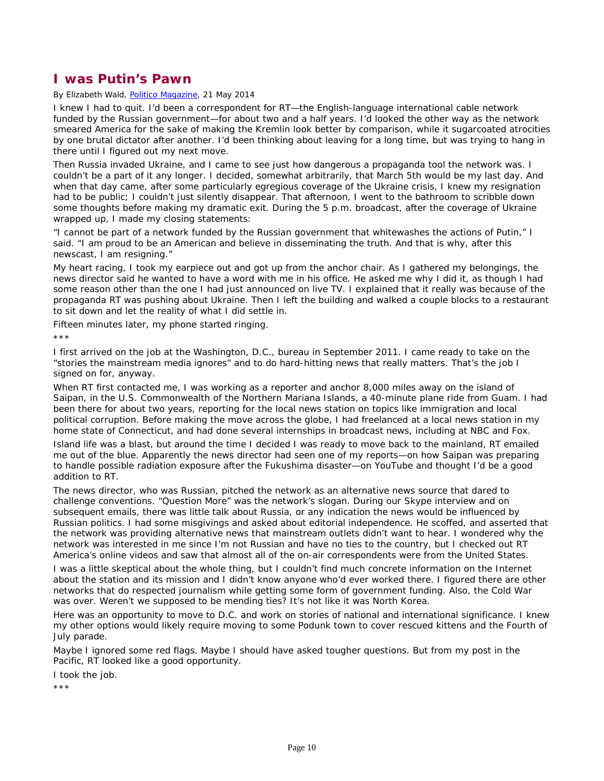### <span id="page-9-0"></span>**I was Putin's Pawn**

By Elizabeth Wald, [Politico Magazine,](http://www.politico.com/magazine/story/2014/03/liz-wahl-quit-russia-today-putins-pawn-104888.html%23ixzz2wuP4XwaI) 21 May 2014

I knew I had to quit. I'd been a correspondent for RT—the English-language international cable network funded by the Russian government—for about two and a half years. I'd looked the other way as the network smeared America for the sake of making the Kremlin look better by comparison, while it sugarcoated atrocities by one brutal dictator after another. I'd been thinking about leaving for a long time, but was trying to hang in there until I figured out my next move.

Then Russia invaded Ukraine, and I came to see just how dangerous a propaganda tool the network was. I couldn't be a part of it any longer. I decided, somewhat arbitrarily, that March 5th would be my last day. And when that day came, after some particularly egregious coverage of the Ukraine crisis, I knew my resignation had to be public; I couldn't just silently disappear. That afternoon, I went to the bathroom to scribble down some thoughts before making my dramatic exit. During the 5 p.m. broadcast, after the coverage of Ukraine wrapped up, I made my closing statements:

"I cannot be part of a network funded by the Russian government that whitewashes the actions of Putin," I said. "I am proud to be an American and believe in disseminating the truth. And that is why, after this newscast, I am resigning."

My heart racing, I took my earpiece out and got up from the anchor chair. As I gathered my belongings, the news director said he wanted to have a word with me in his office. He asked me why I did it, as though I had some reason other than the one I had just announced on live TV. I explained that it really was because of the propaganda RT was pushing about Ukraine. Then I left the building and walked a couple blocks to a restaurant to sit down and let the reality of what I did settle in.

Fifteen minutes later, my phone started ringing.

\*\*\*

I first arrived on the job at the Washington, D.C., bureau in September 2011. I came ready to take on the "stories the mainstream media ignores" and to do hard-hitting news that really matters. That's the job I signed on for, anyway.

When RT first contacted me, I was working as a reporter and anchor 8,000 miles away on the island of Saipan, in the U.S. Commonwealth of the Northern Mariana Islands, a 40-minute plane ride from Guam. I had been there for about two years, reporting for the local news station on topics like immigration and local political corruption. Before making the move across the globe, I had freelanced at a local news station in my home state of Connecticut, and had done several internships in broadcast news, including at NBC and Fox. Island life was a blast, but around the time I decided I was ready to move back to the mainland, RT emailed me out of the blue. Apparently the news director had seen one of my reports—on how Saipan was preparing to handle possible radiation exposure after the Fukushima disaster—on YouTube and thought I'd be a good addition to RT.

The news director, who was Russian, pitched the network as an alternative news source that dared to challenge conventions. "Question More" was the network's slogan. During our Skype interview and on subsequent emails, there was little talk about Russia, or any indication the news would be influenced by Russian politics. I had some misgivings and asked about editorial independence. He scoffed, and asserted that the network was providing alternative news that mainstream outlets didn't want to hear. I wondered why the network was interested in me since I'm not Russian and have no ties to the country, but I checked out RT America's online videos and saw that almost all of the on-air correspondents were from the United States.

I was a little skeptical about the whole thing, but I couldn't find much concrete information on the Internet about the station and its mission and I didn't know anyone who'd ever worked there. I figured there are other networks that do respected journalism while getting some form of government funding. Also, the Cold War was over. Weren't we supposed to be mending ties? It's not like it was North Korea.

Here was an opportunity to move to D.C. and work on stories of national and international significance. I knew my other options would likely require moving to some Podunk town to cover rescued kittens and the Fourth of July parade.

Maybe I ignored some red flags. Maybe I should have asked tougher questions. But from my post in the Pacific, RT looked like a good opportunity.

I took the job.

\*\*\*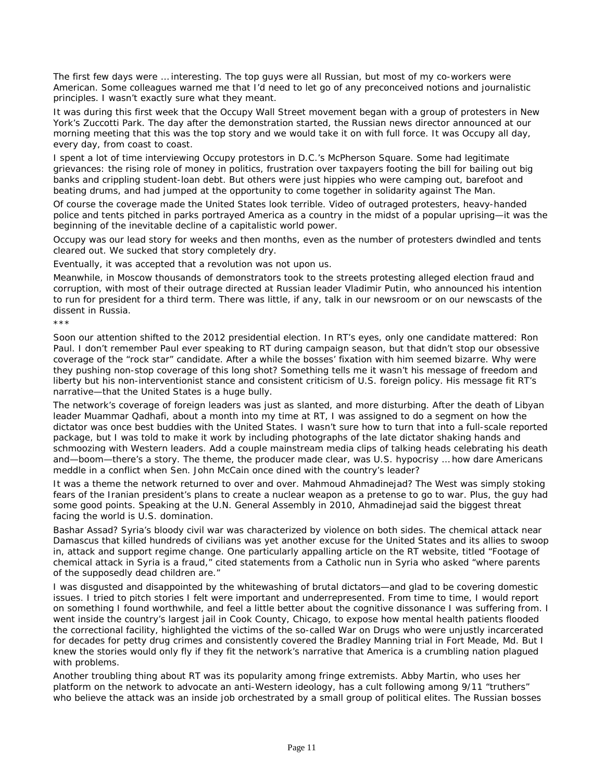The first few days were … interesting. The top guys were all Russian, but most of my co-workers were American. Some colleagues warned me that I'd need to let go of any preconceived notions and journalistic principles. I wasn't exactly sure what they meant.

It was during this first week that the Occupy Wall Street movement began with a group of protesters in New York's Zuccotti Park. The day after the demonstration started, the Russian news director announced at our morning meeting that this was the top story and we would take it on with full force. It was Occupy all day, every day, from coast to coast.

I spent a lot of time interviewing Occupy protestors in D.C.'s McPherson Square. Some had legitimate grievances: the rising role of money in politics, frustration over taxpayers footing the bill for bailing out big banks and crippling student-loan debt. But others were just hippies who were camping out, barefoot and beating drums, and had jumped at the opportunity to come together in solidarity against The Man.

Of course the coverage made the United States look terrible. Video of outraged protesters, heavy-handed police and tents pitched in parks portrayed America as a country in the midst of a popular uprising—it was the beginning of the inevitable decline of a capitalistic world power.

Occupy was our lead story for weeks and then months, even as the number of protesters dwindled and tents cleared out. We sucked that story completely dry.

Eventually, it was accepted that a revolution was not upon us.

Meanwhile, in Moscow thousands of demonstrators took to the streets protesting alleged election fraud and corruption, with most of their outrage directed at Russian leader Vladimir Putin, who announced his intention to run for president for a third term. There was little, if any, talk in our newsroom or on our newscasts of the dissent in Russia.

.<br>مارس مار

Soon our attention shifted to the 2012 presidential election. In RT's eyes, only one candidate mattered: Ron Paul. I don't remember Paul ever speaking to RT during campaign season, but that didn't stop our obsessive coverage of the "rock star" candidate. After a while the bosses' fixation with him seemed bizarre. Why were they pushing non-stop coverage of this long shot? Something tells me it wasn't his message of freedom and liberty but his non-interventionist stance and consistent criticism of U.S. foreign policy. His message fit RT's narrative—that the United States is a huge bully.

The network's coverage of foreign leaders was just as slanted, and more disturbing. After the death of Libyan leader Muammar Qadhafi, about a month into my time at RT, I was assigned to do a segment on how the dictator was once best buddies with the United States. I wasn't sure how to turn that into a full-scale reported package, but I was told to make it work by including photographs of the late dictator shaking hands and schmoozing with Western leaders. Add a couple mainstream media clips of talking heads celebrating his death and—boom—there's a story. The theme, the producer made clear, was U.S. hypocrisy … how dare Americans meddle in a conflict when Sen. John McCain once dined with the country's leader?

It was a theme the network returned to over and over. Mahmoud Ahmadinejad? The West was simply stoking fears of the Iranian president's plans to create a nuclear weapon as a pretense to go to war. Plus, the guy had some good points. Speaking at the U.N. General Assembly in 2010, Ahmadinejad said the biggest threat facing the world is U.S. domination.

Bashar Assad? Syria's bloody civil war was characterized by violence on both sides. The chemical attack near Damascus that killed hundreds of civilians was yet another excuse for the United States and its allies to swoop in, attack and support regime change. One particularly appalling article on the RT website, titled "Footage of chemical attack in Syria is a fraud," cited statements from a Catholic nun in Syria who asked "where parents of the supposedly dead children are."

I was disgusted and disappointed by the whitewashing of brutal dictators—and glad to be covering domestic issues. I tried to pitch stories I felt were important and underrepresented. From time to time, I would report on something I found worthwhile, and feel a little better about the cognitive dissonance I was suffering from. I went inside the country's largest jail in Cook County, Chicago, to expose how mental health patients flooded the correctional facility, highlighted the victims of the so-called War on Drugs who were unjustly incarcerated for decades for petty drug crimes and consistently covered the Bradley Manning trial in Fort Meade, Md. But I knew the stories would only fly if they fit the network's narrative that America is a crumbling nation plagued with problems.

Another troubling thing about RT was its popularity among fringe extremists. Abby Martin, who uses her platform on the network to advocate an anti-Western ideology, has a cult following among 9/11 "truthers" who believe the attack was an inside job orchestrated by a small group of political elites. The Russian bosses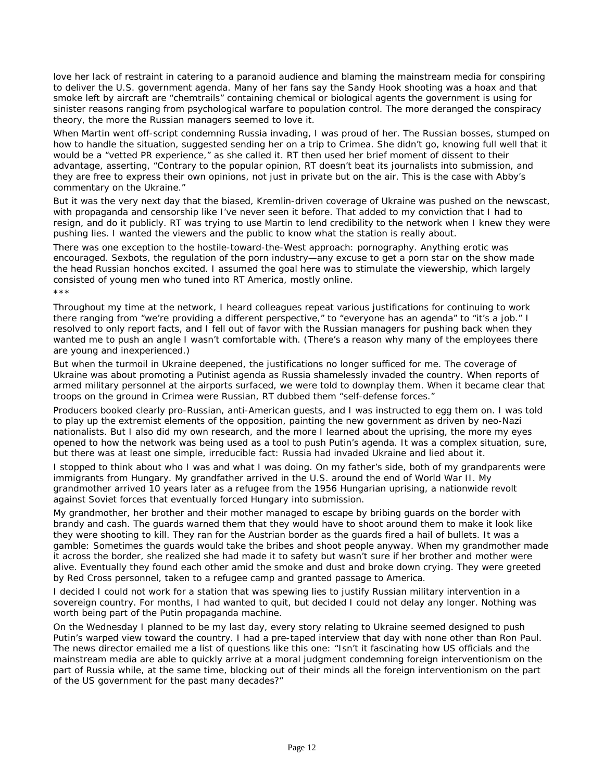love her lack of restraint in catering to a paranoid audience and blaming the mainstream media for conspiring to deliver the U.S. government agenda. Many of her fans say the Sandy Hook shooting was a hoax and that smoke left by aircraft are "chemtrails" containing chemical or biological agents the government is using for sinister reasons ranging from psychological warfare to population control. The more deranged the conspiracy theory, the more the Russian managers seemed to love it.

When Martin went off-script condemning Russia invading, I was proud of her. The Russian bosses, stumped on how to handle the situation, suggested sending her on a trip to Crimea. She didn't go, knowing full well that it would be a "vetted PR experience," as she called it. RT then used her brief moment of dissent to their advantage, asserting, "Contrary to the popular opinion, RT doesn't beat its journalists into submission, and they are free to express their own opinions, not just in private but on the air. This is the case with Abby's commentary on the Ukraine."

But it was the very next day that the biased, Kremlin-driven coverage of Ukraine was pushed on the newscast, with propaganda and censorship like I've never seen it before. That added to my conviction that I had to resign, and do it publicly. RT was trying to use Martin to lend credibility to the network when I knew they were pushing lies. I wanted the viewers and the public to know what the station is really about.

There was one exception to the hostile-toward-the-West approach: pornography. Anything erotic was encouraged. Sexbots, the regulation of the porn industry—any excuse to get a porn star on the show made the head Russian honchos excited. I assumed the goal here was to stimulate the viewership, which largely consisted of young men who tuned into RT America, mostly online. \*\*\*

Throughout my time at the network, I heard colleagues repeat various justifications for continuing to work there ranging from "we're providing a different perspective," to "everyone has an agenda" to "it's a job." I resolved to only report facts, and I fell out of favor with the Russian managers for pushing back when they wanted me to push an angle I wasn't comfortable with. (There's a reason why many of the employees there are young and inexperienced.)

But when the turmoil in Ukraine deepened, the justifications no longer sufficed for me. The coverage of Ukraine was about promoting a Putinist agenda as Russia shamelessly invaded the country. When reports of armed military personnel at the airports surfaced, we were told to downplay them. When it became clear that troops on the ground in Crimea were Russian, RT dubbed them "self-defense forces."

Producers booked clearly pro-Russian, anti-American guests, and I was instructed to egg them on. I was told to play up the extremist elements of the opposition, painting the new government as driven by neo-Nazi nationalists. But I also did my own research, and the more I learned about the uprising, the more my eyes opened to how the network was being used as a tool to push Putin's agenda. It was a complex situation, sure, but there was at least one simple, irreducible fact: Russia had invaded Ukraine and lied about it.

I stopped to think about who I was and what I was doing. On my father's side, both of my grandparents were immigrants from Hungary. My grandfather arrived in the U.S. around the end of World War II. My grandmother arrived 10 years later as a refugee from the 1956 Hungarian uprising, a nationwide revolt against Soviet forces that eventually forced Hungary into submission.

My grandmother, her brother and their mother managed to escape by bribing guards on the border with brandy and cash. The guards warned them that they would have to shoot around them to make it look like they were shooting to kill. They ran for the Austrian border as the guards fired a hail of bullets. It was a gamble: Sometimes the guards would take the bribes and shoot people anyway. When my grandmother made it across the border, she realized she had made it to safety but wasn't sure if her brother and mother were alive. Eventually they found each other amid the smoke and dust and broke down crying. They were greeted by Red Cross personnel, taken to a refugee camp and granted passage to America.

I decided I could not work for a station that was spewing lies to justify Russian military intervention in a sovereign country. For months, I had wanted to quit, but decided I could not delay any longer. Nothing was worth being part of the Putin propaganda machine.

On the Wednesday I planned to be my last day, every story relating to Ukraine seemed designed to push Putin's warped view toward the country. I had a pre-taped interview that day with none other than Ron Paul. The news director emailed me a list of questions like this one: "Isn't it fascinating how US officials and the mainstream media are able to quickly arrive at a moral judgment condemning foreign interventionism on the part of Russia while, at the same time, blocking out of their minds all the foreign interventionism on the part of the US government for the past many decades?"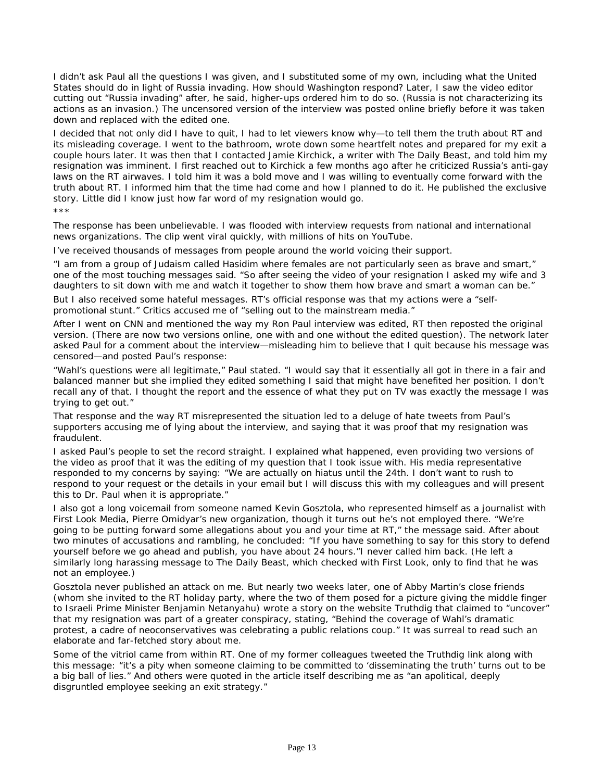I didn't ask Paul all the questions I was given, and I substituted some of my own, including what the United States should do in light of Russia invading. How should Washington respond? Later, I saw the video editor cutting out "Russia invading" after, he said, higher-ups ordered him to do so. (Russia is not characterizing its actions as an invasion.) The uncensored version of the interview was posted online briefly before it was taken down and replaced with the edited one.

I decided that not only did I have to quit, I had to let viewers know why—to tell them the truth about RT and its misleading coverage. I went to the bathroom, wrote down some heartfelt notes and prepared for my exit a couple hours later. It was then that I contacted Jamie Kirchick, a writer with The Daily Beast, and told him my resignation was imminent. I first reached out to Kirchick a few months ago after he criticized Russia's anti-gay laws on the RT airwaves. I told him it was a bold move and I was willing to eventually come forward with the truth about RT. I informed him that the time had come and how I planned to do it. He published the exclusive story. Little did I know just how far word of my resignation would go. \*\*\*

The response has been unbelievable. I was flooded with interview requests from national and international news organizations. The clip went viral quickly, with millions of hits on YouTube.

I've received thousands of messages from people around the world voicing their support.

"I am from a group of Judaism called Hasidim where females are not particularly seen as brave and smart," one of the most touching messages said. "So after seeing the video of your resignation I asked my wife and 3 daughters to sit down with me and watch it together to show them how brave and smart a woman can be."

But I also received some hateful messages. RT's official response was that my actions were a "selfpromotional stunt." Critics accused me of "selling out to the mainstream media."

After I went on CNN and mentioned the way my Ron Paul interview was edited, RT then reposted the original version. (There are now two versions online, one with and one without the edited question). The network later asked Paul for a comment about the interview—misleading him to believe that I quit because his message was censored—and posted Paul's response:

"Wahl's questions were all legitimate," Paul stated. "I would say that it essentially all got in there in a fair and balanced manner but she implied they edited something I said that might have benefited her position. I don't recall any of that. I thought the report and the essence of what they put on TV was exactly the message I was trying to get out."

That response and the way RT misrepresented the situation led to a deluge of hate tweets from Paul's supporters accusing me of lying about the interview, and saying that it was proof that my resignation was fraudulent.

I asked Paul's people to set the record straight. I explained what happened, even providing two versions of the video as proof that it was the editing of my question that I took issue with. His media representative responded to my concerns by saying: "We are actually on hiatus until the 24th. I don't want to rush to respond to your request or the details in your email but I will discuss this with my colleagues and will present this to Dr. Paul when it is appropriate."

I also got a long voicemail from someone named Kevin Gosztola, who represented himself as a journalist with First Look Media, Pierre Omidyar's new organization, though it turns out he's not employed there. "We're going to be putting forward some allegations about you and your time at RT," the message said. After about two minutes of accusations and rambling, he concluded: "If you have something to say for this story to defend yourself before we go ahead and publish, you have about 24 hours."I never called him back. (He left a similarly long harassing message to The Daily Beast, which checked with First Look, only to find that he was not an employee.)

Gosztola never published an attack on me. But nearly two weeks later, one of Abby Martin's close friends (whom she invited to the RT holiday party, where the two of them posed for a picture giving the middle finger to Israeli Prime Minister Benjamin Netanyahu) wrote a story on the website Truthdig that claimed to "uncover" that my resignation was part of a greater conspiracy, stating, "Behind the coverage of Wahl's dramatic protest, a cadre of neoconservatives was celebrating a public relations coup." It was surreal to read such an elaborate and far-fetched story about me.

Some of the vitriol came from within RT. One of my former colleagues tweeted the Truthdig link along with this message: "it's a pity when someone claiming to be committed to 'disseminating the truth' turns out to be a big ball of lies." And others were quoted in the article itself describing me as "an apolitical, deeply disgruntled employee seeking an exit strategy."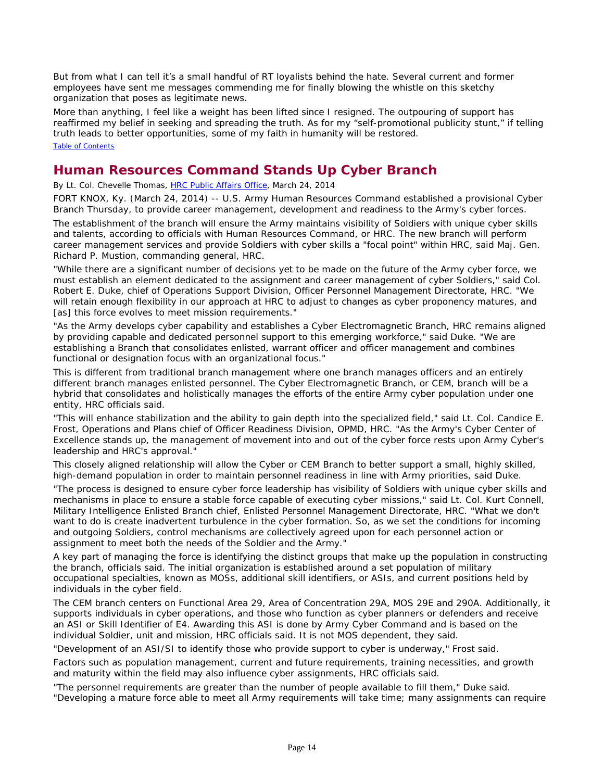But from what I can tell it's a small handful of RT loyalists behind the hate. Several current and former employees have sent me messages commending me for finally blowing the whistle on this sketchy organization that poses as legitimate news.

More than anything, I feel like a weight has been lifted since I resigned. The outpouring of support has reaffirmed my belief in seeking and spreading the truth. As for my "self-promotional publicity stunt," if telling truth leads to better opportunities, some of my faith in humanity will be restored. [Table of Contents](#page-1-0)

### <span id="page-13-0"></span>**Human Resources Command Stands Up Cyber Branch**

By Lt. Col. Chevelle Thomas, [HRC Public Affairs Office,](http://www.army.mil/article/122456/Human_Resources_Command_stands_up_Cyber_Branch/) March 24, 2014

FORT KNOX, Ky. (March 24, 2014) -- U.S. Army Human Resources Command established a provisional Cyber Branch Thursday, to provide career management, development and readiness to the Army's cyber forces.

The establishment of the branch will ensure the Army maintains visibility of Soldiers with unique cyber skills and talents, according to officials with Human Resources Command, or HRC. The new branch will perform career management services and provide Soldiers with cyber skills a "focal point" within HRC, said Maj. Gen. Richard P. Mustion, commanding general, HRC.

"While there are a significant number of decisions yet to be made on the future of the Army cyber force, we must establish an element dedicated to the assignment and career management of cyber Soldiers," said Col. Robert E. Duke, chief of Operations Support Division, Officer Personnel Management Directorate, HRC. "We will retain enough flexibility in our approach at HRC to adjust to changes as cyber proponency matures, and [as] this force evolves to meet mission requirements."

"As the Army develops cyber capability and establishes a Cyber Electromagnetic Branch, HRC remains aligned by providing capable and dedicated personnel support to this emerging workforce," said Duke. "We are establishing a Branch that consolidates enlisted, warrant officer and officer management and combines functional or designation focus with an organizational focus."

This is different from traditional branch management where one branch manages officers and an entirely different branch manages enlisted personnel. The Cyber Electromagnetic Branch, or CEM, branch will be a hybrid that consolidates and holistically manages the efforts of the entire Army cyber population under one entity, HRC officials said.

"This will enhance stabilization and the ability to gain depth into the specialized field," said Lt. Col. Candice E. Frost, Operations and Plans chief of Officer Readiness Division, OPMD, HRC. "As the Army's Cyber Center of Excellence stands up, the management of movement into and out of the cyber force rests upon Army Cyber's leadership and HRC's approval."

This closely aligned relationship will allow the Cyber or CEM Branch to better support a small, highly skilled, high-demand population in order to maintain personnel readiness in line with Army priorities, said Duke.

"The process is designed to ensure cyber force leadership has visibility of Soldiers with unique cyber skills and mechanisms in place to ensure a stable force capable of executing cyber missions," said Lt. Col. Kurt Connell, Military Intelligence Enlisted Branch chief, Enlisted Personnel Management Directorate, HRC. "What we don't want to do is create inadvertent turbulence in the cyber formation. So, as we set the conditions for incoming and outgoing Soldiers, control mechanisms are collectively agreed upon for each personnel action or assignment to meet both the needs of the Soldier and the Army."

A key part of managing the force is identifying the distinct groups that make up the population in constructing the branch, officials said. The initial organization is established around a set population of military occupational specialties, known as MOSs, additional skill identifiers, or ASIs, and current positions held by individuals in the cyber field.

The CEM branch centers on Functional Area 29, Area of Concentration 29A, MOS 29E and 290A. Additionally, it supports individuals in cyber operations, and those who function as cyber planners or defenders and receive an ASI or Skill Identifier of E4. Awarding this ASI is done by Army Cyber Command and is based on the individual Soldier, unit and mission, HRC officials said. It is not MOS dependent, they said.

"Development of an ASI/SI to identify those who provide support to cyber is underway," Frost said.

Factors such as population management, current and future requirements, training necessities, and growth and maturity within the field may also influence cyber assignments, HRC officials said.

"The personnel requirements are greater than the number of people available to fill them," Duke said. "Developing a mature force able to meet all Army requirements will take time; many assignments can require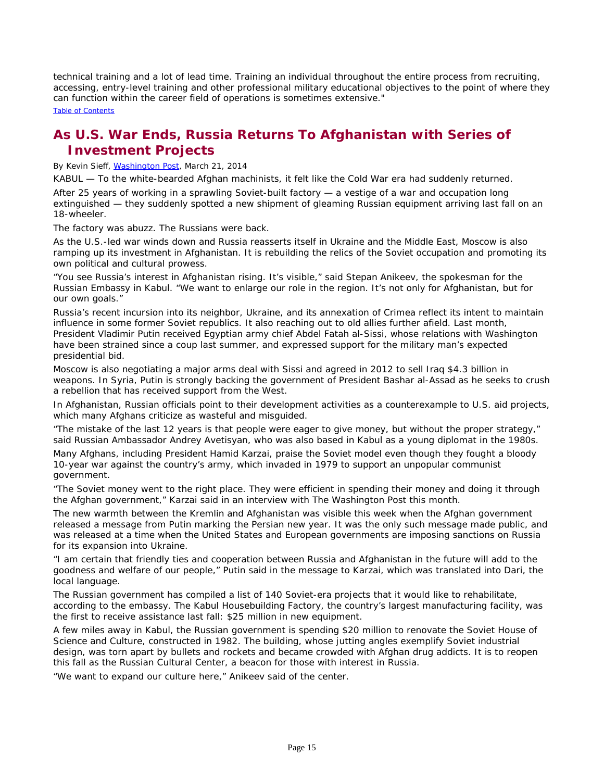technical training and a lot of lead time. Training an individual throughout the entire process from recruiting, accessing, entry-level training and other professional military educational objectives to the point of where they can function within the career field of operations is sometimes extensive." [Table of Contents](#page-1-0)

### <span id="page-14-0"></span>**As U.S. War Ends, Russia Returns To Afghanistan with Series of Investment Projects**

By Kevin Sieff, [Washington Post,](http://www.washingtonpost.com/world/asia_pacific/as-us-war-ends-russia-returns-to-afghanistan-with-series-of-investment-projects/2014/03/21/11fab228-a5fc-11e3-b865-38b254d92063_story.html) March 21, 2014

KABUL — To the white-bearded Afghan machinists, it felt like the Cold War era had suddenly returned.

After 25 years of working in a sprawling Soviet-built factory — a vestige of a war and occupation long extinguished — they suddenly spotted a new shipment of gleaming Russian equipment arriving last fall on an 18-wheeler.

The factory was abuzz. The Russians were back.

As the U.S.-led war winds down and Russia reasserts itself in Ukraine and the Middle East, Moscow is also ramping up its investment in Afghanistan. It is rebuilding the relics of the Soviet occupation and promoting its own political and cultural prowess.

"You see Russia's interest in Afghanistan rising. It's visible," said Stepan Anikeev, the spokesman for the Russian Embassy in Kabul. "We want to enlarge our role in the region. It's not only for Afghanistan, but for our own goals."

Russia's recent incursion into its neighbor, Ukraine, and its annexation of Crimea reflect its intent to maintain influence in some former Soviet republics. It also reaching out to old allies further afield. Last month, President Vladimir Putin received Egyptian army chief Abdel Fatah al-Sissi, whose relations with Washington have been strained since a coup last summer, and expressed support for the military man's expected presidential bid.

Moscow is also negotiating a major arms deal with Sissi and agreed in 2012 to sell Iraq \$4.3 billion in weapons. In Syria, Putin is strongly backing the government of President Bashar al-Assad as he seeks to crush a rebellion that has received support from the West.

In Afghanistan, Russian officials point to their development activities as a counterexample to U.S. aid projects, which many Afghans criticize as wasteful and misguided.

"The mistake of the last 12 years is that people were eager to give money, but without the proper strategy," said Russian Ambassador Andrey Avetisyan, who was also based in Kabul as a young diplomat in the 1980s.

Many Afghans, including President Hamid Karzai, praise the Soviet model even though they fought a bloody 10-year war against the country's army, which invaded in 1979 to support an unpopular communist government.

"The Soviet money went to the right place. They were efficient in spending their money and doing it through the Afghan government," Karzai said in an interview with The Washington Post this month.

The new warmth between the Kremlin and Afghanistan was visible this week when the Afghan government released a message from Putin marking the Persian new year. It was the only such message made public, and was released at a time when the United States and European governments are imposing sanctions on Russia for its expansion into Ukraine.

"I am certain that friendly ties and cooperation between Russia and Afghanistan in the future will add to the goodness and welfare of our people," Putin said in the message to Karzai, which was translated into Dari, the local language.

The Russian government has compiled a list of 140 Soviet-era projects that it would like to rehabilitate, according to the embassy. The Kabul Housebuilding Factory, the country's largest manufacturing facility, was the first to receive assistance last fall: \$25 million in new equipment.

A few miles away in Kabul, the Russian government is spending \$20 million to renovate the Soviet House of Science and Culture, constructed in 1982. The building, whose jutting angles exemplify Soviet industrial design, was torn apart by bullets and rockets and became crowded with Afghan drug addicts. It is to reopen this fall as the Russian Cultural Center, a beacon for those with interest in Russia.

"We want to expand our culture here," Anikeev said of the center.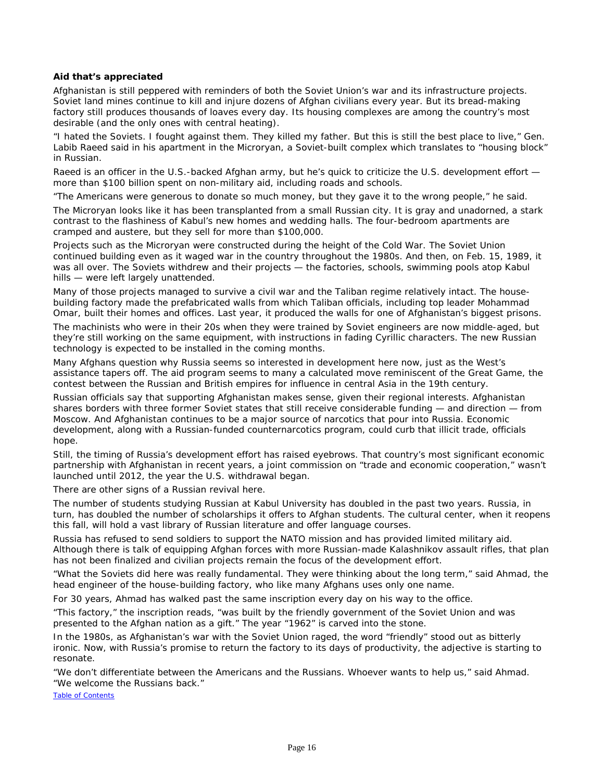#### **Aid that's appreciated**

Afghanistan is still peppered with reminders of both the Soviet Union's war and its infrastructure projects. Soviet land mines continue to kill and injure dozens of Afghan civilians every year. But its bread-making factory still produces thousands of loaves every day. Its housing complexes are among the country's most desirable (and the only ones with central heating).

"I hated the Soviets. I fought against them. They killed my father. But this is still the best place to live," Gen. Labib Raeed said in his apartment in the Microryan, a Soviet-built complex which translates to "housing block" in Russian.

Raeed is an officer in the U.S.-backed Afghan army, but he's quick to criticize the U.S. development effort more than \$100 billion spent on non-military aid, including roads and schools.

"The Americans were generous to donate so much money, but they gave it to the wrong people," he said.

The Microryan looks like it has been transplanted from a small Russian city. It is gray and unadorned, a stark contrast to the flashiness of Kabul's new homes and wedding halls. The four-bedroom apartments are cramped and austere, but they sell for more than \$100,000.

Projects such as the Microryan were constructed during the height of the Cold War. The Soviet Union continued building even as it waged war in the country throughout the 1980s. And then, on Feb. 15, 1989, it was all over. The Soviets withdrew and their projects — the factories, schools, swimming pools atop Kabul hills — were left largely unattended.

Many of those projects managed to survive a civil war and the Taliban regime relatively intact. The housebuilding factory made the prefabricated walls from which Taliban officials, including top leader Mohammad Omar, built their homes and offices. Last year, it produced the walls for one of Afghanistan's biggest prisons.

The machinists who were in their 20s when they were trained by Soviet engineers are now middle-aged, but they're still working on the same equipment, with instructions in fading Cyrillic characters. The new Russian technology is expected to be installed in the coming months.

Many Afghans question why Russia seems so interested in development here now, just as the West's assistance tapers off. The aid program seems to many a calculated move reminiscent of the Great Game, the contest between the Russian and British empires for influence in central Asia in the 19th century.

Russian officials say that supporting Afghanistan makes sense, given their regional interests. Afghanistan shares borders with three former Soviet states that still receive considerable funding — and direction — from Moscow. And Afghanistan continues to be a major source of narcotics that pour into Russia. Economic development, along with a Russian-funded counternarcotics program, could curb that illicit trade, officials hope.

Still, the timing of Russia's development effort has raised eyebrows. That country's most significant economic partnership with Afghanistan in recent years, a joint commission on "trade and economic cooperation," wasn't launched until 2012, the year the U.S. withdrawal began.

There are other signs of a Russian revival here.

The number of students studying Russian at Kabul University has doubled in the past two years. Russia, in turn, has doubled the number of scholarships it offers to Afghan students. The cultural center, when it reopens this fall, will hold a vast library of Russian literature and offer language courses.

Russia has refused to send soldiers to support the NATO mission and has provided limited military aid. Although there is talk of equipping Afghan forces with more Russian-made Kalashnikov assault rifles, that plan has not been finalized and civilian projects remain the focus of the development effort.

"What the Soviets did here was really fundamental. They were thinking about the long term," said Ahmad, the head engineer of the house-building factory, who like many Afghans uses only one name.

For 30 years, Ahmad has walked past the same inscription every day on his way to the office.

"This factory," the inscription reads, "was built by the friendly government of the Soviet Union and was presented to the Afghan nation as a gift." The year "1962" is carved into the stone.

In the 1980s, as Afghanistan's war with the Soviet Union raged, the word "friendly" stood out as bitterly ironic. Now, with Russia's promise to return the factory to its days of productivity, the adjective is starting to resonate.

"We don't differentiate between the Americans and the Russians. Whoever wants to help us," said Ahmad. "We welcome the Russians back."

[Table of Contents](#page-1-0)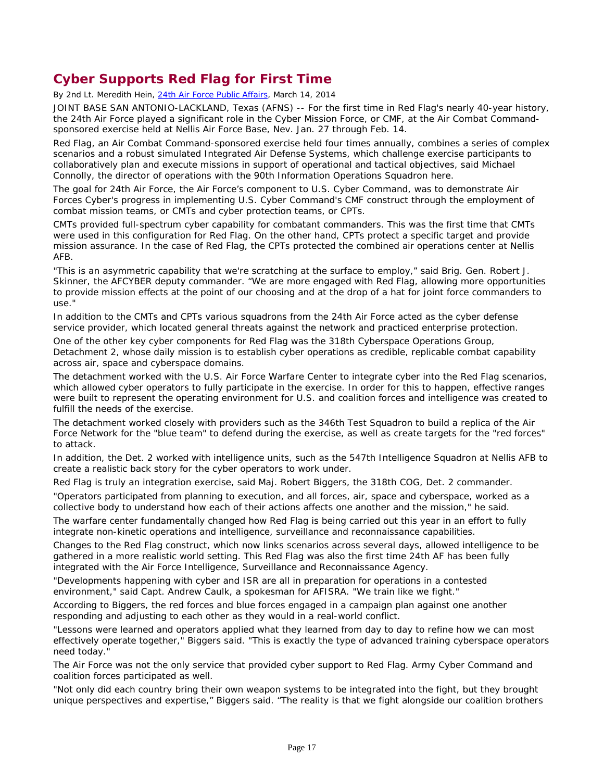### <span id="page-16-0"></span>**Cyber Supports Red Flag for First Time**

By 2nd Lt. Meredith Hein, [24th Air Force Public Affairs,](http://www.af.mil/News/ArticleDisplay/tabid/223/Article/473704/cyber-supports-red-flag-for-first-time.aspx) March 14, 2014

JOINT BASE SAN ANTONIO-LACKLAND, Texas (AFNS) -- For the first time in Red Flag's nearly 40-year history, the 24th Air Force played a significant role in the Cyber Mission Force, or CMF, at the Air Combat Commandsponsored exercise held at Nellis Air Force Base, Nev. Jan. 27 through Feb. 14.

Red Flag, an Air Combat Command-sponsored exercise held four times annually, combines a series of complex scenarios and a robust simulated Integrated Air Defense Systems, which challenge exercise participants to collaboratively plan and execute missions in support of operational and tactical objectives, said Michael Connolly, the director of operations with the 90th Information Operations Squadron here.

The goal for 24th Air Force, the Air Force's component to U.S. Cyber Command, was to demonstrate Air Forces Cyber's progress in implementing U.S. Cyber Command's CMF construct through the employment of combat mission teams, or CMTs and cyber protection teams, or CPTs.

CMTs provided full-spectrum cyber capability for combatant commanders. This was the first time that CMTs were used in this configuration for Red Flag. On the other hand, CPTs protect a specific target and provide mission assurance. In the case of Red Flag, the CPTs protected the combined air operations center at Nellis AFB.

"This is an asymmetric capability that we're scratching at the surface to employ," said Brig. Gen. Robert J. Skinner, the AFCYBER deputy commander. "We are more engaged with Red Flag, allowing more opportunities to provide mission effects at the point of our choosing and at the drop of a hat for joint force commanders to use."

In addition to the CMTs and CPTs various squadrons from the 24th Air Force acted as the cyber defense service provider, which located general threats against the network and practiced enterprise protection.

One of the other key cyber components for Red Flag was the 318th Cyberspace Operations Group, Detachment 2, whose daily mission is to establish cyber operations as credible, replicable combat capability across air, space and cyberspace domains.

The detachment worked with the U.S. Air Force Warfare Center to integrate cyber into the Red Flag scenarios, which allowed cyber operators to fully participate in the exercise. In order for this to happen, effective ranges were built to represent the operating environment for U.S. and coalition forces and intelligence was created to fulfill the needs of the exercise.

The detachment worked closely with providers such as the 346th Test Squadron to build a replica of the Air Force Network for the "blue team" to defend during the exercise, as well as create targets for the "red forces" to attack.

In addition, the Det. 2 worked with intelligence units, such as the 547th Intelligence Squadron at Nellis AFB to create a realistic back story for the cyber operators to work under.

Red Flag is truly an integration exercise, said Maj. Robert Biggers, the 318th COG, Det. 2 commander.

"Operators participated from planning to execution, and all forces, air, space and cyberspace, worked as a collective body to understand how each of their actions affects one another and the mission," he said.

The warfare center fundamentally changed how Red Flag is being carried out this year in an effort to fully integrate non-kinetic operations and intelligence, surveillance and reconnaissance capabilities.

Changes to the Red Flag construct, which now links scenarios across several days, allowed intelligence to be gathered in a more realistic world setting. This Red Flag was also the first time 24th AF has been fully integrated with the Air Force Intelligence, Surveillance and Reconnaissance Agency.

"Developments happening with cyber and ISR are all in preparation for operations in a contested environment," said Capt. Andrew Caulk, a spokesman for AFISRA. "We train like we fight."

According to Biggers, the red forces and blue forces engaged in a campaign plan against one another responding and adjusting to each other as they would in a real-world conflict.

"Lessons were learned and operators applied what they learned from day to day to refine how we can most effectively operate together," Biggers said. "This is exactly the type of advanced training cyberspace operators need today."

The Air Force was not the only service that provided cyber support to Red Flag. Army Cyber Command and coalition forces participated as well.

"Not only did each country bring their own weapon systems to be integrated into the fight, but they brought unique perspectives and expertise," Biggers said. "The reality is that we fight alongside our coalition brothers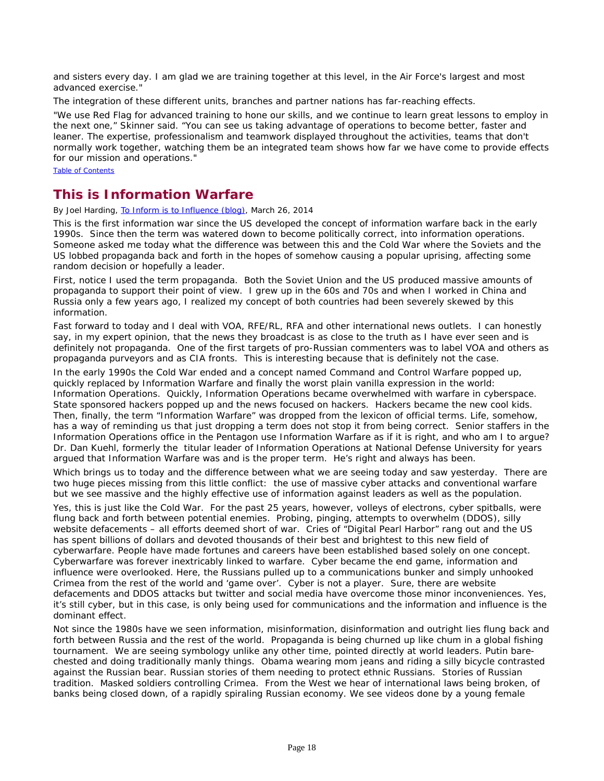and sisters every day. I am glad we are training together at this level, in the Air Force's largest and most advanced exercise."

The integration of these different units, branches and partner nations has far-reaching effects.

"We use Red Flag for advanced training to hone our skills, and we continue to learn great lessons to employ in the next one," Skinner said. "You can see us taking advantage of operations to become better, faster and leaner. The expertise, professionalism and teamwork displayed throughout the activities, teams that don't normally work together, watching them be an integrated team shows how far we have come to provide effects for our mission and operations."

[Table of Contents](#page-1-0)

#### <span id="page-17-0"></span>**This is Information Warfare**

By Joel Harding, [To Inform is to Influence \(blog\),](http://toinformistoinfluence.com/2014/03/26/this-is-information-warfare/) March 26, 2014

This is the first information war since the US developed the concept of information warfare back in the early 1990s. Since then the term was watered down to become politically correct, into information operations. Someone asked me today what the difference was between this and the Cold War where the Soviets and the US lobbed propaganda back and forth in the hopes of somehow causing a popular uprising, affecting some random decision or hopefully a leader.

First, notice I used the term propaganda. Both the Soviet Union and the US produced massive amounts of propaganda to support their point of view. I grew up in the 60s and 70s and when I worked in China and Russia only a few years ago, I realized my concept of both countries had been severely skewed by this information.

Fast forward to today and I deal with VOA, RFE/RL, RFA and other international news outlets. I can honestly say, in my expert opinion, that the news they broadcast is as close to the truth as I have ever seen and is definitely not propaganda. One of the first targets of pro-Russian commenters was to label VOA and others as propaganda purveyors and as CIA fronts. This is interesting because that is definitely not the case.

In the early 1990s the Cold War ended and a concept named Command and Control Warfare popped up, quickly replaced by Information Warfare and finally the worst plain vanilla expression in the world: Information Operations. Quickly, Information Operations became overwhelmed with warfare in cyberspace. State sponsored hackers popped up and the news focused on hackers. Hackers became the new cool kids. Then, finally, the term "Information Warfare" was dropped from the lexicon of official terms. Life, somehow, has a way of reminding us that just dropping a term does not stop it from being correct. Senior staffers in the Information Operations office in the Pentagon use Information Warfare as if it is right, and who am I to argue? Dr. Dan Kuehl, formerly the titular leader of Information Operations at National Defense University for years argued that Information Warfare was and is the proper term. He's right and always has been.

Which brings us to today and the difference between what we are seeing today and saw yesterday. There are two huge pieces missing from this little conflict: the use of massive cyber attacks and conventional warfare but we see massive and the highly effective use of information against leaders as well as the population.

Yes, this is just like the Cold War. For the past 25 years, however, volleys of electrons, cyber spitballs, were flung back and forth between potential enemies. Probing, pinging, attempts to overwhelm (DDOS), silly website defacements – all efforts deemed short of war. Cries of "Digital Pearl Harbor" rang out and the US has spent billions of dollars and devoted thousands of their best and brightest to this new field of cyberwarfare. People have made fortunes and careers have been established based solely on one concept. Cyberwarfare was forever inextricably linked to warfare. Cyber became the end game, information and influence were overlooked. Here, the Russians pulled up to a communications bunker and simply unhooked Crimea from the rest of the world and 'game over'. Cyber is not a player. Sure, there are website defacements and DDOS attacks but twitter and social media have overcome those minor inconveniences. Yes, it's still cyber, but in this case, is only being used for communications and the information and influence is the dominant effect.

Not since the 1980s have we seen information, misinformation, disinformation and outright lies flung back and forth between Russia and the rest of the world. Propaganda is being churned up like chum in a global fishing tournament. We are seeing symbology unlike any other time, pointed directly at world leaders. Putin barechested and doing traditionally manly things. Obama wearing mom jeans and riding a silly bicycle contrasted against the Russian bear. Russian stories of them needing to protect ethnic Russians. Stories of Russian tradition. Masked soldiers controlling Crimea. From the West we hear of international laws being broken, of banks being closed down, of a rapidly spiraling Russian economy. We see videos done by a young female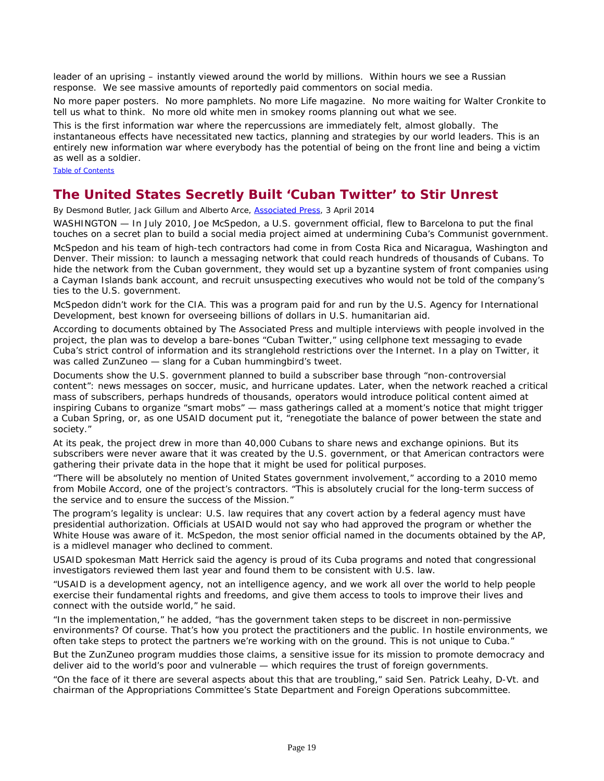leader of an uprising – instantly viewed around the world by millions. Within hours we see a Russian response. We see massive amounts of reportedly paid commentors on social media.

No more paper posters. No more pamphlets. No more Life magazine. No more waiting for Walter Cronkite to tell us what to think. No more old white men in smokey rooms planning out what we see.

This is the first information war where the repercussions are immediately felt, almost globally. The instantaneous effects have necessitated new tactics, planning and strategies by our world leaders. This is an entirely new information war where everybody has the potential of being on the front line and being a victim as well as a soldier.

[Table of Contents](#page-1-0)

#### <span id="page-18-0"></span>**The United States Secretly Built 'Cuban Twitter' to Stir Unrest**

By Desmond Butler, Jack Gillum and Alberto Arce[, Associated Press,](https://www.yahoo.com/tech/the-united-states-secretly-built-cuban-twitter-to-81582343243.html) 3 April 2014

WASHINGTON — In July 2010, Joe McSpedon, a U.S. government official, flew to Barcelona to put the final touches on a secret plan to build a social media project aimed at undermining Cuba's Communist government.

McSpedon and his team of high-tech contractors had come in from Costa Rica and Nicaragua, Washington and Denver. Their mission: to launch a messaging network that could reach hundreds of thousands of Cubans. To hide the network from the Cuban government, they would set up a byzantine system of front companies using a Cayman Islands bank account, and recruit unsuspecting executives who would not be told of the company's ties to the U.S. government.

McSpedon didn't work for the CIA. This was a program paid for and run by the U.S. Agency for International Development, best known for overseeing billions of dollars in U.S. humanitarian aid.

According to documents obtained by The Associated Press and multiple interviews with people involved in the project, the plan was to develop a bare-bones "Cuban Twitter," using cellphone text messaging to evade Cuba's strict control of information and its stranglehold restrictions over the Internet. In a play on Twitter, it was called ZunZuneo — slang for a Cuban hummingbird's tweet.

Documents show the U.S. government planned to build a subscriber base through "non-controversial content": news messages on soccer, music, and hurricane updates. Later, when the network reached a critical mass of subscribers, perhaps hundreds of thousands, operators would introduce political content aimed at inspiring Cubans to organize "smart mobs" — mass gatherings called at a moment's notice that might trigger a Cuban Spring, or, as one USAID document put it, "renegotiate the balance of power between the state and society."

At its peak, the project drew in more than 40,000 Cubans to share news and exchange opinions. But its subscribers were never aware that it was created by the U.S. government, or that American contractors were gathering their private data in the hope that it might be used for political purposes.

"There will be absolutely no mention of United States government involvement," according to a 2010 memo from Mobile Accord, one of the project's contractors. "This is absolutely crucial for the long-term success of the service and to ensure the success of the Mission."

The program's legality is unclear: U.S. law requires that any covert action by a federal agency must have presidential authorization. Officials at USAID would not say who had approved the program or whether the White House was aware of it. McSpedon, the most senior official named in the documents obtained by the AP, is a midlevel manager who declined to comment.

USAID spokesman Matt Herrick said the agency is proud of its Cuba programs and noted that congressional investigators reviewed them last year and found them to be consistent with U.S. law.

"USAID is a development agency, not an intelligence agency, and we work all over the world to help people exercise their fundamental rights and freedoms, and give them access to tools to improve their lives and connect with the outside world," he said.

"In the implementation," he added, "has the government taken steps to be discreet in non-permissive environments? Of course. That's how you protect the practitioners and the public. In hostile environments, we often take steps to protect the partners we're working with on the ground. This is not unique to Cuba."

But the ZunZuneo program muddies those claims, a sensitive issue for its mission to promote democracy and deliver aid to the world's poor and vulnerable — which requires the trust of foreign governments.

"On the face of it there are several aspects about this that are troubling," said Sen. Patrick Leahy, D-Vt. and chairman of the Appropriations Committee's State Department and Foreign Operations subcommittee.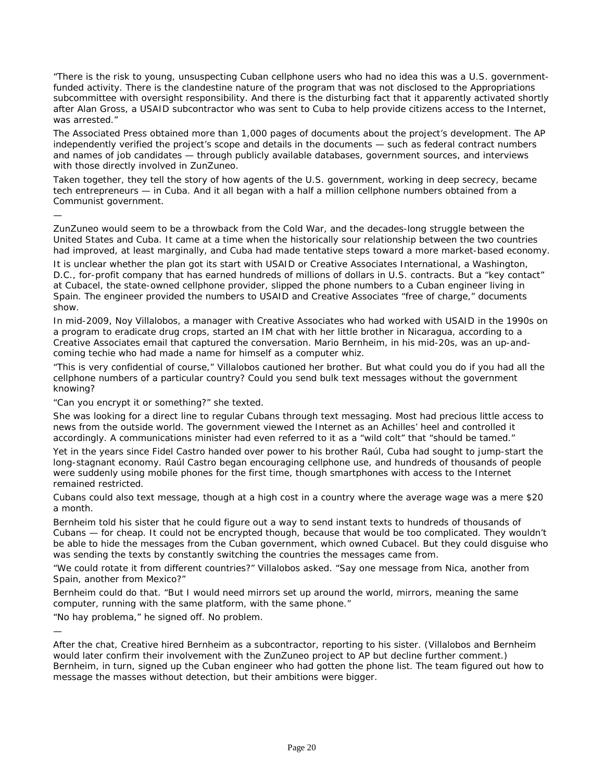"There is the risk to young, unsuspecting Cuban cellphone users who had no idea this was a U.S. governmentfunded activity. There is the clandestine nature of the program that was not disclosed to the Appropriations subcommittee with oversight responsibility. And there is the disturbing fact that it apparently activated shortly after Alan Gross, a USAID subcontractor who was sent to Cuba to help provide citizens access to the Internet, was arrested."

The Associated Press obtained more than 1,000 pages of documents about the project's development. The AP independently verified the project's scope and details in the documents — such as federal contract numbers and names of job candidates — through publicly available databases, government sources, and interviews with those directly involved in ZunZuneo.

Taken together, they tell the story of how agents of the U.S. government, working in deep secrecy, became tech entrepreneurs — in Cuba. And it all began with a half a million cellphone numbers obtained from a Communist government.

—

—

ZunZuneo would seem to be a throwback from the Cold War, and the decades-long struggle between the United States and Cuba. It came at a time when the historically sour relationship between the two countries had improved, at least marginally, and Cuba had made tentative steps toward a more market-based economy.

It is unclear whether the plan got its start with USAID or Creative Associates International, a Washington, D.C., for-profit company that has earned hundreds of millions of dollars in U.S. contracts. But a "key contact" at Cubacel, the state-owned cellphone provider, slipped the phone numbers to a Cuban engineer living in Spain. The engineer provided the numbers to USAID and Creative Associates "free of charge," documents show.

In mid-2009, Noy Villalobos, a manager with Creative Associates who had worked with USAID in the 1990s on a program to eradicate drug crops, started an IM chat with her little brother in Nicaragua, according to a Creative Associates email that captured the conversation. Mario Bernheim, in his mid-20s, was an up-andcoming techie who had made a name for himself as a computer whiz.

"This is very confidential of course," Villalobos cautioned her brother. But what could you do if you had all the cellphone numbers of a particular country? Could you send bulk text messages without the government knowing?

"Can you encrypt it or something?" she texted.

She was looking for a direct line to regular Cubans through text messaging. Most had precious little access to news from the outside world. The government viewed the Internet as an Achilles' heel and controlled it accordingly. A communications minister had even referred to it as a "wild colt" that "should be tamed."

Yet in the years since Fidel Castro handed over power to his brother Raúl, Cuba had sought to jump-start the long-stagnant economy. Raúl Castro began encouraging cellphone use, and hundreds of thousands of people were suddenly using mobile phones for the first time, though smartphones with access to the Internet remained restricted.

Cubans could also text message, though at a high cost in a country where the average wage was a mere \$20 a month.

Bernheim told his sister that he could figure out a way to send instant texts to hundreds of thousands of Cubans — for cheap. It could not be encrypted though, because that would be too complicated. They wouldn't be able to hide the messages from the Cuban government, which owned Cubacel. But they could disguise who was sending the texts by constantly switching the countries the messages came from.

"We could rotate it from different countries?" Villalobos asked. "Say one message from Nica, another from Spain, another from Mexico?"

Bernheim could do that. "But I would need mirrors set up around the world, mirrors, meaning the same computer, running with the same platform, with the same phone."

"No hay problema," he signed off. No problem.

After the chat, Creative hired Bernheim as a subcontractor, reporting to his sister. (Villalobos and Bernheim would later confirm their involvement with the ZunZuneo project to AP but decline further comment.) Bernheim, in turn, signed up the Cuban engineer who had gotten the phone list. The team figured out how to message the masses without detection, but their ambitions were bigger.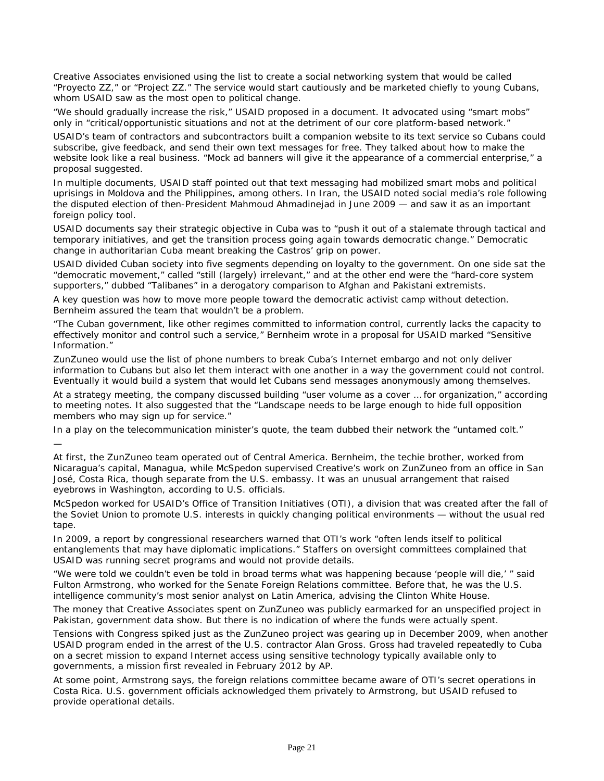Creative Associates envisioned using the list to create a social networking system that would be called "Proyecto ZZ," or "Project ZZ." The service would start cautiously and be marketed chiefly to young Cubans, whom USAID saw as the most open to political change.

"We should gradually increase the risk," USAID proposed in a document. It advocated using "smart mobs" only in "critical/opportunistic situations and not at the detriment of our core platform-based network."

USAID's team of contractors and subcontractors built a companion website to its text service so Cubans could subscribe, give feedback, and send their own text messages for free. They talked about how to make the website look like a real business. "Mock ad banners will give it the appearance of a commercial enterprise," a proposal suggested.

In multiple documents, USAID staff pointed out that text messaging had mobilized smart mobs and political uprisings in Moldova and the Philippines, among others. In Iran, the USAID noted social media's role following the disputed election of then-President Mahmoud Ahmadinejad in June 2009 — and saw it as an important foreign policy tool.

USAID documents say their strategic objective in Cuba was to "push it out of a stalemate through tactical and temporary initiatives, and get the transition process going again towards democratic change." Democratic change in authoritarian Cuba meant breaking the Castros' grip on power.

USAID divided Cuban society into five segments depending on loyalty to the government. On one side sat the "democratic movement," called "still (largely) irrelevant," and at the other end were the "hard-core system supporters," dubbed "Talibanes" in a derogatory comparison to Afghan and Pakistani extremists.

A key question was how to move more people toward the democratic activist camp without detection. Bernheim assured the team that wouldn't be a problem.

"The Cuban government, like other regimes committed to information control, currently lacks the capacity to effectively monitor and control such a service," Bernheim wrote in a proposal for USAID marked "Sensitive Information."

ZunZuneo would use the list of phone numbers to break Cuba's Internet embargo and not only deliver information to Cubans but also let them interact with one another in a way the government could not control. Eventually it would build a system that would let Cubans send messages anonymously among themselves.

At a strategy meeting, the company discussed building "user volume as a cover … for organization," according to meeting notes. It also suggested that the "Landscape needs to be large enough to hide full opposition members who may sign up for service."

In a play on the telecommunication minister's quote, the team dubbed their network the "untamed colt." —

At first, the ZunZuneo team operated out of Central America. Bernheim, the techie brother, worked from Nicaragua's capital, Managua, while McSpedon supervised Creative's work on ZunZuneo from an office in San José, Costa Rica, though separate from the U.S. embassy. It was an unusual arrangement that raised eyebrows in Washington, according to U.S. officials.

McSpedon worked for USAID's Office of Transition Initiatives (OTI), a division that was created after the fall of the Soviet Union to promote U.S. interests in quickly changing political environments — without the usual red tape.

In 2009, a report by congressional researchers warned that OTI's work "often lends itself to political entanglements that may have diplomatic implications." Staffers on oversight committees complained that USAID was running secret programs and would not provide details.

"We were told we couldn't even be told in broad terms what was happening because 'people will die,' " said Fulton Armstrong, who worked for the Senate Foreign Relations committee. Before that, he was the U.S. intelligence community's most senior analyst on Latin America, advising the Clinton White House.

The money that Creative Associates spent on ZunZuneo was publicly earmarked for an unspecified project in Pakistan, government data show. But there is no indication of where the funds were actually spent.

Tensions with Congress spiked just as the ZunZuneo project was gearing up in December 2009, when another USAID program ended in the arrest of the U.S. contractor Alan Gross. Gross had traveled repeatedly to Cuba on a secret mission to expand Internet access using sensitive technology typically available only to governments, a mission first revealed in February 2012 by AP.

At some point, Armstrong says, the foreign relations committee became aware of OTI's secret operations in Costa Rica. U.S. government officials acknowledged them privately to Armstrong, but USAID refused to provide operational details.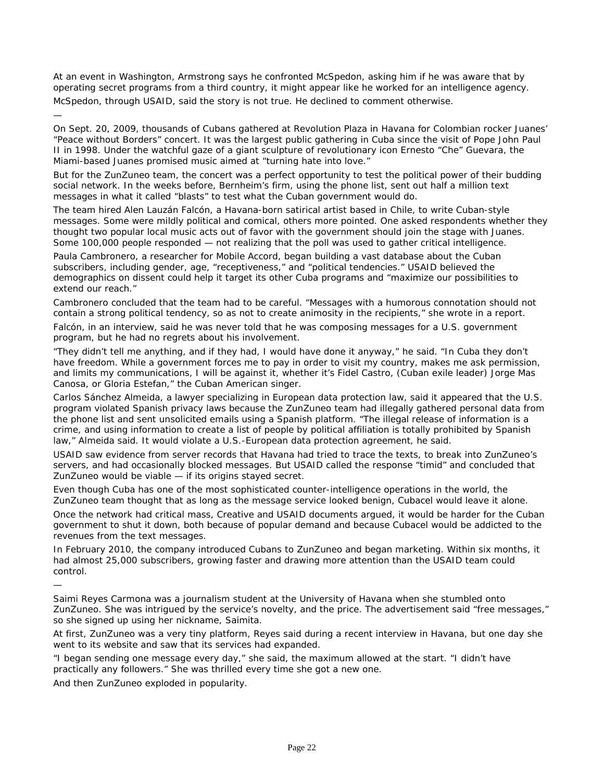At an event in Washington, Armstrong says he confronted McSpedon, asking him if he was aware that by operating secret programs from a third country, it might appear like he worked for an intelligence agency. McSpedon, through USAID, said the story is not true. He declined to comment otherwise.

On Sept. 20, 2009, thousands of Cubans gathered at Revolution Plaza in Havana for Colombian rocker Juanes' "Peace without Borders" concert. It was the largest public gathering in Cuba since the visit of Pope John Paul II in 1998. Under the watchful gaze of a giant sculpture of revolutionary icon Ernesto "Che" Guevara, the Miami-based Juanes promised music aimed at "turning hate into love."

But for the ZunZuneo team, the concert was a perfect opportunity to test the political power of their budding social network. In the weeks before, Bernheim's firm, using the phone list, sent out half a million text messages in what it called "blasts" to test what the Cuban government would do.

The team hired Alen Lauzán Falcón, a Havana-born satirical artist based in Chile, to write Cuban-style messages. Some were mildly political and comical, others more pointed. One asked respondents whether they thought two popular local music acts out of favor with the government should join the stage with Juanes. Some 100,000 people responded — not realizing that the poll was used to gather critical intelligence.

Paula Cambronero, a researcher for Mobile Accord, began building a vast database about the Cuban subscribers, including gender, age, "receptiveness," and "political tendencies." USAID believed the demographics on dissent could help it target its other Cuba programs and "maximize our possibilities to extend our reach."

Cambronero concluded that the team had to be careful. "Messages with a humorous connotation should not contain a strong political tendency, so as not to create animosity in the recipients," she wrote in a report.

Falcón, in an interview, said he was never told that he was composing messages for a U.S. government program, but he had no regrets about his involvement.

"They didn't tell me anything, and if they had, I would have done it anyway," he said. "In Cuba they don't have freedom. While a government forces me to pay in order to visit my country, makes me ask permission, and limits my communications, I will be against it, whether it's Fidel Castro, (Cuban exile leader) Jorge Mas Canosa, or Gloria Estefan," the Cuban American singer.

Carlos Sánchez Almeida, a lawyer specializing in European data protection law, said it appeared that the U.S. program violated Spanish privacy laws because the ZunZuneo team had illegally gathered personal data from the phone list and sent unsolicited emails using a Spanish platform. "The illegal release of information is a crime, and using information to create a list of people by political affiliation is totally prohibited by Spanish law," Almeida said. It would violate a U.S.-European data protection agreement, he said.

USAID saw evidence from server records that Havana had tried to trace the texts, to break into ZunZuneo's servers, and had occasionally blocked messages. But USAID called the response "timid" and concluded that ZunZuneo would be viable — if its origins stayed secret.

Even though Cuba has one of the most sophisticated counter-intelligence operations in the world, the ZunZuneo team thought that as long as the message service looked benign, Cubacel would leave it alone.

Once the network had critical mass, Creative and USAID documents argued, it would be harder for the Cuban government to shut it down, both because of popular demand and because Cubacel would be addicted to the revenues from the text messages.

In February 2010, the company introduced Cubans to ZunZuneo and began marketing. Within six months, it had almost 25,000 subscribers, growing faster and drawing more attention than the USAID team could control.

—

—

Saimi Reyes Carmona was a journalism student at the University of Havana when she stumbled onto ZunZuneo. She was intrigued by the service's novelty, and the price. The advertisement said "free messages," so she signed up using her nickname, Saimita.

At first, ZunZuneo was a very tiny platform, Reyes said during a recent interview in Havana, but one day she went to its website and saw that its services had expanded.

"I began sending one message every day," she said, the maximum allowed at the start. "I didn't have practically any followers." She was thrilled every time she got a new one.

And then ZunZuneo exploded in popularity.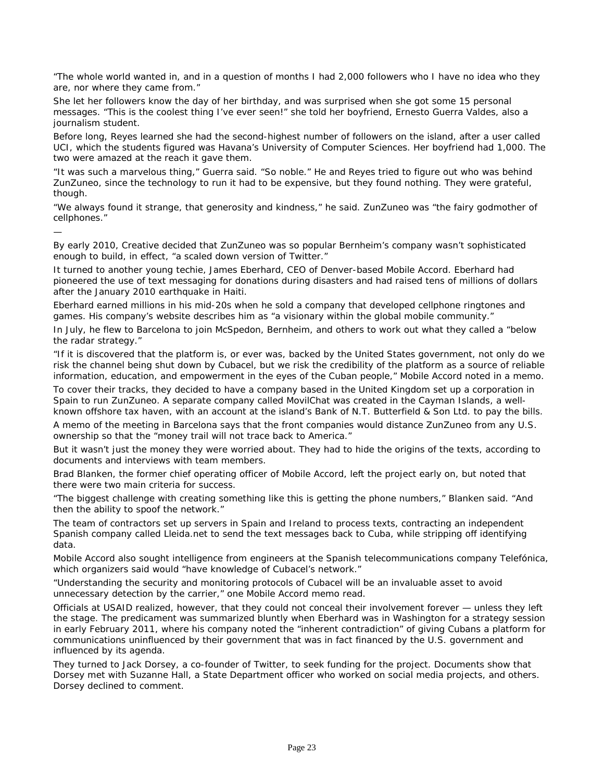"The whole world wanted in, and in a question of months I had 2,000 followers who I have no idea who they are, nor where they came from."

She let her followers know the day of her birthday, and was surprised when she got some 15 personal messages. "This is the coolest thing I've ever seen!" she told her boyfriend, Ernesto Guerra Valdes, also a journalism student.

Before long, Reyes learned she had the second-highest number of followers on the island, after a user called UCI, which the students figured was Havana's University of Computer Sciences. Her boyfriend had 1,000. The two were amazed at the reach it gave them.

"It was such a marvelous thing," Guerra said. "So noble." He and Reyes tried to figure out who was behind ZunZuneo, since the technology to run it had to be expensive, but they found nothing. They were grateful, though.

"We always found it strange, that generosity and kindness," he said. ZunZuneo was "the fairy godmother of cellphones."

—

By early 2010, Creative decided that ZunZuneo was so popular Bernheim's company wasn't sophisticated enough to build, in effect, "a scaled down version of Twitter."

It turned to another young techie, James Eberhard, CEO of Denver-based Mobile Accord. Eberhard had pioneered the use of text messaging for donations during disasters and had raised tens of millions of dollars after the January 2010 earthquake in Haiti.

Eberhard earned millions in his mid-20s when he sold a company that developed cellphone ringtones and games. His company's website describes him as "a visionary within the global mobile community."

In July, he flew to Barcelona to join McSpedon, Bernheim, and others to work out what they called a "below the radar strategy."

"If it is discovered that the platform is, or ever was, backed by the United States government, not only do we risk the channel being shut down by Cubacel, but we risk the credibility of the platform as a source of reliable information, education, and empowerment in the eyes of the Cuban people," Mobile Accord noted in a memo.

To cover their tracks, they decided to have a company based in the United Kingdom set up a corporation in Spain to run ZunZuneo. A separate company called MovilChat was created in the Cayman Islands, a wellknown offshore tax haven, with an account at the island's Bank of N.T. Butterfield & Son Ltd. to pay the bills.

A memo of the meeting in Barcelona says that the front companies would distance ZunZuneo from any U.S. ownership so that the "money trail will not trace back to America."

But it wasn't just the money they were worried about. They had to hide the origins of the texts, according to documents and interviews with team members.

Brad Blanken, the former chief operating officer of Mobile Accord, left the project early on, but noted that there were two main criteria for success.

"The biggest challenge with creating something like this is getting the phone numbers," Blanken said. "And then the ability to spoof the network."

The team of contractors set up servers in Spain and Ireland to process texts, contracting an independent Spanish company called Lleida.net to send the text messages back to Cuba, while stripping off identifying data.

Mobile Accord also sought intelligence from engineers at the Spanish telecommunications company Telefónica, which organizers said would "have knowledge of Cubacel's network."

"Understanding the security and monitoring protocols of Cubacel will be an invaluable asset to avoid unnecessary detection by the carrier," one Mobile Accord memo read.

Officials at USAID realized, however, that they could not conceal their involvement forever — unless they left the stage. The predicament was summarized bluntly when Eberhard was in Washington for a strategy session in early February 2011, where his company noted the "inherent contradiction" of giving Cubans a platform for communications uninfluenced by their government that was in fact financed by the U.S. government and influenced by its agenda.

They turned to Jack Dorsey, a co-founder of Twitter, to seek funding for the project. Documents show that Dorsey met with Suzanne Hall, a State Department officer who worked on social media projects, and others. Dorsey declined to comment.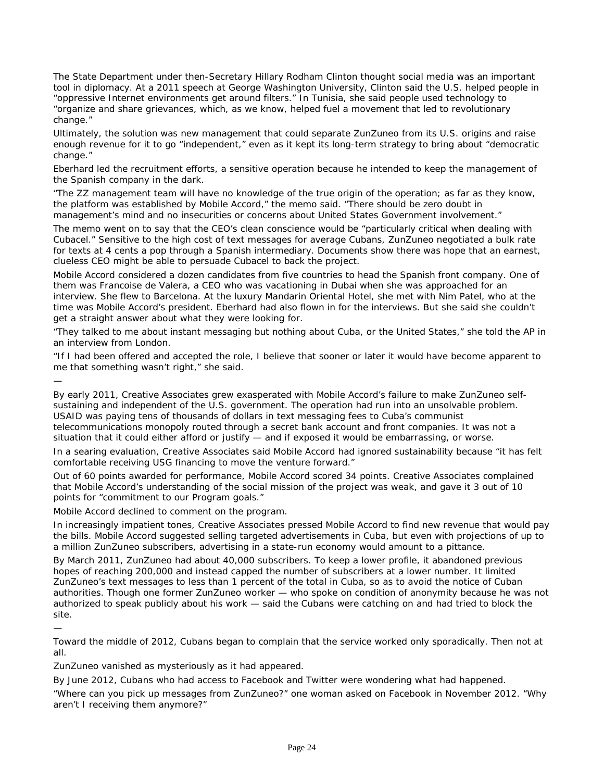The State Department under then-Secretary Hillary Rodham Clinton thought social media was an important tool in diplomacy. At a 2011 speech at George Washington University, Clinton said the U.S. helped people in "oppressive Internet environments get around filters." In Tunisia, she said people used technology to "organize and share grievances, which, as we know, helped fuel a movement that led to revolutionary change."

Ultimately, the solution was new management that could separate ZunZuneo from its U.S. origins and raise enough revenue for it to go "independent," even as it kept its long-term strategy to bring about "democratic change."

Eberhard led the recruitment efforts, a sensitive operation because he intended to keep the management of the Spanish company in the dark.

"The ZZ management team will have no knowledge of the true origin of the operation; as far as they know, the platform was established by Mobile Accord," the memo said. "There should be zero doubt in management's mind and no insecurities or concerns about United States Government involvement."

The memo went on to say that the CEO's clean conscience would be "particularly critical when dealing with Cubacel." Sensitive to the high cost of text messages for average Cubans, ZunZuneo negotiated a bulk rate for texts at 4 cents a pop through a Spanish intermediary. Documents show there was hope that an earnest, clueless CEO might be able to persuade Cubacel to back the project.

Mobile Accord considered a dozen candidates from five countries to head the Spanish front company. One of them was Francoise de Valera, a CEO who was vacationing in Dubai when she was approached for an interview. She flew to Barcelona. At the luxury Mandarin Oriental Hotel, she met with Nim Patel, who at the time was Mobile Accord's president. Eberhard had also flown in for the interviews. But she said she couldn't get a straight answer about what they were looking for.

"They talked to me about instant messaging but nothing about Cuba, or the United States," she told the AP in an interview from London.

"If I had been offered and accepted the role, I believe that sooner or later it would have become apparent to me that something wasn't right," she said.

By early 2011, Creative Associates grew exasperated with Mobile Accord's failure to make ZunZuneo selfsustaining and independent of the U.S. government. The operation had run into an unsolvable problem. USAID was paying tens of thousands of dollars in text messaging fees to Cuba's communist telecommunications monopoly routed through a secret bank account and front companies. It was not a situation that it could either afford or justify — and if exposed it would be embarrassing, or worse.

In a searing evaluation, Creative Associates said Mobile Accord had ignored sustainability because "it has felt comfortable receiving USG financing to move the venture forward."

Out of 60 points awarded for performance, Mobile Accord scored 34 points. Creative Associates complained that Mobile Accord's understanding of the social mission of the project was weak, and gave it 3 out of 10 points for "commitment to our Program goals."

Mobile Accord declined to comment on the program.

In increasingly impatient tones, Creative Associates pressed Mobile Accord to find new revenue that would pay the bills. Mobile Accord suggested selling targeted advertisements in Cuba, but even with projections of up to a million ZunZuneo subscribers, advertising in a state-run economy would amount to a pittance.

By March 2011, ZunZuneo had about 40,000 subscribers. To keep a lower profile, it abandoned previous hopes of reaching 200,000 and instead capped the number of subscribers at a lower number. It limited ZunZuneo's text messages to less than 1 percent of the total in Cuba, so as to avoid the notice of Cuban authorities. Though one former ZunZuneo worker — who spoke on condition of anonymity because he was not authorized to speak publicly about his work — said the Cubans were catching on and had tried to block the site.

—

—

Toward the middle of 2012, Cubans began to complain that the service worked only sporadically. Then not at all.

ZunZuneo vanished as mysteriously as it had appeared.

By June 2012, Cubans who had access to Facebook and Twitter were wondering what had happened.

"Where can you pick up messages from ZunZuneo?" one woman asked on Facebook in November 2012. "Why aren't I receiving them anymore?"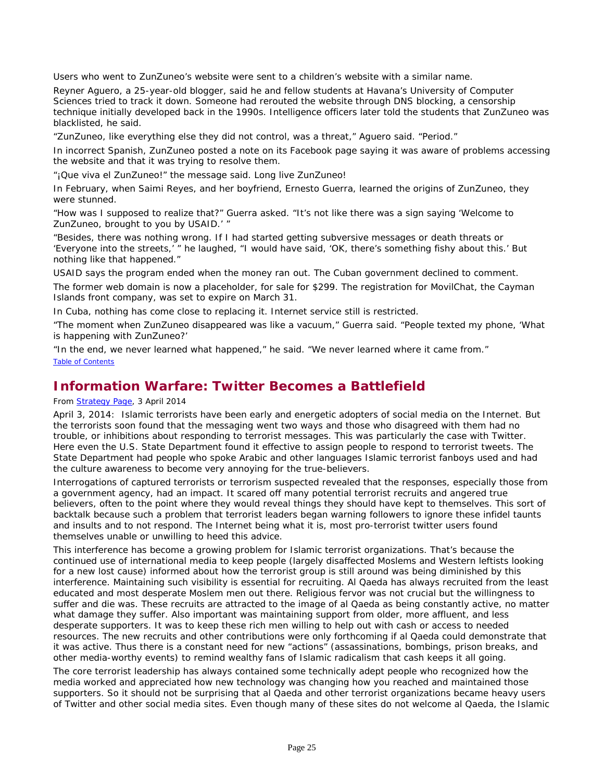Users who went to ZunZuneo's website were sent to a children's website with a similar name.

Reyner Aguero, a 25-year-old blogger, said he and fellow students at Havana's University of Computer Sciences tried to track it down. Someone had rerouted the website through DNS blocking, a censorship technique initially developed back in the 1990s. Intelligence officers later told the students that ZunZuneo was blacklisted, he said.

"ZunZuneo, like everything else they did not control, was a threat," Aguero said. "Period."

In incorrect Spanish, ZunZuneo posted a note on its Facebook page saying it was aware of problems accessing the website and that it was trying to resolve them.

"¡Que viva el ZunZuneo!" the message said. Long live ZunZuneo!

In February, when Saimi Reyes, and her boyfriend, Ernesto Guerra, learned the origins of ZunZuneo, they were stunned.

"How was I supposed to realize that?" Guerra asked. "It's not like there was a sign saying 'Welcome to ZunZuneo, brought to you by USAID.' "

"Besides, there was nothing wrong. If I had started getting subversive messages or death threats or 'Everyone into the streets,' " he laughed, "I would have said, 'OK, there's something fishy about this.' But nothing like that happened."

USAID says the program ended when the money ran out. The Cuban government declined to comment.

The former web domain is now a placeholder, for sale for \$299. The registration for MovilChat, the Cayman Islands front company, was set to expire on March 31.

In Cuba, nothing has come close to replacing it. Internet service still is restricted.

"The moment when ZunZuneo disappeared was like a vacuum," Guerra said. "People texted my phone, 'What is happening with ZunZuneo?'

"In the end, we never learned what happened," he said. "We never learned where it came from." [Table of Contents](#page-1-0)

### <span id="page-24-0"></span>**Information Warfare: Twitter Becomes a Battlefield**

#### From [Strategy Page,](http://www.strategypage.com/htmw/htiw/articles/20140403.aspx) 3 April 2014

April 3, 2014: Islamic terrorists have been early and energetic adopters of social media on the Internet. But the terrorists soon found that the messaging went two ways and those who disagreed with them had no trouble, or inhibitions about responding to terrorist messages. This was particularly the case with Twitter. Here even the U.S. State Department found it effective to assign people to respond to terrorist tweets. The State Department had people who spoke Arabic and other languages Islamic terrorist fanboys used and had the culture awareness to become very annoying for the true-believers.

Interrogations of captured terrorists or terrorism suspected revealed that the responses, especially those from a government agency, had an impact. It scared off many potential terrorist recruits and angered true believers, often to the point where they would reveal things they should have kept to themselves. This sort of backtalk because such a problem that terrorist leaders began warning followers to ignore these infidel taunts and insults and to not respond. The Internet being what it is, most pro-terrorist twitter users found themselves unable or unwilling to heed this advice.

This interference has become a growing problem for Islamic terrorist organizations. That's because the continued use of international media to keep people (largely disaffected Moslems and Western leftists looking for a new lost cause) informed about how the terrorist group is still around was being diminished by this interference. Maintaining such visibility is essential for recruiting. Al Qaeda has always recruited from the least educated and most desperate Moslem men out there. Religious fervor was not crucial but the willingness to suffer and die was. These recruits are attracted to the image of al Qaeda as being constantly active, no matter what damage they suffer. Also important was maintaining support from older, more affluent, and less desperate supporters. It was to keep these rich men willing to help out with cash or access to needed resources. The new recruits and other contributions were only forthcoming if al Qaeda could demonstrate that it was active. Thus there is a constant need for new "actions" (assassinations, bombings, prison breaks, and other media-worthy events) to remind wealthy fans of Islamic radicalism that cash keeps it all going.

The core terrorist leadership has always contained some technically adept people who recognized how the media worked and appreciated how new technology was changing how you reached and maintained those supporters. So it should not be surprising that al Qaeda and other terrorist organizations became heavy users of Twitter and other social media sites. Even though many of these sites do not welcome al Qaeda, the Islamic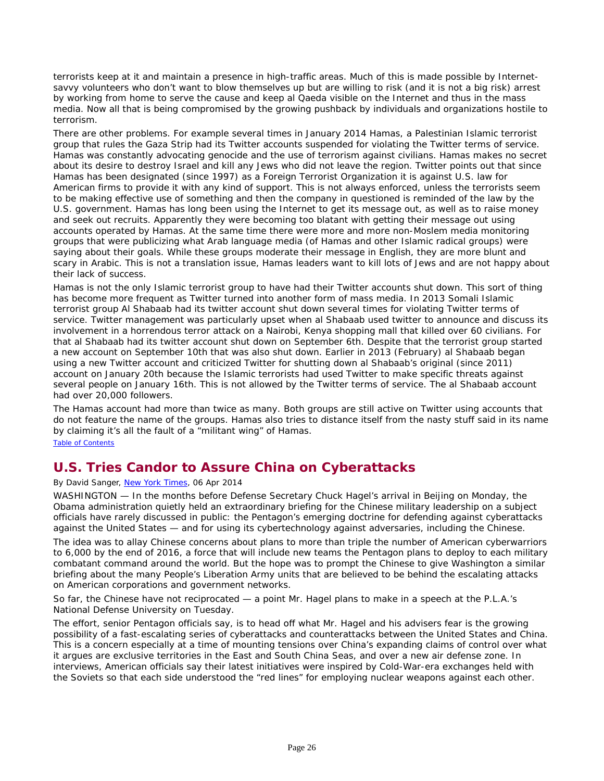terrorists keep at it and maintain a presence in high-traffic areas. Much of this is made possible by Internetsavvy volunteers who don't want to blow themselves up but are willing to risk (and it is not a big risk) arrest by working from home to serve the cause and keep al Qaeda visible on the Internet and thus in the mass media. Now all that is being compromised by the growing pushback by individuals and organizations hostile to terrorism.

There are other problems. For example several times in January 2014 Hamas, a Palestinian Islamic terrorist group that rules the Gaza Strip had its Twitter accounts suspended for violating the Twitter terms of service. Hamas was constantly advocating genocide and the use of terrorism against civilians. Hamas makes no secret about its desire to destroy Israel and kill any Jews who did not leave the region. Twitter points out that since Hamas has been designated (since 1997) as a Foreign Terrorist Organization it is against U.S. law for American firms to provide it with any kind of support. This is not always enforced, unless the terrorists seem to be making effective use of something and then the company in questioned is reminded of the law by the U.S. government. Hamas has long been using the Internet to get its message out, as well as to raise money and seek out recruits. Apparently they were becoming too blatant with getting their message out using accounts operated by Hamas. At the same time there were more and more non-Moslem media monitoring groups that were publicizing what Arab language media (of Hamas and other Islamic radical groups) were saying about their goals. While these groups moderate their message in English, they are more blunt and scary in Arabic. This is not a translation issue, Hamas leaders want to kill lots of Jews and are not happy about their lack of success.

Hamas is not the only Islamic terrorist group to have had their Twitter accounts shut down. This sort of thing has become more frequent as Twitter turned into another form of mass media. In 2013 Somali Islamic terrorist group Al Shabaab had its twitter account shut down several times for violating Twitter terms of service. Twitter management was particularly upset when al Shabaab used twitter to announce and discuss its involvement in a horrendous terror attack on a Nairobi, Kenya shopping mall that killed over 60 civilians. For that al Shabaab had its twitter account shut down on September 6th. Despite that the terrorist group started a new account on September 10th that was also shut down. Earlier in 2013 (February) al Shabaab began using a new Twitter account and criticized Twitter for shutting down al Shabaab's original (since 2011) account on January 20th because the Islamic terrorists had used Twitter to make specific threats against several people on January 16th. This is not allowed by the Twitter terms of service. The al Shabaab account had over 20,000 followers.

The Hamas account had more than twice as many. Both groups are still active on Twitter using accounts that do not feature the name of the groups. Hamas also tries to distance itself from the nasty stuff said in its name by claiming it's all the fault of a "militant wing" of Hamas. [Table of Contents](#page-1-0)

### <span id="page-25-0"></span>**U.S. Tries Candor to Assure China on Cyberattacks**

#### By David Sanger, [New York Times,](http://www.google.com/url?sa=t&rct=j&q=&esrc=s&frm=1&source=newssearch&cd=1&cad=rja&uact=8&ved=0CCoQqQIoADAA&url=http%3A%2F%2Fwww.nytimes.com%2F2014%2F04%2F07%2Fworld%2Fus-tries-candor-to-assure-china-on-cyberattacks.html&ei=I7xCU8CFAcq-sQSexYDABA&usg=AFQj) 06 Apr 2014

WASHINGTON — In the months before Defense Secretary Chuck Hagel's arrival in Beijing on Monday, the Obama administration quietly held an extraordinary briefing for the Chinese military leadership on a subject officials have rarely discussed in public: the Pentagon's emerging doctrine for defending against cyberattacks against the United States — and for using its cybertechnology against adversaries, including the Chinese.

The idea was to allay Chinese concerns about plans to more than triple the number of American cyberwarriors to 6,000 by the end of 2016, a force that will include new teams the Pentagon plans to deploy to each military combatant command around the world. But the hope was to prompt the Chinese to give Washington a similar briefing about the many People's Liberation Army units that are believed to be behind the escalating attacks on American corporations and government networks.

So far, the Chinese have not reciprocated — a point Mr. Hagel plans to make in a speech at the P.L.A.'s National Defense University on Tuesday.

The effort, senior Pentagon officials say, is to head off what Mr. Hagel and his advisers fear is the growing possibility of a fast-escalating series of cyberattacks and counterattacks between the United States and China. This is a concern especially at a time of mounting tensions over China's expanding claims of control over what it argues are exclusive territories in the East and South China Seas, and over a new air defense zone. In interviews, American officials say their latest initiatives were inspired by Cold-War-era exchanges held with the Soviets so that each side understood the "red lines" for employing nuclear weapons against each other.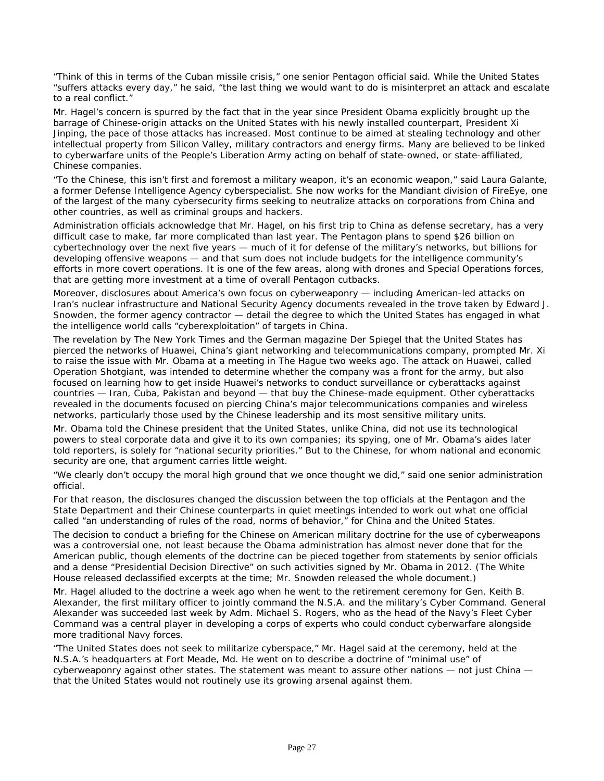"Think of this in terms of the Cuban missile crisis," one senior Pentagon official said. While the United States "suffers attacks every day," he said, "the last thing we would want to do is misinterpret an attack and escalate to a real conflict."

Mr. Hagel's concern is spurred by the fact that in the year since President Obama explicitly brought up the barrage of Chinese-origin attacks on the United States with his newly installed counterpart, President Xi Jinping, the pace of those attacks has increased. Most continue to be aimed at stealing technology and other intellectual property from Silicon Valley, military contractors and energy firms. Many are believed to be linked to cyberwarfare units of the People's Liberation Army acting on behalf of state-owned, or state-affiliated, Chinese companies.

"To the Chinese, this isn't first and foremost a military weapon, it's an economic weapon," said Laura Galante, a former Defense Intelligence Agency cyberspecialist. She now works for the Mandiant division of FireEye, one of the largest of the many cybersecurity firms seeking to neutralize attacks on corporations from China and other countries, as well as criminal groups and hackers.

Administration officials acknowledge that Mr. Hagel, on his first trip to China as defense secretary, has a very difficult case to make, far more complicated than last year. The Pentagon plans to spend \$26 billion on cybertechnology over the next five years — much of it for defense of the military's networks, but billions for developing offensive weapons — and that sum does not include budgets for the intelligence community's efforts in more covert operations. It is one of the few areas, along with drones and Special Operations forces, that are getting more investment at a time of overall Pentagon cutbacks.

Moreover, disclosures about America's own focus on cyberweaponry — including American-led attacks on Iran's nuclear infrastructure and National Security Agency documents revealed in the trove taken by Edward J. Snowden, the former agency contractor — detail the degree to which the United States has engaged in what the intelligence world calls "cyberexploitation" of targets in China.

The revelation by The New York Times and the German magazine Der Spiegel that the United States has pierced the networks of Huawei, China's giant networking and telecommunications company, prompted Mr. Xi to raise the issue with Mr. Obama at a meeting in The Hague two weeks ago. The attack on Huawei, called Operation Shotgiant, was intended to determine whether the company was a front for the army, but also focused on learning how to get inside Huawei's networks to conduct surveillance or cyberattacks against countries — Iran, Cuba, Pakistan and beyond — that buy the Chinese-made equipment. Other cyberattacks revealed in the documents focused on piercing China's major telecommunications companies and wireless networks, particularly those used by the Chinese leadership and its most sensitive military units.

Mr. Obama told the Chinese president that the United States, unlike China, did not use its technological powers to steal corporate data and give it to its own companies; its spying, one of Mr. Obama's aides later told reporters, is solely for "national security priorities." But to the Chinese, for whom national and economic security are one, that argument carries little weight.

"We clearly don't occupy the moral high ground that we once thought we did," said one senior administration official.

For that reason, the disclosures changed the discussion between the top officials at the Pentagon and the State Department and their Chinese counterparts in quiet meetings intended to work out what one official called "an understanding of rules of the road, norms of behavior," for China and the United States.

The decision to conduct a briefing for the Chinese on American military doctrine for the use of cyberweapons was a controversial one, not least because the Obama administration has almost never done that for the American public, though elements of the doctrine can be pieced together from statements by senior officials and a dense "Presidential Decision Directive" on such activities signed by Mr. Obama in 2012. (The White House released declassified excerpts at the time; Mr. Snowden released the whole document.)

Mr. Hagel alluded to the doctrine a week ago when he went to the retirement ceremony for Gen. Keith B. Alexander, the first military officer to jointly command the N.S.A. and the military's Cyber Command. General Alexander was succeeded last week by Adm. Michael S. Rogers, who as the head of the Navy's Fleet Cyber Command was a central player in developing a corps of experts who could conduct cyberwarfare alongside more traditional Navy forces.

"The United States does not seek to militarize cyberspace," Mr. Hagel said at the ceremony, held at the N.S.A.'s headquarters at Fort Meade, Md. He went on to describe a doctrine of "minimal use" of cyberweaponry against other states. The statement was meant to assure other nations — not just China that the United States would not routinely use its growing arsenal against them.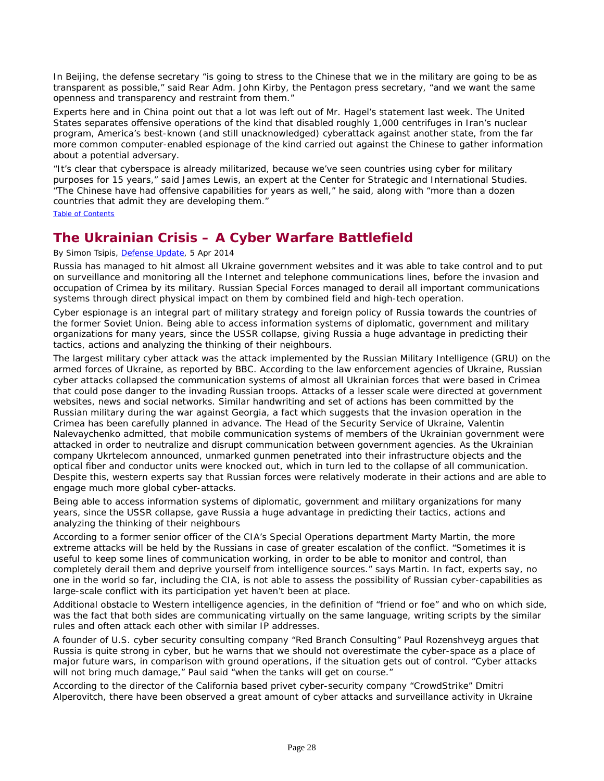In Beijing, the defense secretary "is going to stress to the Chinese that we in the military are going to be as transparent as possible," said Rear Adm. John Kirby, the Pentagon press secretary, "and we want the same openness and transparency and restraint from them."

Experts here and in China point out that a lot was left out of Mr. Hagel's statement last week. The United States separates offensive operations of the kind that disabled roughly 1,000 centrifuges in Iran's nuclear program, America's best-known (and still unacknowledged) cyberattack against another state, from the far more common computer-enabled espionage of the kind carried out against the Chinese to gather information about a potential adversary.

"It's clear that cyberspace is already militarized, because we've seen countries using cyber for military purposes for 15 years," said James Lewis, an expert at the Center for Strategic and International Studies. "The Chinese have had offensive capabilities for years as well," he said, along with "more than a dozen countries that admit they are developing them." [Table of Contents](#page-1-0)

### <span id="page-27-0"></span>**The Ukrainian Crisis – A Cyber Warfare Battlefield**

#### By Simon Tsipis, [Defense Update,](http://defense-update.com/20140405_ukrainian-crisis-cyber-warfare-battlefield.html) 5 Apr 2014

Russia has managed to hit almost all Ukraine government websites and it was able to take control and to put on surveillance and monitoring all the Internet and telephone communications lines, before the invasion and occupation of Crimea by its military. Russian Special Forces managed to derail all important communications systems through direct physical impact on them by combined field and high-tech operation.

Cyber espionage is an integral part of military strategy and foreign policy of Russia towards the countries of the former Soviet Union. Being able to access information systems of diplomatic, government and military organizations for many years, since the USSR collapse, giving Russia a huge advantage in predicting their tactics, actions and analyzing the thinking of their neighbours.

The largest military cyber attack was the attack implemented by the Russian Military Intelligence (GRU) on the armed forces of Ukraine, as reported by BBC. According to the law enforcement agencies of Ukraine, Russian cyber attacks collapsed the communication systems of almost all Ukrainian forces that were based in Crimea that could pose danger to the invading Russian troops. Attacks of a lesser scale were directed at government websites, news and social networks. Similar handwriting and set of actions has been committed by the Russian military during the war against Georgia, a fact which suggests that the invasion operation in the Crimea has been carefully planned in advance. The Head of the Security Service of Ukraine, Valentin Nalevaychenko admitted, that mobile communication systems of members of the Ukrainian government were attacked in order to neutralize and disrupt communication between government agencies. As the Ukrainian company Ukrtelecom announced, unmarked gunmen penetrated into their infrastructure objects and the optical fiber and conductor units were knocked out, which in turn led to the collapse of all communication. Despite this, western experts say that Russian forces were relatively moderate in their actions and are able to engage much more global cyber-attacks.

Being able to access information systems of diplomatic, government and military organizations for many years, since the USSR collapse, gave Russia a huge advantage in predicting their tactics, actions and analyzing the thinking of their neighbours

According to a former senior officer of the CIA's Special Operations department Marty Martin, the more extreme attacks will be held by the Russians in case of greater escalation of the conflict. "Sometimes it is useful to keep some lines of communication working, in order to be able to monitor and control, than completely derail them and deprive yourself from intelligence sources." says Martin. In fact, experts say, no one in the world so far, including the CIA, is not able to assess the possibility of Russian cyber-capabilities as large-scale conflict with its participation yet haven't been at place.

Additional obstacle to Western intelligence agencies, in the definition of "friend or foe" and who on which side, was the fact that both sides are communicating virtually on the same language, writing scripts by the similar rules and often attack each other with similar IP addresses.

A founder of U.S. cyber security consulting company "Red Branch Consulting" Paul Rozenshveyg argues that Russia is quite strong in cyber, but he warns that we should not overestimate the cyber-space as a place of major future wars, in comparison with ground operations, if the situation gets out of control. "Cyber attacks will not bring much damage," Paul said "when the tanks will get on course."

According to the director of the California based privet cyber-security company "CrowdStrike" Dmitri Alperovitch, there have been observed a great amount of cyber attacks and surveillance activity in Ukraine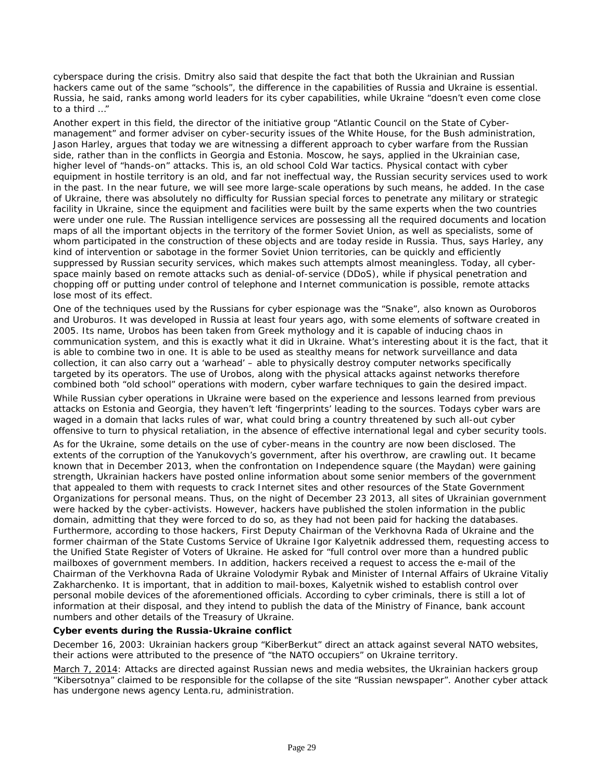cyberspace during the crisis. Dmitry also said that despite the fact that both the Ukrainian and Russian hackers came out of the same "schools", the difference in the capabilities of Russia and Ukraine is essential. Russia, he said, ranks among world leaders for its cyber capabilities, while Ukraine "doesn't even come close to a third …"

Another expert in this field, the director of the initiative group "Atlantic Council on the State of Cybermanagement" and former adviser on cyber-security issues of the White House, for the Bush administration, Jason Harley, argues that today we are witnessing a different approach to cyber warfare from the Russian side, rather than in the conflicts in Georgia and Estonia. Moscow, he says, applied in the Ukrainian case, higher level of "hands-on" attacks. This is, an old school Cold War tactics. Physical contact with cyber equipment in hostile territory is an old, and far not ineffectual way, the Russian security services used to work in the past. In the near future, we will see more large-scale operations by such means, he added. In the case of Ukraine, there was absolutely no difficulty for Russian special forces to penetrate any military or strategic facility in Ukraine, since the equipment and facilities were built by the same experts when the two countries were under one rule. The Russian intelligence services are possessing all the required documents and location maps of all the important objects in the territory of the former Soviet Union, as well as specialists, some of whom participated in the construction of these objects and are today reside in Russia. Thus, says Harley, any kind of intervention or sabotage in the former Soviet Union territories, can be quickly and efficiently suppressed by Russian security services, which makes such attempts almost meaningless. Today, all cyberspace mainly based on remote attacks such as denial-of-service (DDoS), while if physical penetration and chopping off or putting under control of telephone and Internet communication is possible, remote attacks lose most of its effect.

One of the techniques used by the Russians for cyber espionage was the "Snake", also known as Ouroboros and Uroburos. It was developed in Russia at least four years ago, with some elements of software created in 2005. Its name, Urobos has been taken from Greek mythology and it is capable of inducing chaos in communication system, and this is exactly what it did in Ukraine. What's interesting about it is the fact, that it is able to combine two in one. It is able to be used as stealthy means for network surveillance and data collection, it can also carry out a 'warhead' – able to physically destroy computer networks specifically targeted by its operators. The use of Urobos, along with the physical attacks against networks therefore combined both "old school" operations with modern, cyber warfare techniques to gain the desired impact.

While Russian cyber operations in Ukraine were based on the experience and lessons learned from previous attacks on Estonia and Georgia, they haven't left 'fingerprints' leading to the sources. Todays cyber wars are waged in a domain that lacks rules of war, what could bring a country threatened by such all-out cyber offensive to turn to physical retaliation, in the absence of effective international legal and cyber security tools.

As for the Ukraine, some details on the use of cyber-means in the country are now been disclosed. The extents of the corruption of the Yanukovych's government, after his overthrow, are crawling out. It became known that in December 2013, when the confrontation on Independence square (the Maydan) were gaining strength, Ukrainian hackers have posted online information about some senior members of the government that appealed to them with requests to crack Internet sites and other resources of the State Government Organizations for personal means. Thus, on the night of December 23 2013, all sites of Ukrainian government were hacked by the cyber-activists. However, hackers have published the stolen information in the public domain, admitting that they were forced to do so, as they had not been paid for hacking the databases. Furthermore, according to those hackers, First Deputy Chairman of the Verkhovna Rada of Ukraine and the former chairman of the State Customs Service of Ukraine Igor Kalyetnik addressed them, requesting access to the Unified State Register of Voters of Ukraine. He asked for "full control over more than a hundred public mailboxes of government members. In addition, hackers received a request to access the e-mail of the Chairman of the Verkhovna Rada of Ukraine Volodymir Rybak and Minister of Internal Affairs of Ukraine Vitaliy Zakharchenko. It is important, that in addition to mail-boxes, Kalyetnik wished to establish control over personal mobile devices of the aforementioned officials. According to cyber criminals, there is still a lot of information at their disposal, and they intend to publish the data of the Ministry of Finance, bank account numbers and other details of the Treasury of Ukraine.

#### **Cyber events during the Russia-Ukraine conflict**

December 16, 2003: Ukrainian hackers group "KiberBerkut" direct an attack against several NATO websites, their actions were attributed to the presence of "the NATO occupiers" on Ukraine territory.

March 7, 2014: Attacks are directed against Russian news and media websites, the Ukrainian hackers group "Kibersotnya" claimed to be responsible for the collapse of the site "Russian newspaper". Another cyber attack has undergone news agency Lenta.ru, administration.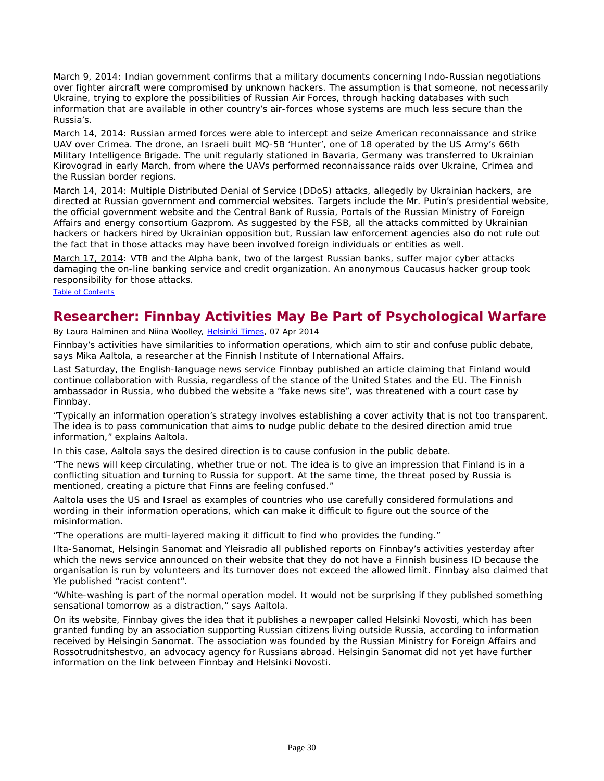March 9, 2014: Indian government confirms that a military documents concerning Indo-Russian negotiations over fighter aircraft were compromised by unknown hackers. The assumption is that someone, not necessarily Ukraine, trying to explore the possibilities of Russian Air Forces, through hacking databases with such information that are available in other country's air-forces whose systems are much less secure than the Russia's.

March 14, 2014: Russian armed forces were able to intercept and seize American reconnaissance and strike UAV over Crimea. The drone, an Israeli built MQ-5B 'Hunter', one of 18 operated by the US Army's 66th Military Intelligence Brigade. The unit regularly stationed in Bavaria, Germany was transferred to Ukrainian Kirovograd in early March, from where the UAVs performed reconnaissance raids over Ukraine, Crimea and the Russian border regions.

March 14, 2014: Multiple Distributed Denial of Service (DDoS) attacks, allegedly by Ukrainian hackers, are directed at Russian government and commercial websites. Targets include the Mr. Putin's presidential website, the official government website and the Central Bank of Russia, Portals of the Russian Ministry of Foreign Affairs and energy consortium Gazprom. As suggested by the FSB, all the attacks committed by Ukrainian hackers or hackers hired by Ukrainian opposition but, Russian law enforcement agencies also do not rule out the fact that in those attacks may have been involved foreign individuals or entities as well.

March 17, 2014: VTB and the Alpha bank, two of the largest Russian banks, suffer major cyber attacks damaging the on-line banking service and credit organization. An anonymous Caucasus hacker group took responsibility for those attacks.

<span id="page-29-0"></span>[Table of Contents](#page-1-0)

### **Researcher: Finnbay Activities May Be Part of Psychological Warfare**

By Laura Halminen and Niina Woolley, [Helsinki Times,](http://www.helsinkitimes.fi/finland/finland-news/domestic/10096-researcher-finnbay-activities-may-be-part-of-psychological-warfare.html) 07 Apr 2014

Finnbay's activities have similarities to information operations, which aim to stir and confuse public debate, says Mika Aaltola, a researcher at the Finnish Institute of International Affairs.

Last Saturday, the English-language news service Finnbay published an article claiming that Finland would continue collaboration with Russia, regardless of the stance of the United States and the EU. The Finnish ambassador in Russia, who dubbed the website a "fake news site", was threatened with a court case by Finnbay.

"Typically an information operation's strategy involves establishing a cover activity that is not too transparent. The idea is to pass communication that aims to nudge public debate to the desired direction amid true information," explains Aaltola.

In this case, Aaltola says the desired direction is to cause confusion in the public debate.

"The news will keep circulating, whether true or not. The idea is to give an impression that Finland is in a conflicting situation and turning to Russia for support. At the same time, the threat posed by Russia is mentioned, creating a picture that Finns are feeling confused."

Aaltola uses the US and Israel as examples of countries who use carefully considered formulations and wording in their information operations, which can make it difficult to figure out the source of the misinformation.

"The operations are multi-layered making it difficult to find who provides the funding."

Ilta-Sanomat, Helsingin Sanomat and Yleisradio all published reports on Finnbay's activities yesterday after which the news service announced on their website that they do not have a Finnish business ID because the organisation is run by volunteers and its turnover does not exceed the allowed limit. Finnbay also claimed that Yle published "racist content".

"White-washing is part of the normal operation model. It would not be surprising if they published something sensational tomorrow as a distraction," says Aaltola.

On its website, Finnbay gives the idea that it publishes a newpaper called Helsinki Novosti, which has been granted funding by an association supporting Russian citizens living outside Russia, according to information received by Helsingin Sanomat. The association was founded by the Russian Ministry for Foreign Affairs and Rossotrudnitshestvo, an advocacy agency for Russians abroad. Helsingin Sanomat did not yet have further information on the link between Finnbay and Helsinki Novosti.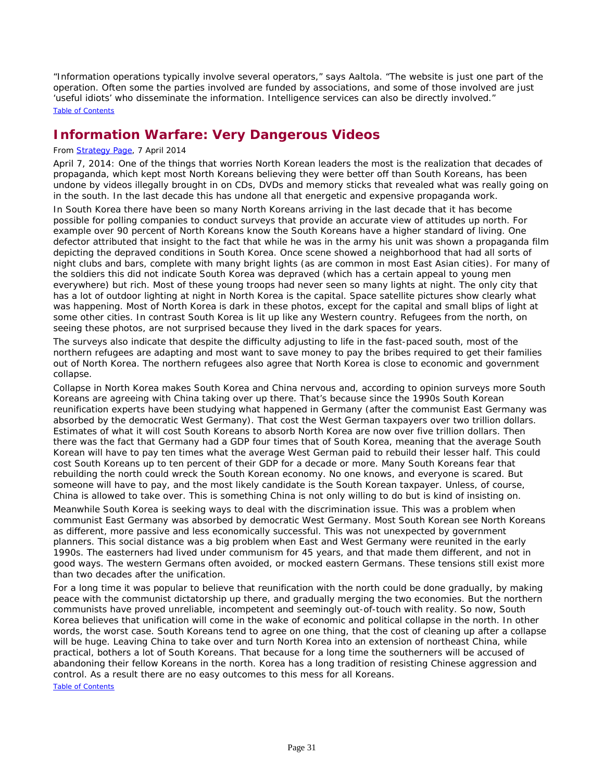"Information operations typically involve several operators," says Aaltola. "The website is just one part of the operation. Often some the parties involved are funded by associations, and some of those involved are just 'useful idiots' who disseminate the information. Intelligence services can also be directly involved." [Table of Contents](#page-1-0)

### <span id="page-30-0"></span>**Information Warfare: Very Dangerous Videos**

#### From [Strategy Page,](http://www.strategypage.com/htmw/htiw/articles/20140407.aspx) 7 April 2014

April 7, 2014: One of the things that worries North Korean leaders the most is the realization that decades of propaganda, which kept most North Koreans believing they were better off than South Koreans, has been undone by videos illegally brought in on CDs, DVDs and memory sticks that revealed what was really going on in the south. In the last decade this has undone all that energetic and expensive propaganda work.

In South Korea there have been so many North Koreans arriving in the last decade that it has become possible for polling companies to conduct surveys that provide an accurate view of attitudes up north. For example over 90 percent of North Koreans know the South Koreans have a higher standard of living. One defector attributed that insight to the fact that while he was in the army his unit was shown a propaganda film depicting the depraved conditions in South Korea. Once scene showed a neighborhood that had all sorts of night clubs and bars, complete with many bright lights (as are common in most East Asian cities). For many of the soldiers this did not indicate South Korea was depraved (which has a certain appeal to young men everywhere) but rich. Most of these young troops had never seen so many lights at night. The only city that has a lot of outdoor lighting at night in North Korea is the capital. Space satellite pictures show clearly what was happening. Most of North Korea is dark in these photos, except for the capital and small blips of light at some other cities. In contrast South Korea is lit up like any Western country. Refugees from the north, on seeing these photos, are not surprised because they lived in the dark spaces for years.

The surveys also indicate that despite the difficulty adjusting to life in the fast-paced south, most of the northern refugees are adapting and most want to save money to pay the bribes required to get their families out of North Korea. The northern refugees also agree that North Korea is close to economic and government collapse.

Collapse in North Korea makes South Korea and China nervous and, according to opinion surveys more South Koreans are agreeing with China taking over up there. That's because since the 1990s South Korean reunification experts have been studying what happened in Germany (after the communist East Germany was absorbed by the democratic West Germany). That cost the West German taxpayers over two trillion dollars. Estimates of what it will cost South Koreans to absorb North Korea are now over five trillion dollars. Then there was the fact that Germany had a GDP four times that of South Korea, meaning that the average South Korean will have to pay ten times what the average West German paid to rebuild their lesser half. This could cost South Koreans up to ten percent of their GDP for a decade or more. Many South Koreans fear that rebuilding the north could wreck the South Korean economy. No one knows, and everyone is scared. But someone will have to pay, and the most likely candidate is the South Korean taxpayer. Unless, of course, China is allowed to take over. This is something China is not only willing to do but is kind of insisting on.

Meanwhile South Korea is seeking ways to deal with the discrimination issue. This was a problem when communist East Germany was absorbed by democratic West Germany. Most South Korean see North Koreans as different, more passive and less economically successful. This was not unexpected by government planners. This social distance was a big problem when East and West Germany were reunited in the early 1990s. The easterners had lived under communism for 45 years, and that made them different, and not in good ways. The western Germans often avoided, or mocked eastern Germans. These tensions still exist more than two decades after the unification.

For a long time it was popular to believe that reunification with the north could be done gradually, by making peace with the communist dictatorship up there, and gradually merging the two economies. But the northern communists have proved unreliable, incompetent and seemingly out-of-touch with reality. So now, South Korea believes that unification will come in the wake of economic and political collapse in the north. In other words, the worst case. South Koreans tend to agree on one thing, that the cost of cleaning up after a collapse will be huge. Leaving China to take over and turn North Korea into an extension of northeast China, while practical, bothers a lot of South Koreans. That because for a long time the southerners will be accused of abandoning their fellow Koreans in the north. Korea has a long tradition of resisting Chinese aggression and control. As a result there are no easy outcomes to this mess for all Koreans.

[Table of Contents](#page-1-0)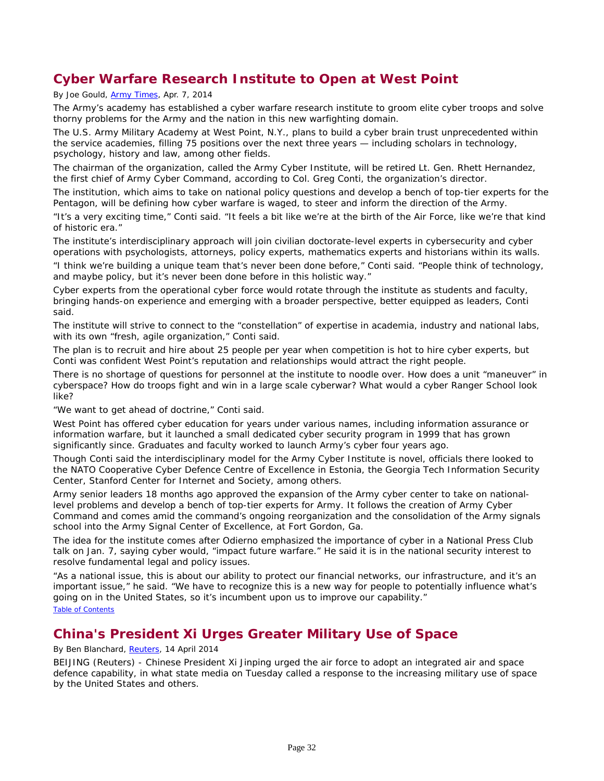### <span id="page-31-0"></span>**Cyber Warfare Research Institute to Open at West Point**

#### By Joe Gould, [Army Times,](http://www.google.com/url?sa=t&rct=j&q=&esrc=s&frm=1&source=newssearch&cd=2&cad=rja&uact=8&ved=0CCkQqQIoADAB&url=http%3A%2F%2Fwww.armytimes.com%2Farticle%2F20140407%2FNEWS04%2F304070052%2FCyber-warfare-research-institute-open-West-Point&ei=IjtEU8KZF-KysASy) Apr. 7, 2014

The Army's academy has established a cyber warfare research institute to groom elite cyber troops and solve thorny problems for the Army and the nation in this new warfighting domain.

The U.S. Army Military Academy at West Point, N.Y., plans to build a cyber brain trust unprecedented within the service academies, filling 75 positions over the next three years — including scholars in technology, psychology, history and law, among other fields.

The chairman of the organization, called the Army Cyber Institute, will be retired Lt. Gen. Rhett Hernandez, the first chief of Army Cyber Command, according to Col. Greg Conti, the organization's director.

The institution, which aims to take on national policy questions and develop a bench of top-tier experts for the Pentagon, will be defining how cyber warfare is waged, to steer and inform the direction of the Army.

"It's a very exciting time," Conti said. "It feels a bit like we're at the birth of the Air Force, like we're that kind of historic era."

The institute's interdisciplinary approach will join civilian doctorate-level experts in cybersecurity and cyber operations with psychologists, attorneys, policy experts, mathematics experts and historians within its walls.

"I think we're building a unique team that's never been done before," Conti said. "People think of technology, and maybe policy, but it's never been done before in this holistic way."

Cyber experts from the operational cyber force would rotate through the institute as students and faculty, bringing hands-on experience and emerging with a broader perspective, better equipped as leaders, Conti said.

The institute will strive to connect to the "constellation" of expertise in academia, industry and national labs, with its own "fresh, agile organization," Conti said.

The plan is to recruit and hire about 25 people per year when competition is hot to hire cyber experts, but Conti was confident West Point's reputation and relationships would attract the right people.

There is no shortage of questions for personnel at the institute to noodle over. How does a unit "maneuver" in cyberspace? How do troops fight and win in a large scale cyberwar? What would a cyber Ranger School look like?

"We want to get ahead of doctrine," Conti said.

West Point has offered cyber education for years under various names, including information assurance or information warfare, but it launched a small dedicated cyber security program in 1999 that has grown significantly since. Graduates and faculty worked to launch Army's cyber four years ago.

Though Conti said the interdisciplinary model for the Army Cyber Institute is novel, officials there looked to the NATO Cooperative Cyber Defence Centre of Excellence in Estonia, the Georgia Tech Information Security Center, Stanford Center for Internet and Society, among others.

Army senior leaders 18 months ago approved the expansion of the Army cyber center to take on nationallevel problems and develop a bench of top-tier experts for Army. It follows the creation of Army Cyber Command and comes amid the command's ongoing reorganization and the consolidation of the Army signals school into the Army Signal Center of Excellence, at Fort Gordon, Ga.

The idea for the institute comes after Odierno emphasized the importance of cyber in a National Press Club talk on Jan. 7, saying cyber would, "impact future warfare." He said it is in the national security interest to resolve fundamental legal and policy issues.

"As a national issue, this is about our ability to protect our financial networks, our infrastructure, and it's an important issue," he said. "We have to recognize this is a new way for people to potentially influence what's going on in the United States, so it's incumbent upon us to improve our capability." [Table of Contents](#page-1-0)

### <span id="page-31-1"></span>**China's President Xi Urges Greater Military Use of Space**

#### By Ben Blanchard, [Reuters,](http://news.yahoo.com/chinas-president-xi-urges-greater-military-space-022504986--sector.html;_ylt=AwrSyCQxnUxTP1UAl4nQtDMD) 14 April 2014

BEIJING (Reuters) - Chinese President Xi Jinping urged the air force to adopt an integrated air and space defence capability, in what state media on Tuesday called a response to the increasing military use of space by the United States and others.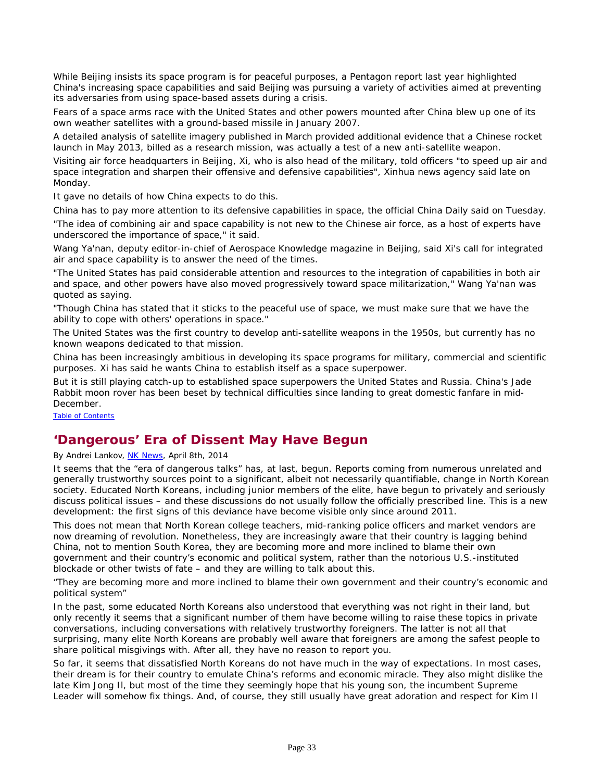While Beijing insists its space program is for peaceful purposes, a Pentagon report last year highlighted China's increasing space capabilities and said Beijing was pursuing a variety of activities aimed at preventing its adversaries from using space-based assets during a crisis.

Fears of a space arms race with the United States and other powers mounted after China blew up one of its own weather satellites with a ground-based missile in January 2007.

A detailed analysis of satellite imagery published in March provided additional evidence that a Chinese rocket launch in May 2013, billed as a research mission, was actually a test of a new anti-satellite weapon.

Visiting air force headquarters in Beijing, Xi, who is also head of the military, told officers "to speed up air and space integration and sharpen their offensive and defensive capabilities", Xinhua news agency said late on Monday.

It gave no details of how China expects to do this.

China has to pay more attention to its defensive capabilities in space, the official China Daily said on Tuesday.

"The idea of combining air and space capability is not new to the Chinese air force, as a host of experts have underscored the importance of space," it said.

Wang Ya'nan, deputy editor-in-chief of Aerospace Knowledge magazine in Beijing, said Xi's call for integrated air and space capability is to answer the need of the times.

"The United States has paid considerable attention and resources to the integration of capabilities in both air and space, and other powers have also moved progressively toward space militarization," Wang Ya'nan was quoted as saying.

"Though China has stated that it sticks to the peaceful use of space, we must make sure that we have the ability to cope with others' operations in space."

The United States was the first country to develop anti-satellite weapons in the 1950s, but currently has no known weapons dedicated to that mission.

China has been increasingly ambitious in developing its space programs for military, commercial and scientific purposes. Xi has said he wants China to establish itself as a space superpower.

But it is still playing catch-up to established space superpowers the United States and Russia. China's Jade Rabbit moon rover has been beset by technical difficulties since landing to great domestic fanfare in mid-December.

[Table of Contents](#page-1-0)

#### <span id="page-32-0"></span>**'Dangerous' Era of Dissent May Have Begun**

#### By Andrei Lankov, [NK News,](http://www.nknews.org/2014/04/dangerous-era-of-dissent-may-have-begun/) April 8th, 2014

It seems that the "era of dangerous talks" has, at last, begun. Reports coming from numerous unrelated and generally trustworthy sources point to a significant, albeit not necessarily quantifiable, change in North Korean society. Educated North Koreans, including junior members of the elite, have begun to privately and seriously discuss political issues – and these discussions do not usually follow the officially prescribed line. This is a new development: the first signs of this deviance have become visible only since around 2011.

This does not mean that North Korean college teachers, mid-ranking police officers and market vendors are now dreaming of revolution. Nonetheless, they are increasingly aware that their country is lagging behind China, not to mention South Korea, they are becoming more and more inclined to blame their own government and their country's economic and political system, rather than the notorious U.S.-instituted blockade or other twists of fate – and they are willing to talk about this.

"They are becoming more and more inclined to blame their own government and their country's economic and political system"

In the past, some educated North Koreans also understood that everything was not right in their land, but only recently it seems that a significant number of them have become willing to raise these topics in private conversations, including conversations with relatively trustworthy foreigners. The latter is not all that surprising, many elite North Koreans are probably well aware that foreigners are among the safest people to share political misgivings with. After all, they have no reason to report you.

So far, it seems that dissatisfied North Koreans do not have much in the way of expectations. In most cases, their dream is for their country to emulate China's reforms and economic miracle. They also might dislike the late Kim Jong Il, but most of the time they seemingly hope that his young son, the incumbent Supreme Leader will somehow fix things. And, of course, they still usually have great adoration and respect for Kim Il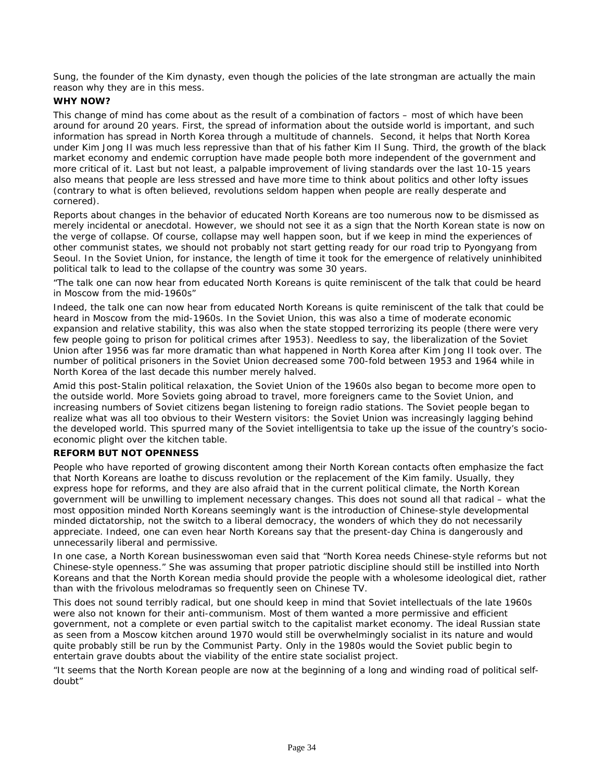Sung, the founder of the Kim dynasty, even though the policies of the late strongman are actually the main reason why they are in this mess.

#### **WHY NOW?**

This change of mind has come about as the result of a combination of factors – most of which have been around for around 20 years. First, the spread of information about the outside world is important, and such information has spread in North Korea through a multitude of channels. Second, it helps that North Korea under Kim Jong Il was much less repressive than that of his father Kim Il Sung. Third, the growth of the black market economy and endemic corruption have made people both more independent of the government and more critical of it. Last but not least, a palpable improvement of living standards over the last 10-15 years also means that people are less stressed and have more time to think about politics and other lofty issues (contrary to what is often believed, revolutions seldom happen when people are really desperate and cornered).

Reports about changes in the behavior of educated North Koreans are too numerous now to be dismissed as merely incidental or anecdotal. However, we should not see it as a sign that the North Korean state is now on the verge of collapse. Of course, collapse may well happen soon, but if we keep in mind the experiences of other communist states, we should not probably not start getting ready for our road trip to Pyongyang from Seoul. In the Soviet Union, for instance, the length of time it took for the emergence of relatively uninhibited political talk to lead to the collapse of the country was some 30 years.

"The talk one can now hear from educated North Koreans is quite reminiscent of the talk that could be heard in Moscow from the mid-1960s"

Indeed, the talk one can now hear from educated North Koreans is quite reminiscent of the talk that could be heard in Moscow from the mid-1960s. In the Soviet Union, this was also a time of moderate economic expansion and relative stability, this was also when the state stopped terrorizing its people (there were very few people going to prison for political crimes after 1953). Needless to say, the liberalization of the Soviet Union after 1956 was far more dramatic than what happened in North Korea after Kim Jong Il took over. The number of political prisoners in the Soviet Union decreased some 700-fold between 1953 and 1964 while in North Korea of the last decade this number merely halved.

Amid this post-Stalin political relaxation, the Soviet Union of the 1960s also began to become more open to the outside world. More Soviets going abroad to travel, more foreigners came to the Soviet Union, and increasing numbers of Soviet citizens began listening to foreign radio stations. The Soviet people began to realize what was all too obvious to their Western visitors: the Soviet Union was increasingly lagging behind the developed world. This spurred many of the Soviet intelligentsia to take up the issue of the country's socioeconomic plight over the kitchen table.

#### **REFORM BUT NOT OPENNESS**

People who have reported of growing discontent among their North Korean contacts often emphasize the fact that North Koreans are loathe to discuss revolution or the replacement of the Kim family. Usually, they express hope for reforms, and they are also afraid that in the current political climate, the North Korean government will be unwilling to implement necessary changes. This does not sound all that radical – what the most opposition minded North Koreans seemingly want is the introduction of Chinese-style developmental minded dictatorship, not the switch to a liberal democracy, the wonders of which they do not necessarily appreciate. Indeed, one can even hear North Koreans say that the present-day China is dangerously and unnecessarily liberal and permissive.

In one case, a North Korean businesswoman even said that "North Korea needs Chinese-style reforms but not Chinese-style openness." She was assuming that proper patriotic discipline should still be instilled into North Koreans and that the North Korean media should provide the people with a wholesome ideological diet, rather than with the frivolous melodramas so frequently seen on Chinese TV.

This does not sound terribly radical, but one should keep in mind that Soviet intellectuals of the late 1960s were also not known for their anti-communism. Most of them wanted a more permissive and efficient government, not a complete or even partial switch to the capitalist market economy. The ideal Russian state as seen from a Moscow kitchen around 1970 would still be overwhelmingly socialist in its nature and would quite probably still be run by the Communist Party. Only in the 1980s would the Soviet public begin to entertain grave doubts about the viability of the entire state socialist project.

"It seems that the North Korean people are now at the beginning of a long and winding road of political selfdoubt"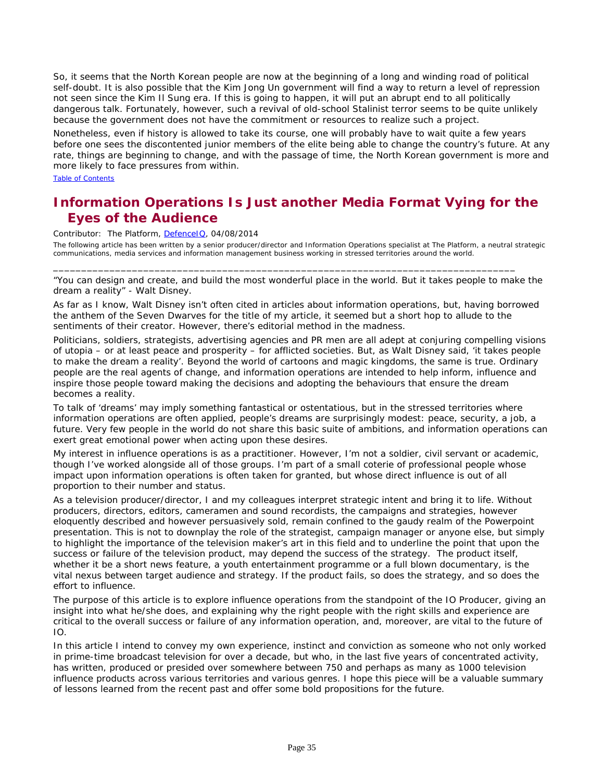So, it seems that the North Korean people are now at the beginning of a long and winding road of political self-doubt. It is also possible that the Kim Jong Un government will find a way to return a level of repression not seen since the Kim Il Sung era. If this is going to happen, it will put an abrupt end to all politically dangerous talk. Fortunately, however, such a revival of old-school Stalinist terror seems to be quite unlikely because the government does not have the commitment or resources to realize such a project.

Nonetheless, even if history is allowed to take its course, one will probably have to wait quite a few years before one sees the discontented junior members of the elite being able to change the country's future. At any rate, things are beginning to change, and with the passage of time, the North Korean government is more and more likely to face pressures from within.

[Table of Contents](#page-1-0)

### <span id="page-34-0"></span>**Information Operations Is Just another Media Format Vying for the Eyes of the Audience**

Contributor: The Platform, [DefenceIQ,](http://www.defenceiq.com/defence-technology/articles/io-io-it-s-off-to-work-we-go/) 04/08/2014

*The following article has been written by a senior producer/director and Information Operations specialist at The Platform, a neutral strategic communications, media services and information management business working in stressed territories around the world.*

"You can design and create, and build the most wonderful place in the world. But it takes people to make the dream a reality" - Walt Disney.

\_\_\_\_\_\_\_\_\_\_\_\_\_\_\_\_\_\_\_\_\_\_\_\_\_\_\_\_\_\_\_\_\_\_\_\_\_\_\_\_\_\_\_\_\_\_\_\_\_\_\_\_\_\_\_\_\_\_\_\_\_\_\_\_\_\_\_\_\_\_\_\_\_\_\_\_\_\_\_\_\_\_

As far as I know, Walt Disney isn't often cited in articles about information operations, but, having borrowed the anthem of the Seven Dwarves for the title of my article, it seemed but a short hop to allude to the sentiments of their creator. However, there's editorial method in the madness.

Politicians, soldiers, strategists, advertising agencies and PR men are all adept at conjuring compelling visions of utopia – or at least peace and prosperity – for afflicted societies. But, as Walt Disney said, 'it takes people to make the dream a reality'. Beyond the world of cartoons and magic kingdoms, the same is true. Ordinary people are the real agents of change, and information operations are intended to help inform, influence and inspire those people toward making the decisions and adopting the behaviours that ensure the dream becomes a reality.

To talk of 'dreams' may imply something fantastical or ostentatious, but in the stressed territories where information operations are often applied, people's dreams are surprisingly modest: peace, security, a job, a future. Very few people in the world do not share this basic suite of ambitions, and information operations can exert great emotional power when acting upon these desires.

My interest in influence operations is as a practitioner. However, I'm not a soldier, civil servant or academic, though I've worked alongside all of those groups. I'm part of a small coterie of professional people whose impact upon information operations is often taken for granted, but whose direct influence is out of all proportion to their number and status.

As a television producer/director, I and my colleagues interpret strategic intent and bring it to life. Without producers, directors, editors, cameramen and sound recordists, the campaigns and strategies, however eloquently described and however persuasively sold, remain confined to the gaudy realm of the Powerpoint presentation. This is not to downplay the role of the strategist, campaign manager or anyone else, but simply to highlight the importance of the television maker's art in this field and to underline the point that upon the success or failure of the television product, may depend the success of the strategy. The product itself, whether it be a short news feature, a youth entertainment programme or a full blown documentary, is the vital nexus between target audience and strategy. If the product fails, so does the strategy, and so does the effort to influence.

The purpose of this article is to explore influence operations from the standpoint of the IO Producer, giving an insight into what he/she does, and explaining why the right people with the right skills and experience are critical to the overall success or failure of any information operation, and, moreover, are vital to the future of IO.

In this article I intend to convey my own experience, instinct and conviction as someone who not only worked in prime-time broadcast television for over a decade, but who, in the last five years of concentrated activity, has written, produced or presided over somewhere between 750 and perhaps as many as 1000 television influence products across various territories and various genres. I hope this piece will be a valuable summary of lessons learned from the recent past and offer some bold propositions for the future.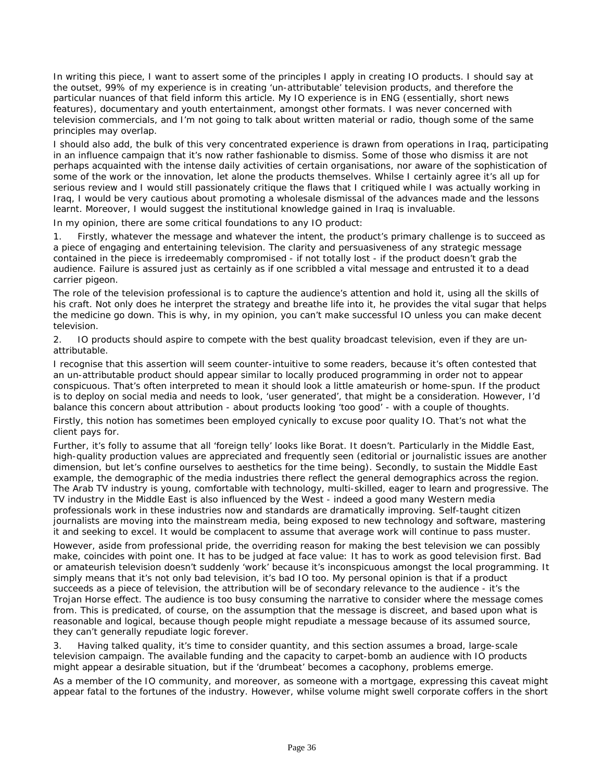In writing this piece, I want to assert some of the principles I apply in creating IO products. I should say at the outset, 99% of my experience is in creating 'un-attributable' television products, and therefore the particular nuances of that field inform this article. My IO experience is in ENG (essentially, short news features), documentary and youth entertainment, amongst other formats. I was never concerned with television commercials, and I'm not going to talk about written material or radio, though some of the same principles may overlap.

I should also add, the bulk of this very concentrated experience is drawn from operations in Iraq, participating in an influence campaign that it's now rather fashionable to dismiss. Some of those who dismiss it are not perhaps acquainted with the intense daily activities of certain organisations, nor aware of the sophistication of some of the work or the innovation, let alone the products themselves. Whilse I certainly agree it's all up for serious review and I would still passionately critique the flaws that I critiqued while I was actually working in Iraq, I would be very cautious about promoting a wholesale dismissal of the advances made and the lessons learnt. Moreover, I would suggest the institutional knowledge gained in Iraq is invaluable.

In my opinion, there are some critical foundations to any IO product:

1. Firstly, whatever the message and whatever the intent, the product's primary challenge is to succeed as a piece of engaging and entertaining television. The clarity and persuasiveness of any strategic message contained in the piece is irredeemably compromised - if not totally lost - if the product doesn't grab the audience. Failure is assured just as certainly as if one scribbled a vital message and entrusted it to a dead carrier pigeon.

The role of the television professional is to capture the audience's attention and hold it, using all the skills of his craft. Not only does he interpret the strategy and breathe life into it, he provides the vital sugar that helps the medicine go down. This is why, in my opinion, you can't make successful IO unless you can make decent television.

2. IO products should aspire to compete with the best quality broadcast television, even if they are unattributable.

I recognise that this assertion will seem counter-intuitive to some readers, because it's often contested that an un-attributable product should appear similar to locally produced programming in order not to appear conspicuous. That's often interpreted to mean it should look a little amateurish or home-spun. If the product is to deploy on social media and needs to look, 'user generated', that might be a consideration. However, I'd balance this concern about attribution - about products looking 'too good' - with a couple of thoughts.

Firstly, this notion has sometimes been employed cynically to excuse poor quality IO. That's not what the client pays for.

Further, it's folly to assume that all 'foreign telly' looks like Borat. It doesn't. Particularly in the Middle East, high-quality production values are appreciated and frequently seen (editorial or journalistic issues are another dimension, but let's confine ourselves to aesthetics for the time being). Secondly, to sustain the Middle East example, the demographic of the media industries there reflect the general demographics across the region. The Arab TV industry is young, comfortable with technology, multi-skilled, eager to learn and progressive. The TV industry in the Middle East is also influenced by the West - indeed a good many Western media professionals work in these industries now and standards are dramatically improving. Self-taught citizen journalists are moving into the mainstream media, being exposed to new technology and software, mastering it and seeking to excel. It would be complacent to assume that average work will continue to pass muster.

However, aside from professional pride, the overriding reason for making the best television we can possibly make, coincides with point one. It has to be judged at face value: It has to work as good television first. Bad or amateurish television doesn't suddenly 'work' because it's inconspicuous amongst the local programming. It simply means that it's not only bad television, it's bad IO too. My personal opinion is that if a product succeeds as a piece of television, the attribution will be of secondary relevance to the audience - it's the Trojan Horse effect. The audience is too busy consuming the narrative to consider where the message comes from. This is predicated, of course, on the assumption that the message is discreet, and based upon what is reasonable and logical, because though people might repudiate a message because of its assumed source, they can't generally repudiate logic forever.

Having talked quality, it's time to consider quantity, and this section assumes a broad, large-scale television campaign. The available funding and the capacity to carpet-bomb an audience with IO products might appear a desirable situation, but if the 'drumbeat' becomes a cacophony, problems emerge.

As a member of the IO community, and moreover, as someone with a mortgage, expressing this caveat might appear fatal to the fortunes of the industry. However, whilse volume might swell corporate coffers in the short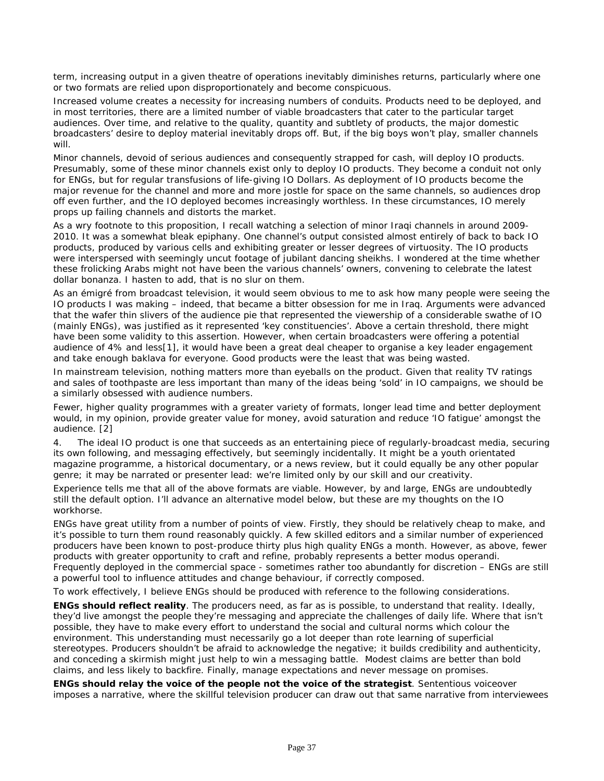term, increasing output in a given theatre of operations inevitably diminishes returns, particularly where one or two formats are relied upon disproportionately and become conspicuous.

Increased volume creates a necessity for increasing numbers of conduits. Products need to be deployed, and in most territories, there are a limited number of viable broadcasters that cater to the particular target audiences. Over time, and relative to the quality, quantity and subtlety of products, the major domestic broadcasters' desire to deploy material inevitably drops off. But, if the big boys won't play, smaller channels will.

Minor channels, devoid of serious audiences and consequently strapped for cash, will deploy IO products. Presumably, some of these minor channels exist only to deploy IO products. They become a conduit not only for ENGs, but for regular transfusions of life-giving IO Dollars. As deployment of IO products become the major revenue for the channel and more and more jostle for space on the same channels, so audiences drop off even further, and the IO deployed becomes increasingly worthless. In these circumstances, IO merely props up failing channels and distorts the market.

As a wry footnote to this proposition, I recall watching a selection of minor Iraqi channels in around 2009- 2010. It was a somewhat bleak epiphany. One channel's output consisted almost entirely of back to back IO products, produced by various cells and exhibiting greater or lesser degrees of virtuosity. The IO products were interspersed with seemingly uncut footage of jubilant dancing sheikhs. I wondered at the time whether these frolicking Arabs might not have been the various channels' owners, convening to celebrate the latest dollar bonanza. I hasten to add, that is no slur on them.

As an émigré from broadcast television, it would seem obvious to me to ask how many people were seeing the IO products I was making – indeed, that became a bitter obsession for me in Iraq. Arguments were advanced that the wafer thin slivers of the audience pie that represented the viewership of a considerable swathe of IO (mainly ENGs), was justified as it represented 'key constituencies'. Above a certain threshold, there might have been some validity to this assertion. However, when certain broadcasters were offering a potential audience of 4% and less[1], it would have been a great deal cheaper to organise a key leader engagement and take enough baklava for everyone. Good products were the least that was being wasted.

In mainstream television, nothing matters more than eyeballs on the product. Given that reality TV ratings and sales of toothpaste are less important than many of the ideas being 'sold' in IO campaigns, we should be a similarly obsessed with audience numbers.

Fewer, higher quality programmes with a greater variety of formats, longer lead time and better deployment would, in my opinion, provide greater value for money, avoid saturation and reduce 'IO fatigue' amongst the audience. [2]

4. The ideal IO product is one that succeeds as an entertaining piece of regularly-broadcast media, securing its own following, and messaging effectively, but seemingly incidentally. It might be a youth orientated magazine programme, a historical documentary, or a news review, but it could equally be any other popular genre; it may be narrated or presenter lead: we're limited only by our skill and our creativity.

Experience tells me that all of the above formats are viable. However, by and large, ENGs are undoubtedly still the default option. I'll advance an alternative model below, but these are my thoughts on the IO workhorse.

ENGs have great utility from a number of points of view. Firstly, they should be relatively cheap to make, and it's possible to turn them round reasonably quickly. A few skilled editors and a similar number of experienced producers have been known to post-produce thirty plus high quality ENGs a month. However, as above, fewer products with greater opportunity to craft and refine, probably represents a better modus operandi. Frequently deployed in the commercial space - sometimes rather too abundantly for discretion – ENGs are still a powerful tool to influence attitudes and change behaviour, if correctly composed.

To work effectively, I believe ENGs should be produced with reference to the following considerations.

**ENGs should reflect reality**. The producers need, as far as is possible, to understand that reality. Ideally, they'd live amongst the people they're messaging and appreciate the challenges of daily life. Where that isn't possible, they have to make every effort to understand the social and cultural norms which colour the environment. This understanding must necessarily go a lot deeper than rote learning of superficial stereotypes. Producers shouldn't be afraid to acknowledge the negative; it builds credibility and authenticity, and conceding a skirmish might just help to win a messaging battle. Modest claims are better than bold claims, and less likely to backfire. Finally, manage expectations and never message on promises.

**ENGs should relay the voice of the people not the voice of the strategist**. Sententious voiceover imposes a narrative, where the skillful television producer can draw out that same narrative from interviewees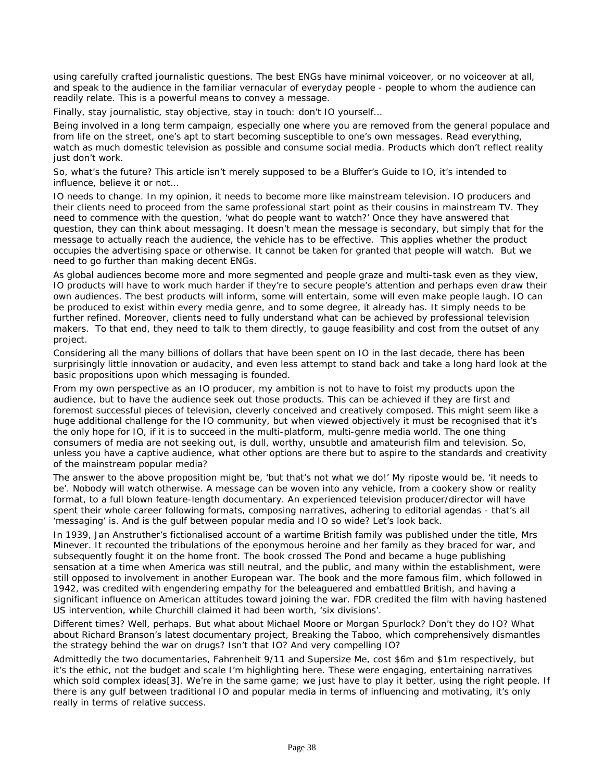using carefully crafted journalistic questions. The best ENGs have minimal voiceover, or no voiceover at all, and speak to the audience in the familiar vernacular of everyday people - people to whom the audience can readily relate. This is a powerful means to convey a message.

Finally, stay journalistic, stay objective, stay in touch: don't IO yourself…

Being involved in a long term campaign, especially one where you are removed from the general populace and from life on the street, one's apt to start becoming susceptible to one's own messages. Read everything, watch as much domestic television as possible and consume social media. Products which don't reflect reality just don't work.

So, what's the future? This article isn't merely supposed to be a Bluffer's Guide to IO, it's intended to influence, believe it or not…

IO needs to change. In my opinion, it needs to become more like mainstream television. IO producers and their clients need to proceed from the same professional start point as their cousins in mainstream TV. They need to commence with the question, 'what do people want to watch?' Once they have answered that question, they can think about messaging. It doesn't mean the message is secondary, but simply that for the message to actually reach the audience, the vehicle has to be effective. This applies whether the product occupies the advertising space or otherwise. It cannot be taken for granted that people will watch. But we need to go further than making decent ENGs.

As global audiences become more and more segmented and people graze and multi-task even as they view, IO products will have to work much harder if they're to secure people's attention and perhaps even draw their own audiences. The best products will inform, some will entertain, some will even make people laugh. IO can be produced to exist within every media genre, and to some degree, it already has. It simply needs to be further refined. Moreover, clients need to fully understand what can be achieved by professional television makers. To that end, they need to talk to them directly, to gauge feasibility and cost from the outset of any project.

Considering all the many billions of dollars that have been spent on IO in the last decade, there has been surprisingly little innovation or audacity, and even less attempt to stand back and take a long hard look at the basic propositions upon which messaging is founded.

From my own perspective as an IO producer, my ambition is not to have to foist my products upon the audience, but to have the audience seek out those products. This can be achieved if they are first and foremost successful pieces of television, cleverly conceived and creatively composed. This might seem like a huge additional challenge for the IO community, but when viewed objectively it must be recognised that it's the only hope for IO, if it is to succeed in the multi-platform, multi-genre media world. The one thing consumers of media are not seeking out, is dull, worthy, unsubtle and amateurish film and television. So, unless you have a captive audience, what other options are there but to aspire to the standards and creativity of the mainstream popular media?

The answer to the above proposition might be, 'but that's not what we do!' My riposte would be, 'it needs to be'. Nobody will watch otherwise. A message can be woven into any vehicle, from a cookery show or reality format, to a full blown feature-length documentary. An experienced television producer/director will have spent their whole career following formats, composing narratives, adhering to editorial agendas - that's all 'messaging' is. And is the gulf between popular media and IO so wide? Let's look back.

In 1939, Jan Anstruther's fictionalised account of a wartime British family was published under the title, Mrs Minever. It recounted the tribulations of the eponymous heroine and her family as they braced for war, and subsequently fought it on the home front. The book crossed The Pond and became a huge publishing sensation at a time when America was still neutral, and the public, and many within the establishment, were still opposed to involvement in another European war. The book and the more famous film, which followed in 1942, was credited with engendering empathy for the beleaguered and embattled British, and having a significant influence on American attitudes toward joining the war. FDR credited the film with having hastened US intervention, while Churchill claimed it had been worth, 'six divisions'.

Different times? Well, perhaps. But what about Michael Moore or Morgan Spurlock? Don't they do IO? What about Richard Branson's latest documentary project, Breaking the Taboo, which comprehensively dismantles the strategy behind the war on drugs? Isn't that IO? And very compelling IO?

Admittedly the two documentaries, Fahrenheit 9/11 and Supersize Me, cost \$6m and \$1m respectively, but it's the ethic, not the budget and scale I'm highlighting here. These were engaging, entertaining narratives which sold complex ideas[3]. We're in the same game; we just have to play it better, using the right people. If there is any gulf between traditional IO and popular media in terms of influencing and motivating, it's only really in terms of relative success.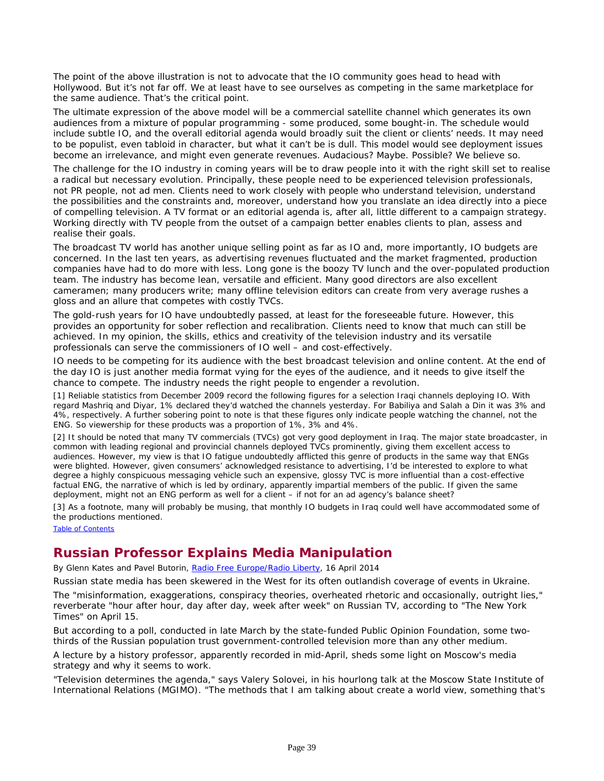The point of the above illustration is not to advocate that the IO community goes head to head with Hollywood. But it's not far off. We at least have to see ourselves as competing in the same marketplace for the same audience. That's the critical point.

The ultimate expression of the above model will be a commercial satellite channel which generates its own audiences from a mixture of popular programming - some produced, some bought-in. The schedule would include subtle IO, and the overall editorial agenda would broadly suit the client or clients' needs. It may need to be populist, even tabloid in character, but what it can't be is dull. This model would see deployment issues become an irrelevance, and might even generate revenues. Audacious? Maybe. Possible? We believe so.

The challenge for the IO industry in coming years will be to draw people into it with the right skill set to realise a radical but necessary evolution. Principally, these people need to be experienced television professionals, not PR people, not ad men. Clients need to work closely with people who understand television, understand the possibilities and the constraints and, moreover, understand how you translate an idea directly into a piece of compelling television. A TV format or an editorial agenda is, after all, little different to a campaign strategy. Working directly with TV people from the outset of a campaign better enables clients to plan, assess and realise their goals.

The broadcast TV world has another unique selling point as far as IO and, more importantly, IO budgets are concerned. In the last ten years, as advertising revenues fluctuated and the market fragmented, production companies have had to do more with less. Long gone is the boozy TV lunch and the over-populated production team. The industry has become lean, versatile and efficient. Many good directors are also excellent cameramen; many producers write; many offline television editors can create from very average rushes a gloss and an allure that competes with costly TVCs.

The gold-rush years for IO have undoubtedly passed, at least for the foreseeable future. However, this provides an opportunity for sober reflection and recalibration. Clients need to know that much can still be achieved. In my opinion, the skills, ethics and creativity of the television industry and its versatile professionals can serve the commissioners of IO well – and cost-effectively.

IO needs to be competing for its audience with the best broadcast television and online content. At the end of the day IO is just another media format vying for the eyes of the audience, and it needs to give itself the chance to compete. The industry needs the right people to engender a revolution.

[1] Reliable statistics from December 2009 record the following figures for a selection Iraqi channels deploying IO. With regard Mashriq and Diyar, 1% declared they'd watched the channels yesterday. For Babiliya and Salah a Din it was 3% and 4%, respectively. A further sobering point to note is that these figures only indicate people watching the channel, not the ENG. So viewership for these products was a proportion of 1%, 3% and 4%.

[2] It should be noted that many TV commercials (TVCs) got very good deployment in Iraq. The major state broadcaster, in common with leading regional and provincial channels deployed TVCs prominently, giving them excellent access to audiences. However, my view is that IO fatigue undoubtedly afflicted this genre of products in the same way that ENGs were blighted. However, given consumers' acknowledged resistance to advertising, I'd be interested to explore to what degree a highly conspicuous messaging vehicle such an expensive, glossy TVC is more influential than a cost-effective factual ENG, the narrative of which is led by ordinary, apparently impartial members of the public. If given the same deployment, might not an ENG perform as well for a client – if not for an ad agency's balance sheet?

[3] As a footnote, many will probably be musing, that monthly IO budgets in Iraq could well have accommodated some of the productions mentioned.

[Table of Contents](#page-1-0)

### <span id="page-38-0"></span>**Russian Professor Explains Media Manipulation**

By Glenn Kates and Pavel Butorin, [Radio Free Europe/Radio Liberty,](http://www.rferl.org/content/unspun-russian-professor-media-manipulation/25351952.html) 16 April 2014

Russian state media has been skewered in the West for its often outlandish coverage of events in Ukraine.

The "misinformation, exaggerations, conspiracy theories, overheated rhetoric and occasionally, outright lies," reverberate "hour after hour, day after day, week after week" on Russian TV, according to "The New York Times" on April 15.

But according to a poll, conducted in late March by the state-funded Public Opinion Foundation, some twothirds of the Russian population trust government-controlled television more than any other medium.

A lecture by a history professor, apparently recorded in mid-April, sheds some light on Moscow's media strategy and why it seems to work.

"Television determines the agenda," says Valery Solovei, in his hourlong talk at the Moscow State Institute of International Relations (MGIMO). "The methods that I am talking about create a world view, something that's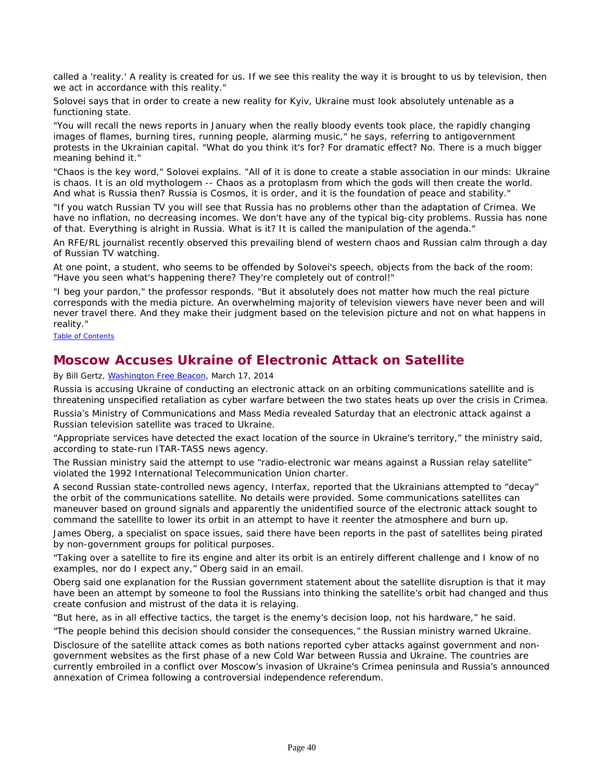called a 'reality.' A reality is created for us. If we see this reality the way it is brought to us by television, then we act in accordance with this reality."

Solovei says that in order to create a new reality for Kyiv, Ukraine must look absolutely untenable as a functioning state.

"You will recall the news reports in January when the really bloody events took place, the rapidly changing images of flames, burning tires, running people, alarming music," he says, referring to antigovernment protests in the Ukrainian capital. "What do you think it's for? For dramatic effect? No. There is a much bigger meaning behind it."

"Chaos is the key word," Solovei explains. "All of it is done to create a stable association in our minds: Ukraine is chaos. It is an old mythologem -- Chaos as a protoplasm from which the gods will then create the world. And what is Russia then? Russia is Cosmos, it is order, and it is the foundation of peace and stability."

"If you watch Russian TV you will see that Russia has no problems other than the adaptation of Crimea. We have no inflation, no decreasing incomes. We don't have any of the typical big-city problems. Russia has none of that. Everything is alright in Russia. What is it? It is called the manipulation of the agenda."

An RFE/RL journalist recently observed this prevailing blend of western chaos and Russian calm through a day of Russian TV watching.

At one point, a student, who seems to be offended by Solovei's speech, objects from the back of the room: "Have you seen what's happening there? They're completely out of control!"

"I beg your pardon," the professor responds. "But it absolutely does not matter how much the real picture corresponds with the media picture. An overwhelming majority of television viewers have never been and will never travel there. And they make their judgment based on the television picture and not on what happens in reality."

[Table of Contents](#page-1-0)

### <span id="page-39-0"></span>**Moscow Accuses Ukraine of Electronic Attack on Satellite**

By Bill Gertz, [Washington Free Beacon,](http://freebeacon.com/national-security/moscow-accuses-ukraine-of-electronic-attack-on-satellite/) March 17, 2014

Russia is accusing Ukraine of conducting an electronic attack on an orbiting communications satellite and is threatening unspecified retaliation as cyber warfare between the two states heats up over the crisis in Crimea.

Russia's Ministry of Communications and Mass Media revealed Saturday that an electronic attack against a Russian television satellite was traced to Ukraine.

"Appropriate services have detected the exact location of the source in Ukraine's territory," the ministry said, according to state-run ITAR-TASS news agency.

The Russian ministry said the attempt to use "radio-electronic war means against a Russian relay satellite" violated the 1992 International Telecommunication Union charter.

A second Russian state-controlled news agency, Interfax, reported that the Ukrainians attempted to "decay" the orbit of the communications satellite. No details were provided. Some communications satellites can maneuver based on ground signals and apparently the unidentified source of the electronic attack sought to command the satellite to lower its orbit in an attempt to have it reenter the atmosphere and burn up.

James Oberg, a specialist on space issues, said there have been reports in the past of satellites being pirated by non-government groups for political purposes.

"Taking over a satellite to fire its engine and alter its orbit is an entirely different challenge and I know of no examples, nor do I expect any," Oberg said in an email.

Oberg said one explanation for the Russian government statement about the satellite disruption is that it may have been an attempt by someone to fool the Russians into thinking the satellite's orbit had changed and thus create confusion and mistrust of the data it is relaying.

"But here, as in all effective tactics, the target is the enemy's decision loop, not his hardware," he said. "The people behind this decision should consider the consequences," the Russian ministry warned Ukraine.

Disclosure of the satellite attack comes as both nations reported cyber attacks against government and nongovernment websites as the first phase of a new Cold War between Russia and Ukraine. The countries are currently embroiled in a conflict over Moscow's invasion of Ukraine's Crimea peninsula and Russia's announced annexation of Crimea following a controversial independence referendum.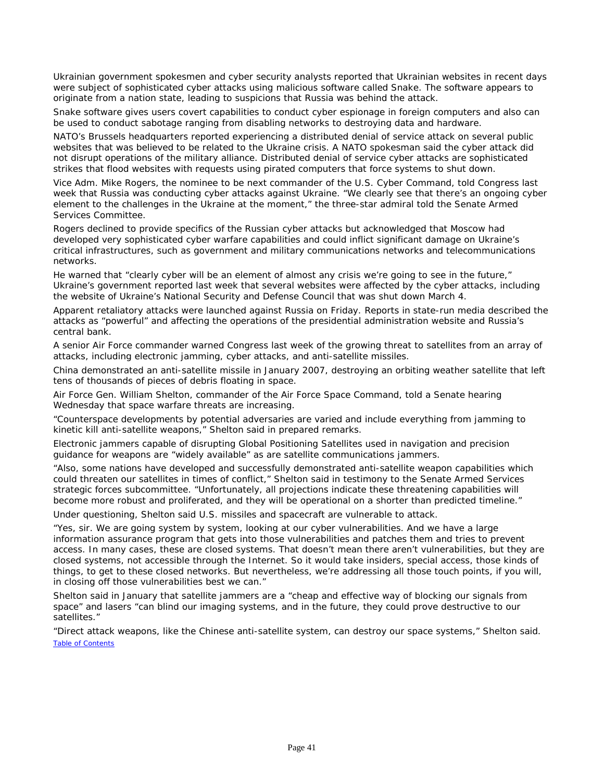Ukrainian government spokesmen and cyber security analysts reported that Ukrainian websites in recent days were subject of sophisticated cyber attacks using malicious software called Snake. The software appears to originate from a nation state, leading to suspicions that Russia was behind the attack.

Snake software gives users covert capabilities to conduct cyber espionage in foreign computers and also can be used to conduct sabotage ranging from disabling networks to destroying data and hardware.

NATO's Brussels headquarters reported experiencing a distributed denial of service attack on several public websites that was believed to be related to the Ukraine crisis. A NATO spokesman said the cyber attack did not disrupt operations of the military alliance. Distributed denial of service cyber attacks are sophisticated strikes that flood websites with requests using pirated computers that force systems to shut down.

Vice Adm. Mike Rogers, the nominee to be next commander of the U.S. Cyber Command, told Congress last week that Russia was conducting cyber attacks against Ukraine. "We clearly see that there's an ongoing cyber element to the challenges in the Ukraine at the moment," the three-star admiral told the Senate Armed Services Committee.

Rogers declined to provide specifics of the Russian cyber attacks but acknowledged that Moscow had developed very sophisticated cyber warfare capabilities and could inflict significant damage on Ukraine's critical infrastructures, such as government and military communications networks and telecommunications networks.

He warned that "clearly cyber will be an element of almost any crisis we're going to see in the future," Ukraine's government reported last week that several websites were affected by the cyber attacks, including the website of Ukraine's National Security and Defense Council that was shut down March 4.

Apparent retaliatory attacks were launched against Russia on Friday. Reports in state-run media described the attacks as "powerful" and affecting the operations of the presidential administration website and Russia's central bank.

A senior Air Force commander warned Congress last week of the growing threat to satellites from an array of attacks, including electronic jamming, cyber attacks, and anti-satellite missiles.

China demonstrated an anti-satellite missile in January 2007, destroying an orbiting weather satellite that left tens of thousands of pieces of debris floating in space.

Air Force Gen. William Shelton, commander of the Air Force Space Command, told a Senate hearing Wednesday that space warfare threats are increasing.

"Counterspace developments by potential adversaries are varied and include everything from jamming to kinetic kill anti-satellite weapons," Shelton said in prepared remarks.

Electronic jammers capable of disrupting Global Positioning Satellites used in navigation and precision guidance for weapons are "widely available" as are satellite communications jammers.

"Also, some nations have developed and successfully demonstrated anti-satellite weapon capabilities which could threaten our satellites in times of conflict," Shelton said in testimony to the Senate Armed Services strategic forces subcommittee. "Unfortunately, all projections indicate these threatening capabilities will become more robust and proliferated, and they will be operational on a shorter than predicted timeline."

Under questioning, Shelton said U.S. missiles and spacecraft are vulnerable to attack.

"Yes, sir. We are going system by system, looking at our cyber vulnerabilities. And we have a large information assurance program that gets into those vulnerabilities and patches them and tries to prevent access. In many cases, these are closed systems. That doesn't mean there aren't vulnerabilities, but they are closed systems, not accessible through the Internet. So it would take insiders, special access, those kinds of things, to get to these closed networks. But nevertheless, we're addressing all those touch points, if you will, in closing off those vulnerabilities best we can."

Shelton said in January that satellite jammers are a "cheap and effective way of blocking our signals from space" and lasers "can blind our imaging systems, and in the future, they could prove destructive to our satellites."

"Direct attack weapons, like the Chinese anti-satellite system, can destroy our space systems," Shelton said. [Table of Contents](#page-1-0)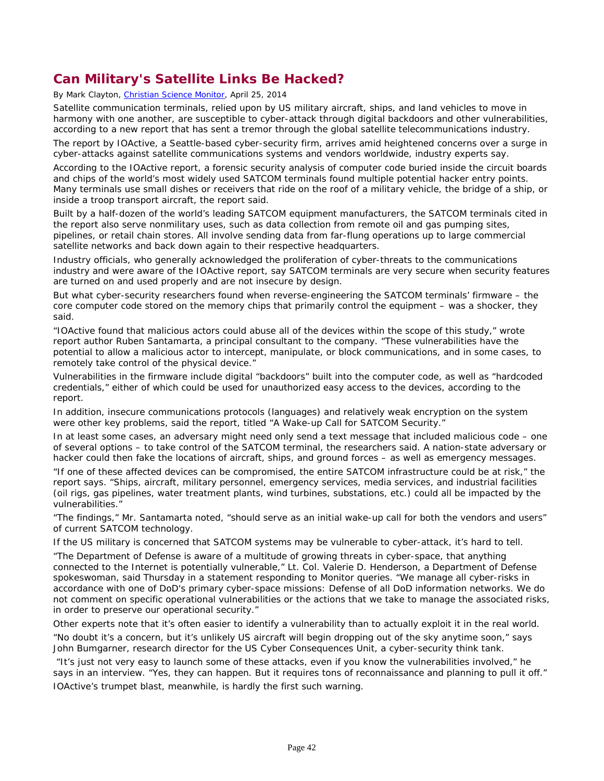### <span id="page-41-0"></span>**Can Military's Satellite Links Be Hacked?**

By Mark Clayton, [Christian Science Monitor,](http://www.csmonitor.com/World/Security-Watch/Cyber-Conflict-Monitor/2014/0425/Can-military-s-satellite-links-be-hacked-Cyber-security-firm-cites-concerns) April 25, 2014

Satellite communication terminals, relied upon by US military aircraft, ships, and land vehicles to move in harmony with one another, are susceptible to cyber-attack through digital backdoors and other vulnerabilities, according to a new report that has sent a tremor through the global satellite telecommunications industry.

The report by IOActive, a Seattle-based cyber-security firm, arrives amid heightened concerns over a surge in cyber-attacks against satellite communications systems and vendors worldwide, industry experts say.

According to the IOActive report, a forensic security analysis of computer code buried inside the circuit boards and chips of the world's most widely used SATCOM terminals found multiple potential hacker entry points. Many terminals use small dishes or receivers that ride on the roof of a military vehicle, the bridge of a ship, or inside a troop transport aircraft, the report said.

Built by a half-dozen of the world's leading SATCOM equipment manufacturers, the SATCOM terminals cited in the report also serve nonmilitary uses, such as data collection from remote oil and gas pumping sites, pipelines, or retail chain stores. All involve sending data from far-flung operations up to large commercial satellite networks and back down again to their respective headquarters.

Industry officials, who generally acknowledged the proliferation of cyber-threats to the communications industry and were aware of the IOActive report, say SATCOM terminals are very secure when security features are turned on and used properly and are not insecure by design.

But what cyber-security researchers found when reverse-engineering the SATCOM terminals' firmware – the core computer code stored on the memory chips that primarily control the equipment – was a shocker, they said.

"IOActive found that malicious actors could abuse all of the devices within the scope of this study," wrote report author Ruben Santamarta, a principal consultant to the company. "These vulnerabilities have the potential to allow a malicious actor to intercept, manipulate, or block communications, and in some cases, to remotely take control of the physical device."

Vulnerabilities in the firmware include digital "backdoors" built into the computer code, as well as "hardcoded credentials," either of which could be used for unauthorized easy access to the devices, according to the report.

In addition, insecure communications protocols (languages) and relatively weak encryption on the system were other key problems, said the report, titled "A Wake-up Call for SATCOM Security."

In at least some cases, an adversary might need only send a text message that included malicious code – one of several options – to take control of the SATCOM terminal, the researchers said. A nation-state adversary or hacker could then fake the locations of aircraft, ships, and ground forces – as well as emergency messages.

"If one of these affected devices can be compromised, the entire SATCOM infrastructure could be at risk," the report says. "Ships, aircraft, military personnel, emergency services, media services, and industrial facilities (oil rigs, gas pipelines, water treatment plants, wind turbines, substations, etc.) could all be impacted by the vulnerabilities."

"The findings," Mr. Santamarta noted, "should serve as an initial wake-up call for both the vendors and users" of current SATCOM technology.

If the US military is concerned that SATCOM systems may be vulnerable to cyber-attack, it's hard to tell.

"The Department of Defense is aware of a multitude of growing threats in cyber-space, that anything connected to the Internet is potentially vulnerable," Lt. Col. Valerie D. Henderson, a Department of Defense spokeswoman, said Thursday in a statement responding to Monitor queries. "We manage all cyber-risks in accordance with one of DoD's primary cyber-space missions: Defense of all DoD information networks. We do not comment on specific operational vulnerabilities or the actions that we take to manage the associated risks, in order to preserve our operational security."

Other experts note that it's often easier to identify a vulnerability than to actually exploit it in the real world. "No doubt it's a concern, but it's unlikely US aircraft will begin dropping out of the sky anytime soon," says John Bumgarner, research director for the US Cyber Consequences Unit, a cyber-security think tank.

"It's just not very easy to launch some of these attacks, even if you know the vulnerabilities involved," he says in an interview. "Yes, they can happen. But it requires tons of reconnaissance and planning to pull it off." IOActive's trumpet blast, meanwhile, is hardly the first such warning.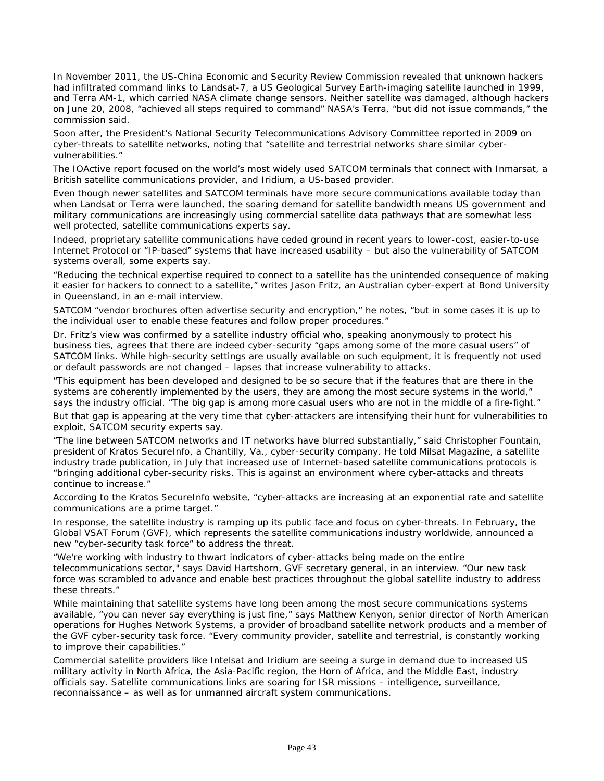In November 2011, the US-China Economic and Security Review Commission revealed that unknown hackers had infiltrated command links to Landsat-7, a US Geological Survey Earth-imaging satellite launched in 1999, and Terra AM-1, which carried NASA climate change sensors. Neither satellite was damaged, although hackers on June 20, 2008, "achieved all steps required to command" NASA's Terra, "but did not issue commands," the commission said.

Soon after, the President's National Security Telecommunications Advisory Committee reported in 2009 on cyber-threats to satellite networks, noting that "satellite and terrestrial networks share similar cybervulnerabilities."

The IOActive report focused on the world's most widely used SATCOM terminals that connect with Inmarsat, a British satellite communications provider, and Iridium, a US-based provider.

Even though newer satellites and SATCOM terminals have more secure communications available today than when Landsat or Terra were launched, the soaring demand for satellite bandwidth means US government and military communications are increasingly using commercial satellite data pathways that are somewhat less well protected, satellite communications experts say.

Indeed, proprietary satellite communications have ceded ground in recent years to lower-cost, easier-to-use Internet Protocol or "IP-based" systems that have increased usability – but also the vulnerability of SATCOM systems overall, some experts say.

"Reducing the technical expertise required to connect to a satellite has the unintended consequence of making it easier for hackers to connect to a satellite," writes Jason Fritz, an Australian cyber-expert at Bond University in Queensland, in an e-mail interview.

SATCOM "vendor brochures often advertise security and encryption," he notes, "but in some cases it is up to the individual user to enable these features and follow proper procedures."

Dr. Fritz's view was confirmed by a satellite industry official who, speaking anonymously to protect his business ties, agrees that there are indeed cyber-security "gaps among some of the more casual users" of SATCOM links. While high-security settings are usually available on such equipment, it is frequently not used or default passwords are not changed – lapses that increase vulnerability to attacks.

"This equipment has been developed and designed to be so secure that if the features that are there in the systems are coherently implemented by the users, they are among the most secure systems in the world," says the industry official. "The big gap is among more casual users who are not in the middle of a fire-fight."

But that gap is appearing at the very time that cyber-attackers are intensifying their hunt for vulnerabilities to exploit, SATCOM security experts say.

"The line between SATCOM networks and IT networks have blurred substantially," said Christopher Fountain, president of Kratos SecureInfo, a Chantilly, Va., cyber-security company. He told Milsat Magazine, a satellite industry trade publication, in July that increased use of Internet-based satellite communications protocols is "bringing additional cyber-security risks. This is against an environment where cyber-attacks and threats continue to increase."

According to the Kratos SecureInfo website, "cyber-attacks are increasing at an exponential rate and satellite communications are a prime target."

In response, the satellite industry is ramping up its public face and focus on cyber-threats. In February, the Global VSAT Forum (GVF), which represents the satellite communications industry worldwide, announced a new "cyber-security task force" to address the threat.

"We're working with industry to thwart indicators of cyber-attacks being made on the entire telecommunications sector," says David Hartshorn, GVF secretary general, in an interview. "Our new task force was scrambled to advance and enable best practices throughout the global satellite industry to address these threats."

While maintaining that satellite systems have long been among the most secure communications systems available, "you can never say everything is just fine," says Matthew Kenyon, senior director of North American operations for Hughes Network Systems, a provider of broadband satellite network products and a member of the GVF cyber-security task force. "Every community provider, satellite and terrestrial, is constantly working to improve their capabilities."

Commercial satellite providers like Intelsat and Iridium are seeing a surge in demand due to increased US military activity in North Africa, the Asia-Pacific region, the Horn of Africa, and the Middle East, industry officials say. Satellite communications links are soaring for ISR missions – intelligence, surveillance, reconnaissance – as well as for unmanned aircraft system communications.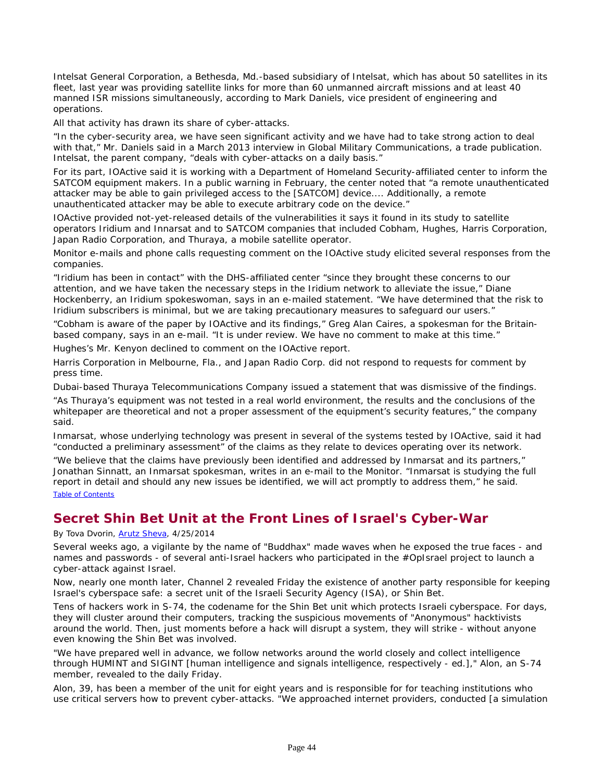Intelsat General Corporation, a Bethesda, Md.-based subsidiary of Intelsat, which has about 50 satellites in its fleet, last year was providing satellite links for more than 60 unmanned aircraft missions and at least 40 manned ISR missions simultaneously, according to Mark Daniels, vice president of engineering and operations.

All that activity has drawn its share of cyber-attacks.

"In the cyber-security area, we have seen significant activity and we have had to take strong action to deal with that," Mr. Daniels said in a March 2013 interview in Global Military Communications, a trade publication. Intelsat, the parent company, "deals with cyber-attacks on a daily basis."

For its part, IOActive said it is working with a Department of Homeland Security-affiliated center to inform the SATCOM equipment makers. In a public warning in February, the center noted that "a remote unauthenticated attacker may be able to gain privileged access to the [SATCOM] device.... Additionally, a remote unauthenticated attacker may be able to execute arbitrary code on the device."

IOActive provided not-yet-released details of the vulnerabilities it says it found in its study to satellite operators Iridium and Innarsat and to SATCOM companies that included Cobham, Hughes, Harris Corporation, Japan Radio Corporation, and Thuraya, a mobile satellite operator.

Monitor e-mails and phone calls requesting comment on the IOActive study elicited several responses from the companies.

"Iridium has been in contact" with the DHS-affiliated center "since they brought these concerns to our attention, and we have taken the necessary steps in the Iridium network to alleviate the issue," Diane Hockenberry, an Iridium spokeswoman, says in an e-mailed statement. "We have determined that the risk to Iridium subscribers is minimal, but we are taking precautionary measures to safeguard our users."

"Cobham is aware of the paper by IOActive and its findings," Greg Alan Caires, a spokesman for the Britainbased company, says in an e-mail. "It is under review. We have no comment to make at this time."

Hughes's Mr. Kenyon declined to comment on the IOActive report.

Harris Corporation in Melbourne, Fla., and Japan Radio Corp. did not respond to requests for comment by press time.

Dubai-based Thuraya Telecommunications Company issued a statement that was dismissive of the findings.

"As Thuraya's equipment was not tested in a real world environment, the results and the conclusions of the whitepaper are theoretical and not a proper assessment of the equipment's security features," the company said.

Inmarsat, whose underlying technology was present in several of the systems tested by IOActive, said it had "conducted a preliminary assessment" of the claims as they relate to devices operating over its network.

"We believe that the claims have previously been identified and addressed by Inmarsat and its partners," Jonathan Sinnatt, an Inmarsat spokesman, writes in an e-mail to the Monitor. "Inmarsat is studying the full report in detail and should any new issues be identified, we will act promptly to address them," he said. [Table of Contents](#page-1-0)

### <span id="page-43-0"></span>**Secret Shin Bet Unit at the Front Lines of Israel's Cyber-War**

#### By Tova Dvorin, **Arutz Sheva**, 4/25/2014

Several weeks ago, a vigilante by the name of "Buddhax" made waves when he exposed the true faces - and names and passwords - of several anti-Israel hackers who participated in the #OpIsrael project to launch a cyber-attack against Israel.

Now, nearly one month later, Channel 2 revealed Friday the existence of another party responsible for keeping Israel's cyberspace safe: a secret unit of the Israeli Security Agency (ISA), or Shin Bet.

Tens of hackers work in S-74, the codename for the Shin Bet unit which protects Israeli cyberspace. For days, they will cluster around their computers, tracking the suspicious movements of "Anonymous" hacktivists around the world. Then, just moments before a hack will disrupt a system, they will strike - without anyone even knowing the Shin Bet was involved.

"We have prepared well in advance, we follow networks around the world closely and collect intelligence through HUMINT and SIGINT [human intelligence and signals intelligence, respectively - ed.]," Alon, an S-74 member, revealed to the daily Friday.

Alon, 39, has been a member of the unit for eight years and is responsible for for teaching institutions who use critical servers how to prevent cyber-attacks. "We approached internet providers, conducted [a simulation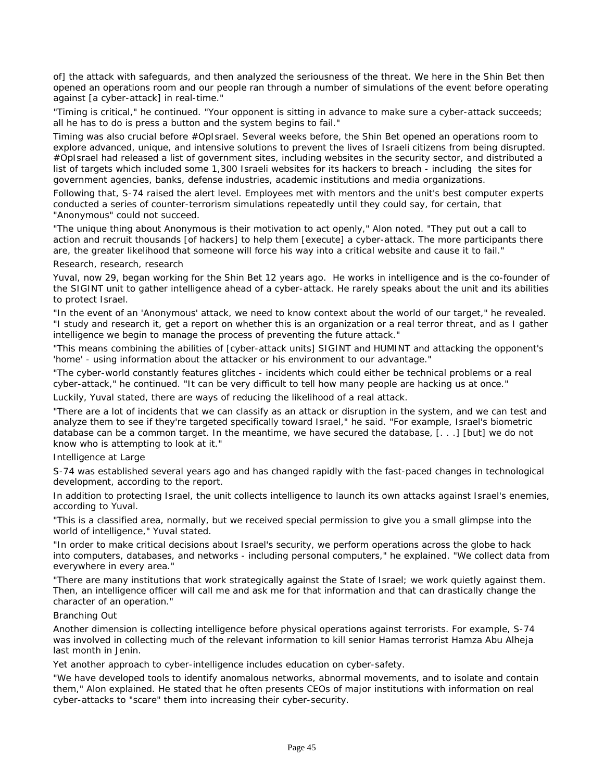of] the attack with safeguards, and then analyzed the seriousness of the threat. We here in the Shin Bet then opened an operations room and our people ran through a number of simulations of the event before operating against [a cyber-attack] in real-time."

"Timing is critical," he continued. "Your opponent is sitting in advance to make sure a cyber-attack succeeds; all he has to do is press a button and the system begins to fail."

Timing was also crucial before #OpIsrael. Several weeks before, the Shin Bet opened an operations room to explore advanced, unique, and intensive solutions to prevent the lives of Israeli citizens from being disrupted. #OpIsrael had released a list of government sites, including websites in the security sector, and distributed a list of targets which included some 1,300 Israeli websites for its hackers to breach - including the sites for government agencies, banks, defense industries, academic institutions and media organizations.

Following that, S-74 raised the alert level. Employees met with mentors and the unit's best computer experts conducted a series of counter-terrorism simulations repeatedly until they could say, for certain, that "Anonymous" could not succeed.

"The unique thing about Anonymous is their motivation to act openly," Alon noted. "They put out a call to action and recruit thousands [of hackers] to help them [execute] a cyber-attack. The more participants there are, the greater likelihood that someone will force his way into a critical website and cause it to fail."

#### *Research, research, research*

Yuval, now 29, began working for the Shin Bet 12 years ago. He works in intelligence and is the co-founder of the SIGINT unit to gather intelligence ahead of a cyber-attack. He rarely speaks about the unit and its abilities to protect Israel.

"In the event of an 'Anonymous' attack, we need to know context about the world of our target," he revealed. "I study and research it, get a report on whether this is an organization or a real terror threat, and as I gather intelligence we begin to manage the process of preventing the future attack."

"This means combining the abilities of [cyber-attack units] SIGINT and HUMINT and attacking the opponent's 'home' - using information about the attacker or his environment to our advantage."

"The cyber-world constantly features glitches - incidents which could either be technical problems or a real cyber-attack," he continued. "It can be very difficult to tell how many people are hacking us at once."

Luckily, Yuval stated, there are ways of reducing the likelihood of a real attack.

"There are a lot of incidents that we can classify as an attack or disruption in the system, and we can test and analyze them to see if they're targeted specifically toward Israel," he said. "For example, Israel's biometric database can be a common target. In the meantime, we have secured the database, [. . .] [but] we do not know who is attempting to look at it."

#### *Intelligence at Large*

S-74 was established several years ago and has changed rapidly with the fast-paced changes in technological development, according to the report.

In addition to protecting Israel, the unit collects intelligence to launch its own attacks against Israel's enemies, according to Yuval.

"This is a classified area, normally, but we received special permission to give you a small glimpse into the world of intelligence," Yuval stated.

"In order to make critical decisions about Israel's security, we perform operations across the globe to hack into computers, databases, and networks - including personal computers," he explained. "We collect data from everywhere in every area."

"There are many institutions that work strategically against the State of Israel; we work quietly against them. Then, an intelligence officer will call me and ask me for that information and that can drastically change the character of an operation."

#### *Branching Out*

Another dimension is collecting intelligence before physical operations against terrorists. For example, S-74 was involved in collecting much of the relevant information to kill senior Hamas terrorist Hamza Abu Alheja last month in Jenin.

Yet another approach to cyber-intelligence includes education on cyber-safety.

"We have developed tools to identify anomalous networks, abnormal movements, and to isolate and contain them," Alon explained. He stated that he often presents CEOs of major institutions with information on real cyber-attacks to "scare" them into increasing their cyber-security.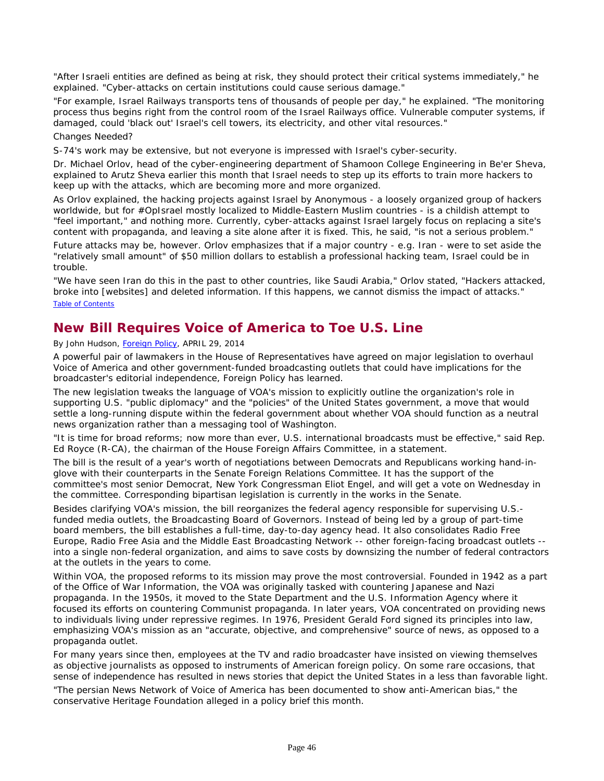"After Israeli entities are defined as being at risk, they should protect their critical systems immediately," he explained. "Cyber-attacks on certain institutions could cause serious damage."

"For example, Israel Railways transports tens of thousands of people per day," he explained. "The monitoring process thus begins right from the control room of the Israel Railways office. Vulnerable computer systems, if damaged, could 'black out' Israel's cell towers, its electricity, and other vital resources."

#### *Changes Needed?*

S-74's work may be extensive, but not everyone is impressed with Israel's cyber-security.

Dr. Michael Orlov, head of the cyber-engineering department of Shamoon College Engineering in Be'er Sheva, explained to Arutz Sheva earlier this month that Israel needs to step up its efforts to train more hackers to keep up with the attacks, which are becoming more and more organized.

As Orlov explained, the hacking projects against Israel by Anonymous - a loosely organized group of hackers worldwide, but for #OpIsrael mostly localized to Middle-Eastern Muslim countries - is a childish attempt to "feel important," and nothing more. Currently, cyber-attacks against Israel largely focus on replacing a site's content with propaganda, and leaving a site alone after it is fixed. This, he said, "is not a serious problem."

Future attacks may be, however. Orlov emphasizes that if a major country - e.g. Iran - were to set aside the "relatively small amount" of \$50 million dollars to establish a professional hacking team, Israel could be in trouble.

"We have seen Iran do this in the past to other countries, like Saudi Arabia," Orlov stated, "Hackers attacked, broke into [websites] and deleted information. If this happens, we cannot dismiss the impact of attacks." [Table of Contents](#page-1-0)

#### <span id="page-45-0"></span>**New Bill Requires Voice of America to Toe U.S. Line**

By John Hudson, [Foreign Policy,](http://thecable.foreignpolicy.com/posts/2014/04/29/exclusive_new_bill_requires_voice_of_america_to_toe_us_line?wp_login_redirect=0) APRIL 29, 2014

A powerful pair of lawmakers in the House of Representatives have agreed on major legislation to overhaul Voice of America and other government-funded broadcasting outlets that could have implications for the broadcaster's editorial independence, Foreign Policy has learned.

The new legislation tweaks the language of VOA's mission to explicitly outline the organization's role in supporting U.S. "public diplomacy" and the "policies" of the United States government, a move that would settle a long-running dispute within the federal government about whether VOA should function as a neutral news organization rather than a messaging tool of Washington.

"It is time for broad reforms; now more than ever, U.S. international broadcasts must be effective," said Rep. Ed Royce (R-CA), the chairman of the House Foreign Affairs Committee, in a statement.

The bill is the result of a year's worth of negotiations between Democrats and Republicans working hand-inglove with their counterparts in the Senate Foreign Relations Committee. It has the support of the committee's most senior Democrat, New York Congressman Eliot Engel, and will get a vote on Wednesday in the committee. Corresponding bipartisan legislation is currently in the works in the Senate.

Besides clarifying VOA's mission, the bill reorganizes the federal agency responsible for supervising U.S. funded media outlets, the Broadcasting Board of Governors. Instead of being led by a group of part-time board members, the bill establishes a full-time, day-to-day agency head. It also consolidates Radio Free Europe, Radio Free Asia and the Middle East Broadcasting Network -- other foreign-facing broadcast outlets - into a single non-federal organization, and aims to save costs by downsizing the number of federal contractors at the outlets in the years to come.

Within VOA, the proposed reforms to its mission may prove the most controversial. Founded in 1942 as a part of the Office of War Information, the VOA was originally tasked with countering Japanese and Nazi propaganda. In the 1950s, it moved to the State Department and the U.S. Information Agency where it focused its efforts on countering Communist propaganda. In later years, VOA concentrated on providing news to individuals living under repressive regimes. In 1976, President Gerald Ford signed its principles into law, emphasizing VOA's mission as an "accurate, objective, and comprehensive" source of news, as opposed to a propaganda outlet.

For many years since then, employees at the TV and radio broadcaster have insisted on viewing themselves as objective journalists as opposed to instruments of American foreign policy. On some rare occasions, that sense of independence has resulted in news stories that depict the United States in a less than favorable light.

"The persian News Network of Voice of America has been documented to show anti-American bias," the conservative Heritage Foundation alleged in a policy brief this month.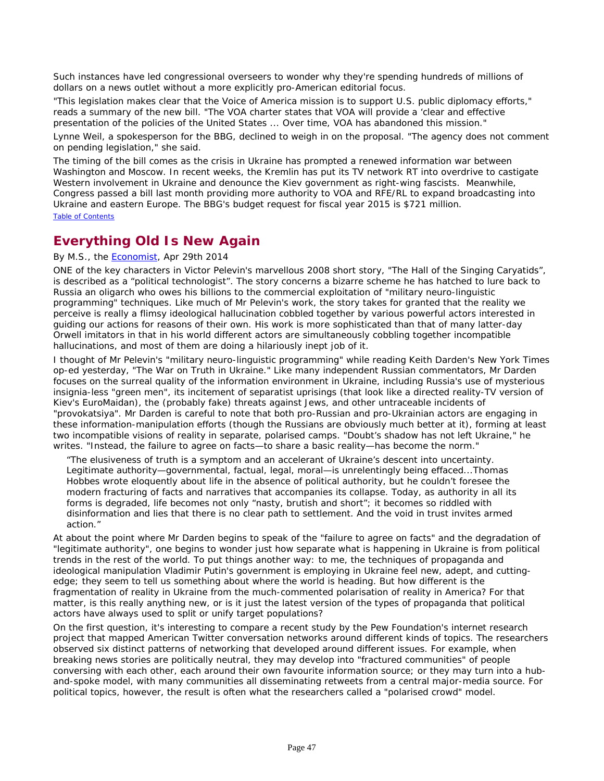Such instances have led congressional overseers to wonder why they're spending hundreds of millions of dollars on a news outlet without a more explicitly pro-American editorial focus.

"This legislation makes clear that the Voice of America mission is to support U.S. public diplomacy efforts," reads a summary of the new bill. "The VOA charter states that VOA will provide a 'clear and effective presentation of the policies of the United States ... Over time, VOA has abandoned this mission."

Lynne Weil, a spokesperson for the BBG, declined to weigh in on the proposal. "The agency does not comment on pending legislation," she said.

The timing of the bill comes as the crisis in Ukraine has prompted a renewed information war between Washington and Moscow. In recent weeks, the Kremlin has put its TV network RT into overdrive to castigate Western involvement in Ukraine and denounce the Kiev government as right-wing fascists. Meanwhile, Congress passed a bill last month providing more authority to VOA and RFE/RL to expand broadcasting into Ukraine and eastern Europe. The BBG's budget request for fiscal year 2015 is \$721 million. [Table of Contents](#page-1-0)

### <span id="page-46-0"></span>**Everything Old Is New Again**

#### By M.S., the [Economist,](http://www.economist.com/blogs/democracyinamerica/2014/04/information-wars?fsrc=scn/tw_ec/everything_old_is_new_again) Apr 29th 2014

ONE of the key characters in Victor Pelevin's marvellous 2008 short story, "The Hall of the Singing Caryatids", is described as a "political technologist". The story concerns a bizarre scheme he has hatched to lure back to Russia an oligarch who owes his billions to the commercial exploitation of "military neuro-linguistic programming" techniques. Like much of Mr Pelevin's work, the story takes for granted that the reality we perceive is really a flimsy ideological hallucination cobbled together by various powerful actors interested in guiding our actions for reasons of their own. His work is more sophisticated than that of many latter-day Orwell imitators in that in his world different actors are simultaneously cobbling together incompatible hallucinations, and most of them are doing a hilariously inept job of it.

I thought of Mr Pelevin's "military neuro-linguistic programming" while reading Keith Darden's New York Times op-ed yesterday, "The War on Truth in Ukraine." Like many independent Russian commentators, Mr Darden focuses on the surreal quality of the information environment in Ukraine, including Russia's use of mysterious insignia-less "green men", its incitement of separatist uprisings (that look like a directed reality-TV version of Kiev's EuroMaidan), the (probably fake) threats against Jews, and other untraceable incidents of "provokatsiya". Mr Darden is careful to note that both pro-Russian and pro-Ukrainian actors are engaging in these information-manipulation efforts (though the Russians are obviously much better at it), forming at least two incompatible visions of reality in separate, polarised camps. "Doubt's shadow has not left Ukraine," he writes. "Instead, the failure to agree on facts—to share a basic reality—has become the norm."

"The elusiveness of truth is a symptom and an accelerant of Ukraine's descent into uncertainty. Legitimate authority—governmental, factual, legal, moral—is unrelentingly being effaced...Thomas Hobbes wrote eloquently about life in the absence of political authority, but he couldn't foresee the modern fracturing of facts and narratives that accompanies its collapse. Today, as authority in all its forms is degraded, life becomes not only "nasty, brutish and short"; it becomes so riddled with disinformation and lies that there is no clear path to settlement. And the void in trust invites armed action."

At about the point where Mr Darden begins to speak of the "failure to agree on facts" and the degradation of "legitimate authority", one begins to wonder just how separate what is happening in Ukraine is from political trends in the rest of the world. To put things another way: to me, the techniques of propaganda and ideological manipulation Vladimir Putin's government is employing in Ukraine feel new, adept, and cuttingedge; they seem to tell us something about where the world is heading. But how different is the fragmentation of reality in Ukraine from the much-commented polarisation of reality in America? For that matter, is this really anything new, or is it just the latest version of the types of propaganda that political actors have always used to split or unify target populations?

On the first question, it's interesting to compare a recent study by the Pew Foundation's internet research project that mapped American Twitter conversation networks around different kinds of topics. The researchers observed six distinct patterns of networking that developed around different issues. For example, when breaking news stories are politically neutral, they may develop into "fractured communities" of people conversing with each other, each around their own favourite information source; or they may turn into a huband-spoke model, with many communities all disseminating retweets from a central major-media source. For political topics, however, the result is often what the researchers called a "polarised crowd" model.